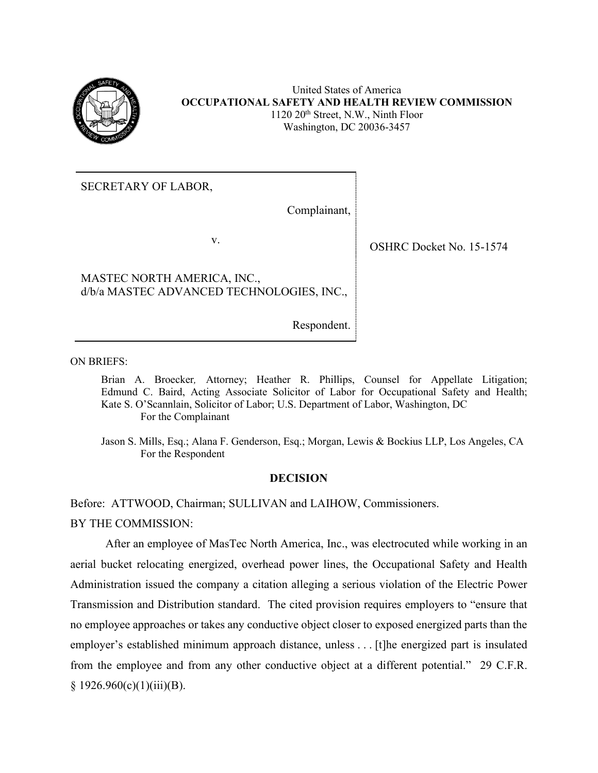

SECRETARY OF LABOR,

Complainant,

v.

OSHRC Docket No. 15-1574

MASTEC NORTH AMERICA, INC., d/b/a MASTEC ADVANCED TECHNOLOGIES, INC.,

Respondent.

ON BRIEFS:

Brian A. Broecker*,* Attorney; Heather R. Phillips, Counsel for Appellate Litigation; Edmund C. Baird, Acting Associate Solicitor of Labor for Occupational Safety and Health; Kate S. O'Scannlain, Solicitor of Labor; U.S. Department of Labor, Washington, DC For the Complainant

Jason S. Mills, Esq.; Alana F. Genderson, Esq.; Morgan, Lewis & Bockius LLP, Los Angeles, CA For the Respondent

### **DECISION**

Before: ATTWOOD, Chairman; SULLIVAN and LAIHOW, Commissioners.

BY THE COMMISSION:

After an employee of MasTec North America, Inc., was electrocuted while working in an aerial bucket relocating energized, overhead power lines, the Occupational Safety and Health Administration issued the company a citation alleging a serious violation of the Electric Power Transmission and Distribution standard. The cited provision requires employers to "ensure that no employee approaches or takes any conductive object closer to exposed energized parts than the employer's established minimum approach distance, unless . . . [t]he energized part is insulated from the employee and from any other conductive object at a different potential." 29 C.F.R.  $§ 1926.960(c)(1)(iii)(B).$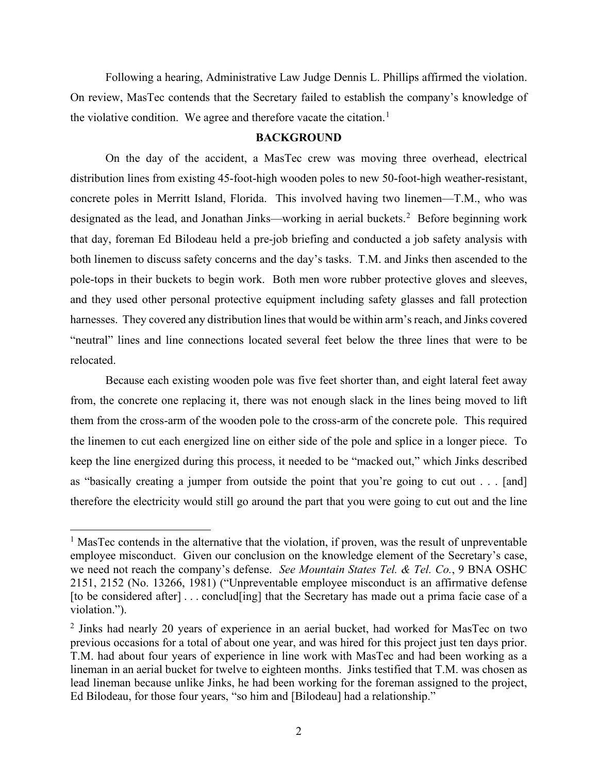Following a hearing, Administrative Law Judge Dennis L. Phillips affirmed the violation. On review, MasTec contends that the Secretary failed to establish the company's knowledge of the violative condition. We agree and therefore vacate the citation.<sup>[1](#page-1-0)</sup>

#### **BACKGROUND**

On the day of the accident, a MasTec crew was moving three overhead, electrical distribution lines from existing 45-foot-high wooden poles to new 50-foot-high weather-resistant, concrete poles in Merritt Island, Florida. This involved having two linemen—T.M., who was designated as the lead, and Jonathan Jinks—working in aerial buckets.<sup>[2](#page-1-1)</sup> Before beginning work that day, foreman Ed Bilodeau held a pre-job briefing and conducted a job safety analysis with both linemen to discuss safety concerns and the day's tasks. T.M. and Jinks then ascended to the pole-tops in their buckets to begin work. Both men wore rubber protective gloves and sleeves, and they used other personal protective equipment including safety glasses and fall protection harnesses. They covered any distribution lines that would be within arm's reach, and Jinks covered "neutral" lines and line connections located several feet below the three lines that were to be relocated.

Because each existing wooden pole was five feet shorter than, and eight lateral feet away from, the concrete one replacing it, there was not enough slack in the lines being moved to lift them from the cross-arm of the wooden pole to the cross-arm of the concrete pole. This required the linemen to cut each energized line on either side of the pole and splice in a longer piece. To keep the line energized during this process, it needed to be "macked out," which Jinks described as "basically creating a jumper from outside the point that you're going to cut out . . . [and] therefore the electricity would still go around the part that you were going to cut out and the line

<span id="page-1-0"></span> $<sup>1</sup>$  MasTec contends in the alternative that the violation, if proven, was the result of unpreventable</sup> employee misconduct. Given our conclusion on the knowledge element of the Secretary's case, we need not reach the company's defense. *See Mountain States Tel. & Tel. Co.*, 9 BNA OSHC 2151, 2152 (No. 13266, 1981) ("Unpreventable employee misconduct is an affirmative defense [to be considered after] . . . conclud[ing] that the Secretary has made out a prima facie case of a violation.").

<span id="page-1-1"></span><sup>&</sup>lt;sup>2</sup> Jinks had nearly 20 years of experience in an aerial bucket, had worked for MasTec on two previous occasions for a total of about one year, and was hired for this project just ten days prior. T.M. had about four years of experience in line work with MasTec and had been working as a lineman in an aerial bucket for twelve to eighteen months. Jinks testified that T.M. was chosen as lead lineman because unlike Jinks, he had been working for the foreman assigned to the project, Ed Bilodeau, for those four years, "so him and [Bilodeau] had a relationship."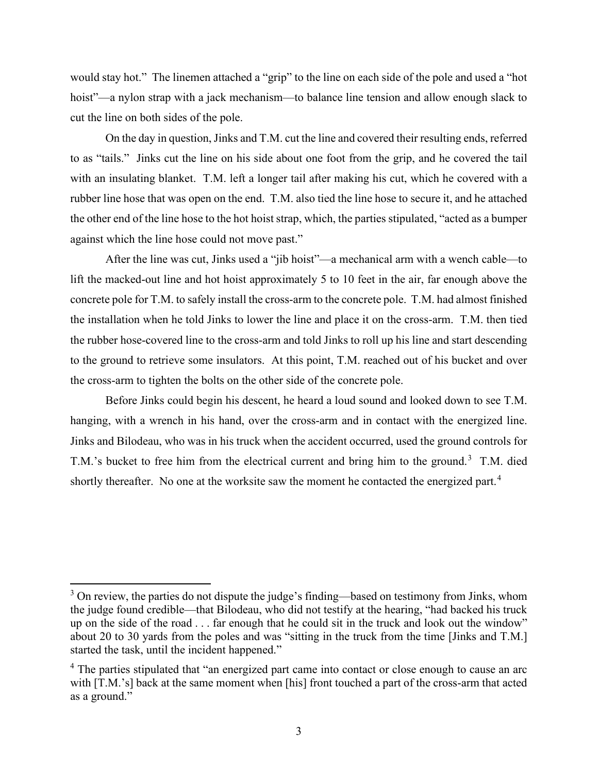would stay hot." The linemen attached a "grip" to the line on each side of the pole and used a "hot hoist"—a nylon strap with a jack mechanism—to balance line tension and allow enough slack to cut the line on both sides of the pole.

On the day in question, Jinks and T.M. cut the line and covered their resulting ends, referred to as "tails." Jinks cut the line on his side about one foot from the grip, and he covered the tail with an insulating blanket. T.M. left a longer tail after making his cut, which he covered with a rubber line hose that was open on the end. T.M. also tied the line hose to secure it, and he attached the other end of the line hose to the hot hoist strap, which, the parties stipulated, "acted as a bumper against which the line hose could not move past."

After the line was cut, Jinks used a "jib hoist"—a mechanical arm with a wench cable—to lift the macked-out line and hot hoist approximately 5 to 10 feet in the air, far enough above the concrete pole for T.M. to safely install the cross-arm to the concrete pole. T.M. had almost finished the installation when he told Jinks to lower the line and place it on the cross-arm. T.M. then tied the rubber hose-covered line to the cross-arm and told Jinks to roll up his line and start descending to the ground to retrieve some insulators. At this point, T.M. reached out of his bucket and over the cross-arm to tighten the bolts on the other side of the concrete pole.

Before Jinks could begin his descent, he heard a loud sound and looked down to see T.M. hanging, with a wrench in his hand, over the cross-arm and in contact with the energized line. Jinks and Bilodeau, who was in his truck when the accident occurred, used the ground controls for T.M.'s bucket to free him from the electrical current and bring him to the ground.<sup>[3](#page-2-0)</sup> T.M. died shortly thereafter. No one at the worksite saw the moment he contacted the energized part.<sup>[4](#page-2-1)</sup>

<span id="page-2-0"></span> $3$  On review, the parties do not dispute the judge's finding—based on testimony from Jinks, whom the judge found credible—that Bilodeau, who did not testify at the hearing, "had backed his truck up on the side of the road . . . far enough that he could sit in the truck and look out the window" about 20 to 30 yards from the poles and was "sitting in the truck from the time [Jinks and T.M.] started the task, until the incident happened."

<span id="page-2-1"></span><sup>&</sup>lt;sup>4</sup> The parties stipulated that "an energized part came into contact or close enough to cause an arc with [T.M.'s] back at the same moment when [his] front touched a part of the cross-arm that acted as a ground."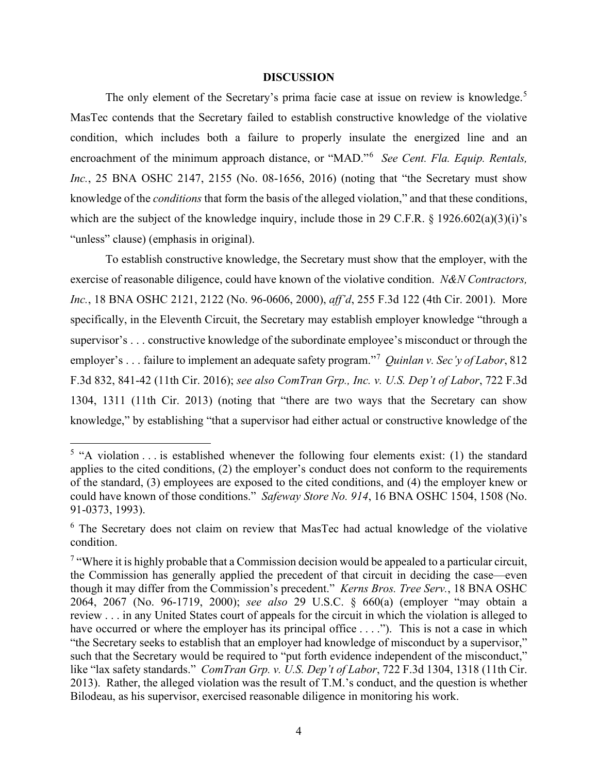#### **DISCUSSION**

The only element of the Secretary's prima facie case at issue on review is knowledge.<sup>[5](#page-3-0)</sup> MasTec contends that the Secretary failed to establish constructive knowledge of the violative condition, which includes both a failure to properly insulate the energized line and an encroachment of the minimum approach distance, or "MAD."[6](#page-3-1) *See Cent. Fla. Equip. Rentals, Inc.*, 25 BNA OSHC 2147, 2155 (No. 08-1656, 2016) (noting that "the Secretary must show knowledge of the *conditions* that form the basis of the alleged violation," and that these conditions, which are the subject of the knowledge inquiry, include those in 29 C.F.R. § 1926.602(a)(3)(i)'s "unless" clause) (emphasis in original).

To establish constructive knowledge, the Secretary must show that the employer, with the exercise of reasonable diligence, could have known of the violative condition. *N&N Contractors, Inc.*, 18 BNA OSHC 2121, 2122 (No. 96-0606, 2000), *aff'd*, 255 F.3d 122 (4th Cir. 2001). More specifically, in the Eleventh Circuit, the Secretary may establish employer knowledge "through a supervisor's . . . constructive knowledge of the subordinate employee's misconduct or through the employer's . . . failure to implement an adequate safety program."[7](#page-3-2) *Quinlan v. Sec'y of Labor*, 812 F.3d 832, 841-42 (11th Cir. 2016); *see also ComTran Grp., Inc. v. U.S. Dep't of Labor*, 722 F.3d 1304, 1311 (11th Cir. 2013) (noting that "there are two ways that the Secretary can show knowledge," by establishing "that a supervisor had either actual or constructive knowledge of the

<span id="page-3-0"></span> $5$  "A violation . . . is established whenever the following four elements exist: (1) the standard applies to the cited conditions, (2) the employer's conduct does not conform to the requirements of the standard, (3) employees are exposed to the cited conditions, and (4) the employer knew or could have known of those conditions." *Safeway Store No. 914*, 16 BNA OSHC 1504, 1508 (No. 91-0373, 1993).

<span id="page-3-1"></span><sup>&</sup>lt;sup>6</sup> The Secretary does not claim on review that MasTec had actual knowledge of the violative condition.

<span id="page-3-2"></span><sup>&</sup>lt;sup>7</sup> "Where it is highly probable that a Commission decision would be appealed to a particular circuit, the Commission has generally applied the precedent of that circuit in deciding the case—even though it may differ from the Commission's precedent." *Kerns Bros. Tree Serv.*, 18 BNA OSHC 2064, 2067 (No. 96-1719, 2000); *see also* 29 U.S.C. § 660(a) (employer "may obtain a review . . . in any United States court of appeals for the circuit in which the violation is alleged to have occurred or where the employer has its principal office . . . ."). This is not a case in which "the Secretary seeks to establish that an employer had knowledge of misconduct by a supervisor," such that the Secretary would be required to "put forth evidence independent of the misconduct," like "lax safety standards." *ComTran Grp. v. U.S. Dep't of Labor*, 722 F.3d 1304, 1318 (11th Cir. 2013). Rather, the alleged violation was the result of T.M.'s conduct, and the question is whether Bilodeau, as his supervisor, exercised reasonable diligence in monitoring his work.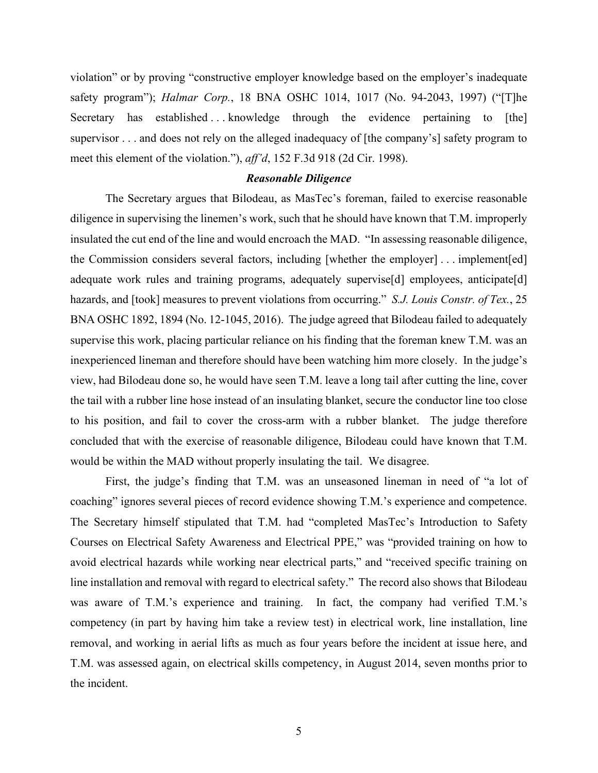violation" or by proving "constructive employer knowledge based on the employer's inadequate safety program"); *Halmar Corp.*, 18 BNA OSHC 1014, 1017 (No. 94-2043, 1997) ("[T]he Secretary has established ... knowledge through the evidence pertaining to [the] supervisor . . . and does not rely on the alleged inadequacy of [the company's] safety program to meet this element of the violation."), *aff'd*, 152 F.3d 918 (2d Cir. 1998).

### *Reasonable Diligence*

The Secretary argues that Bilodeau, as MasTec's foreman, failed to exercise reasonable diligence in supervising the linemen's work, such that he should have known that T.M. improperly insulated the cut end of the line and would encroach the MAD. "In assessing reasonable diligence, the Commission considers several factors, including [whether the employer] . . . implement[ed] adequate work rules and training programs, adequately supervise[d] employees, anticipate[d] hazards, and [took] measures to prevent violations from occurring." *S.J. Louis Constr. of Tex.*, 25 BNA OSHC 1892, 1894 (No. 12-1045, 2016). The judge agreed that Bilodeau failed to adequately supervise this work, placing particular reliance on his finding that the foreman knew T.M. was an inexperienced lineman and therefore should have been watching him more closely. In the judge's view, had Bilodeau done so, he would have seen T.M. leave a long tail after cutting the line, cover the tail with a rubber line hose instead of an insulating blanket, secure the conductor line too close to his position, and fail to cover the cross-arm with a rubber blanket. The judge therefore concluded that with the exercise of reasonable diligence, Bilodeau could have known that T.M. would be within the MAD without properly insulating the tail. We disagree.

First, the judge's finding that T.M. was an unseasoned lineman in need of "a lot of coaching" ignores several pieces of record evidence showing T.M.'s experience and competence. The Secretary himself stipulated that T.M. had "completed MasTec's Introduction to Safety Courses on Electrical Safety Awareness and Electrical PPE," was "provided training on how to avoid electrical hazards while working near electrical parts," and "received specific training on line installation and removal with regard to electrical safety." The record also shows that Bilodeau was aware of T.M.'s experience and training. In fact, the company had verified T.M.'s competency (in part by having him take a review test) in electrical work, line installation, line removal, and working in aerial lifts as much as four years before the incident at issue here, and T.M. was assessed again, on electrical skills competency, in August 2014, seven months prior to the incident.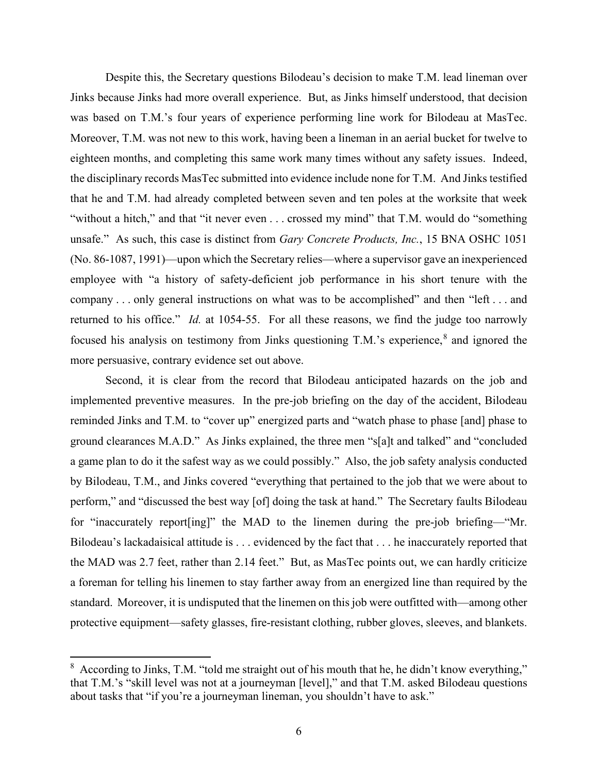Despite this, the Secretary questions Bilodeau's decision to make T.M. lead lineman over Jinks because Jinks had more overall experience. But, as Jinks himself understood, that decision was based on T.M.'s four years of experience performing line work for Bilodeau at MasTec. Moreover, T.M. was not new to this work, having been a lineman in an aerial bucket for twelve to eighteen months, and completing this same work many times without any safety issues. Indeed, the disciplinary records MasTec submitted into evidence include none for T.M. And Jinks testified that he and T.M. had already completed between seven and ten poles at the worksite that week "without a hitch," and that "it never even . . . crossed my mind" that T.M. would do "something unsafe." As such, this case is distinct from *Gary Concrete Products, Inc.*, 15 BNA OSHC 1051 (No. 86-1087, 1991)—upon which the Secretary relies—where a supervisor gave an inexperienced employee with "a history of safety-deficient job performance in his short tenure with the company . . . only general instructions on what was to be accomplished" and then "left . . . and returned to his office." *Id.* at 1054-55. For all these reasons, we find the judge too narrowly focused his analysis on testimony from Jinks questioning T.M.'s experience,<sup>[8](#page-5-0)</sup> and ignored the more persuasive, contrary evidence set out above.

Second, it is clear from the record that Bilodeau anticipated hazards on the job and implemented preventive measures. In the pre-job briefing on the day of the accident, Bilodeau reminded Jinks and T.M. to "cover up" energized parts and "watch phase to phase [and] phase to ground clearances M.A.D." As Jinks explained, the three men "s[a]t and talked" and "concluded a game plan to do it the safest way as we could possibly." Also, the job safety analysis conducted by Bilodeau, T.M., and Jinks covered "everything that pertained to the job that we were about to perform," and "discussed the best way [of] doing the task at hand." The Secretary faults Bilodeau for "inaccurately report[ing]" the MAD to the linemen during the pre-job briefing—"Mr. Bilodeau's lackadaisical attitude is . . . evidenced by the fact that . . . he inaccurately reported that the MAD was 2.7 feet, rather than 2.14 feet." But, as MasTec points out, we can hardly criticize a foreman for telling his linemen to stay farther away from an energized line than required by the standard. Moreover, it is undisputed that the linemen on this job were outfitted with—among other protective equipment—safety glasses, fire-resistant clothing, rubber gloves, sleeves, and blankets.

<span id="page-5-0"></span> $8$  According to Jinks, T.M. "told me straight out of his mouth that he, he didn't know everything," that T.M.'s "skill level was not at a journeyman [level]," and that T.M. asked Bilodeau questions about tasks that "if you're a journeyman lineman, you shouldn't have to ask."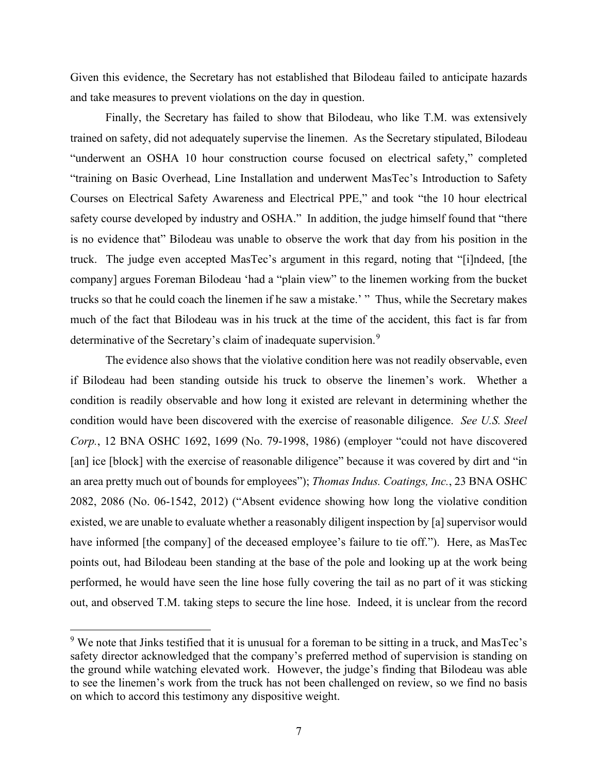Given this evidence, the Secretary has not established that Bilodeau failed to anticipate hazards and take measures to prevent violations on the day in question.

Finally, the Secretary has failed to show that Bilodeau, who like T.M. was extensively trained on safety, did not adequately supervise the linemen. As the Secretary stipulated, Bilodeau "underwent an OSHA 10 hour construction course focused on electrical safety," completed "training on Basic Overhead, Line Installation and underwent MasTec's Introduction to Safety Courses on Electrical Safety Awareness and Electrical PPE," and took "the 10 hour electrical safety course developed by industry and OSHA." In addition, the judge himself found that "there is no evidence that" Bilodeau was unable to observe the work that day from his position in the truck. The judge even accepted MasTec's argument in this regard, noting that "[i]ndeed, [the company] argues Foreman Bilodeau 'had a "plain view" to the linemen working from the bucket trucks so that he could coach the linemen if he saw a mistake.' " Thus, while the Secretary makes much of the fact that Bilodeau was in his truck at the time of the accident, this fact is far from determinative of the Secretary's claim of inadequate supervision.<sup>[9](#page-6-0)</sup>

 The evidence also shows that the violative condition here was not readily observable, even if Bilodeau had been standing outside his truck to observe the linemen's work. Whether a condition is readily observable and how long it existed are relevant in determining whether the condition would have been discovered with the exercise of reasonable diligence. *See U.S. Steel Corp.*, 12 BNA OSHC 1692, 1699 (No. 79-1998, 1986) (employer "could not have discovered [an] ice [block] with the exercise of reasonable diligence" because it was covered by dirt and "in an area pretty much out of bounds for employees"); *Thomas Indus. Coatings, Inc.*, 23 BNA OSHC 2082, 2086 (No. 06-1542, 2012) ("Absent evidence showing how long the violative condition existed, we are unable to evaluate whether a reasonably diligent inspection by [a] supervisor would have informed [the company] of the deceased employee's failure to tie off."). Here, as MasTec points out, had Bilodeau been standing at the base of the pole and looking up at the work being performed, he would have seen the line hose fully covering the tail as no part of it was sticking out, and observed T.M. taking steps to secure the line hose. Indeed, it is unclear from the record

<span id="page-6-0"></span><sup>&</sup>lt;sup>9</sup> We note that Jinks testified that it is unusual for a foreman to be sitting in a truck, and MasTec's safety director acknowledged that the company's preferred method of supervision is standing on the ground while watching elevated work. However, the judge's finding that Bilodeau was able to see the linemen's work from the truck has not been challenged on review, so we find no basis on which to accord this testimony any dispositive weight.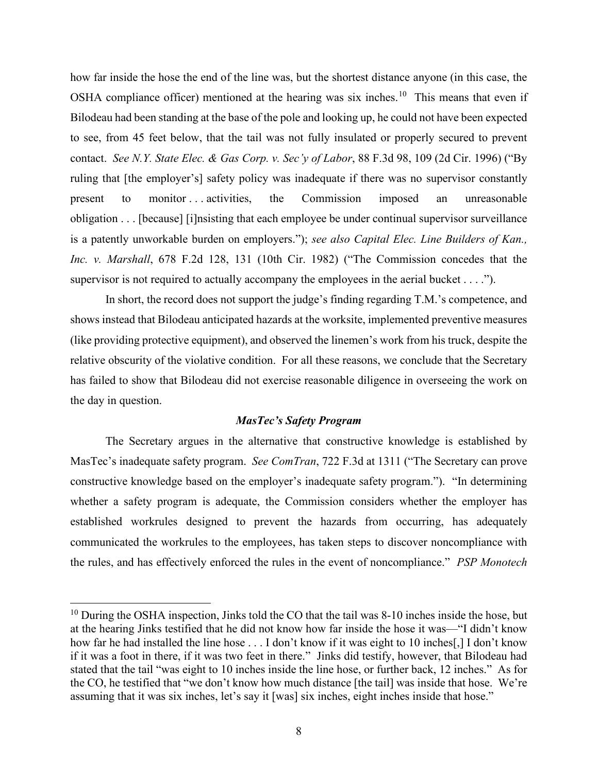how far inside the hose the end of the line was, but the shortest distance anyone (in this case, the OSHA compliance officer) mentioned at the hearing was six inches.[10](#page-7-0) This means that even if Bilodeau had been standing at the base of the pole and looking up, he could not have been expected to see, from 45 feet below, that the tail was not fully insulated or properly secured to prevent contact. *See N.Y. State Elec. & Gas Corp. v. Sec'y of Labor*, 88 F.3d 98, 109 (2d Cir. 1996) ("By ruling that [the employer's] safety policy was inadequate if there was no supervisor constantly present to monitor . . . activities, the Commission imposed an unreasonable obligation . . . [because] [i]nsisting that each employee be under continual supervisor surveillance is a patently unworkable burden on employers."); *see also Capital Elec. Line Builders of Kan., Inc. v. Marshall*, 678 F.2d 128, 131 (10th Cir. 1982) ("The Commission concedes that the supervisor is not required to actually accompany the employees in the aerial bucket  $\dots$ .").

In short, the record does not support the judge's finding regarding T.M.'s competence, and shows instead that Bilodeau anticipated hazards at the worksite, implemented preventive measures (like providing protective equipment), and observed the linemen's work from his truck, despite the relative obscurity of the violative condition. For all these reasons, we conclude that the Secretary has failed to show that Bilodeau did not exercise reasonable diligence in overseeing the work on the day in question.

## *MasTec's Safety Program*

The Secretary argues in the alternative that constructive knowledge is established by MasTec's inadequate safety program. *See ComTran*, 722 F.3d at 1311 ("The Secretary can prove constructive knowledge based on the employer's inadequate safety program."). "In determining whether a safety program is adequate, the Commission considers whether the employer has established workrules designed to prevent the hazards from occurring, has adequately communicated the workrules to the employees, has taken steps to discover noncompliance with the rules, and has effectively enforced the rules in the event of noncompliance." *PSP Monotech* 

<span id="page-7-0"></span> $10$  During the OSHA inspection, Jinks told the CO that the tail was 8-10 inches inside the hose, but at the hearing Jinks testified that he did not know how far inside the hose it was—"I didn't know how far he had installed the line hose . . . I don't know if it was eight to 10 inches[,] I don't know if it was a foot in there, if it was two feet in there." Jinks did testify, however, that Bilodeau had stated that the tail "was eight to 10 inches inside the line hose, or further back, 12 inches." As for the CO, he testified that "we don't know how much distance [the tail] was inside that hose. We're assuming that it was six inches, let's say it [was] six inches, eight inches inside that hose."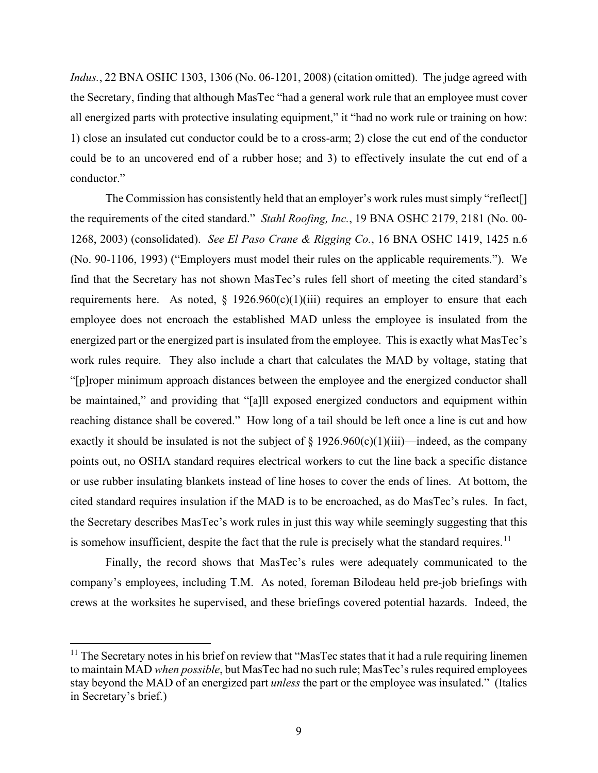*Indus.*, 22 BNA OSHC 1303, 1306 (No. 06-1201, 2008) (citation omitted). The judge agreed with the Secretary, finding that although MasTec "had a general work rule that an employee must cover all energized parts with protective insulating equipment," it "had no work rule or training on how: 1) close an insulated cut conductor could be to a cross-arm; 2) close the cut end of the conductor could be to an uncovered end of a rubber hose; and 3) to effectively insulate the cut end of a conductor."

The Commission has consistently held that an employer's work rules must simply "reflect<sup>[]</sup> the requirements of the cited standard." *Stahl Roofing, Inc.*, 19 BNA OSHC 2179, 2181 (No. 00- 1268, 2003) (consolidated). *See El Paso Crane & Rigging Co.*, 16 BNA OSHC 1419, 1425 n.6 (No. 90-1106, 1993) ("Employers must model their rules on the applicable requirements."). We find that the Secretary has not shown MasTec's rules fell short of meeting the cited standard's requirements here. As noted,  $\S$  1926.960(c)(1)(iii) requires an employer to ensure that each employee does not encroach the established MAD unless the employee is insulated from the energized part or the energized part is insulated from the employee. This is exactly what MasTec's work rules require. They also include a chart that calculates the MAD by voltage, stating that "[p]roper minimum approach distances between the employee and the energized conductor shall be maintained," and providing that "[a]ll exposed energized conductors and equipment within reaching distance shall be covered." How long of a tail should be left once a line is cut and how exactly it should be insulated is not the subject of  $\S 1926.960(c)(1)(iii)$ —indeed, as the company points out, no OSHA standard requires electrical workers to cut the line back a specific distance or use rubber insulating blankets instead of line hoses to cover the ends of lines. At bottom, the cited standard requires insulation if the MAD is to be encroached, as do MasTec's rules. In fact, the Secretary describes MasTec's work rules in just this way while seemingly suggesting that this is somehow insufficient, despite the fact that the rule is precisely what the standard requires.<sup>[11](#page-8-0)</sup>

Finally, the record shows that MasTec's rules were adequately communicated to the company's employees, including T.M. As noted, foreman Bilodeau held pre-job briefings with crews at the worksites he supervised, and these briefings covered potential hazards. Indeed, the

<span id="page-8-0"></span> $11$  The Secretary notes in his brief on review that "MasTec states that it had a rule requiring linemen to maintain MAD *when possible*, but MasTec had no such rule; MasTec's rules required employees stay beyond the MAD of an energized part *unless* the part or the employee was insulated." (Italics in Secretary's brief.)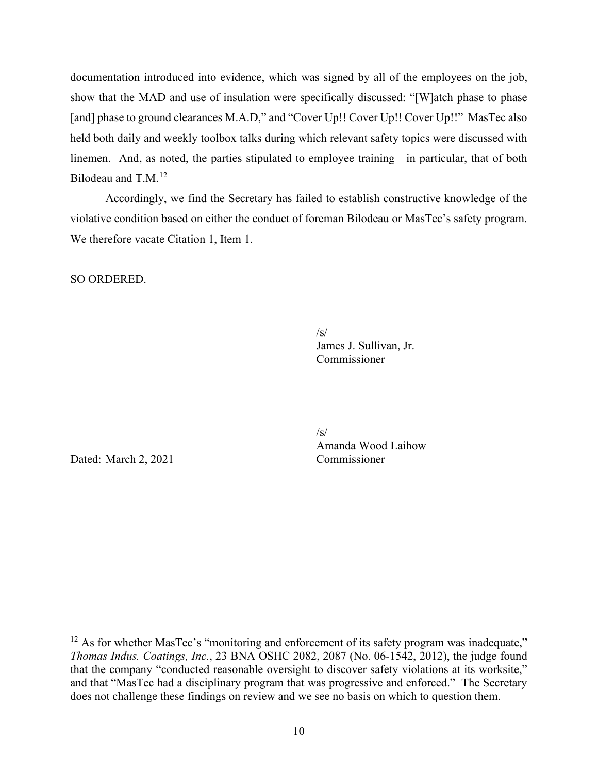documentation introduced into evidence, which was signed by all of the employees on the job, show that the MAD and use of insulation were specifically discussed: "[W]atch phase to phase [and] phase to ground clearances M.A.D," and "Cover Up!! Cover Up!! Cover Up!!" MasTec also held both daily and weekly toolbox talks during which relevant safety topics were discussed with linemen. And, as noted, the parties stipulated to employee training—in particular, that of both Bilodeau and T.M.<sup>[12](#page-9-0)</sup>

 Accordingly, we find the Secretary has failed to establish constructive knowledge of the violative condition based on either the conduct of foreman Bilodeau or MasTec's safety program. We therefore vacate Citation 1, Item 1.

SO ORDERED.

 $\sqrt{s/2}$ 

/s/<br>James J. Sullivan, Jr. Commissioner

Dated: March 2, 2021 Commissioner

/s/

Amanda Wood Laihow

<span id="page-9-0"></span><sup>&</sup>lt;sup>12</sup> As for whether MasTec's "monitoring and enforcement of its safety program was inadequate," *Thomas Indus. Coatings, Inc.*, 23 BNA OSHC 2082, 2087 (No. 06-1542, 2012), the judge found that the company "conducted reasonable oversight to discover safety violations at its worksite," and that "MasTec had a disciplinary program that was progressive and enforced." The Secretary does not challenge these findings on review and we see no basis on which to question them.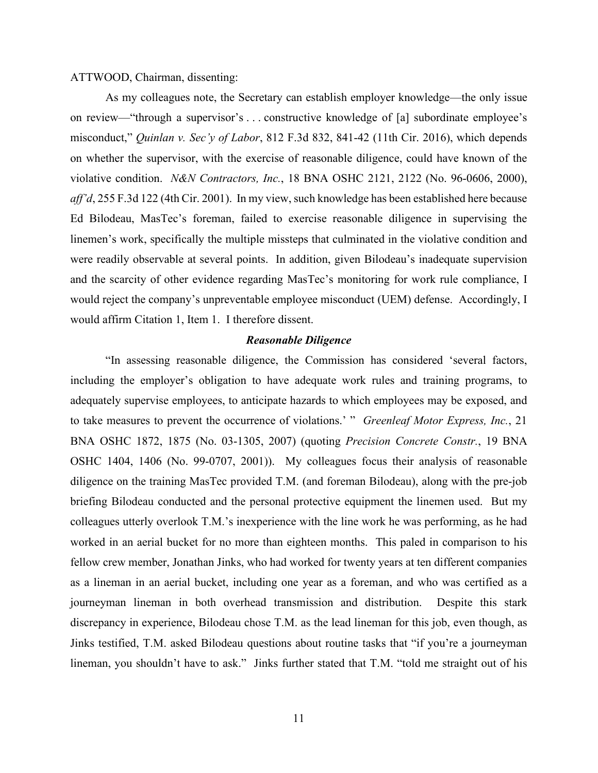### ATTWOOD, Chairman, dissenting:

As my colleagues note, the Secretary can establish employer knowledge—the only issue on review—"through a supervisor's . . . constructive knowledge of [a] subordinate employee's misconduct," *Quinlan v. Sec'y of Labor*, 812 F.3d 832, 841-42 (11th Cir. 2016), which depends on whether the supervisor, with the exercise of reasonable diligence, could have known of the violative condition. *N&N Contractors, Inc.*, 18 BNA OSHC 2121, 2122 (No. 96-0606, 2000), *aff'd*, 255 F.3d 122 (4th Cir. 2001). In my view, such knowledge has been established here because Ed Bilodeau, MasTec's foreman, failed to exercise reasonable diligence in supervising the linemen's work, specifically the multiple missteps that culminated in the violative condition and were readily observable at several points. In addition, given Bilodeau's inadequate supervision and the scarcity of other evidence regarding MasTec's monitoring for work rule compliance, I would reject the company's unpreventable employee misconduct (UEM) defense. Accordingly, I would affirm Citation 1, Item 1. I therefore dissent.

## *Reasonable Diligence*

"In assessing reasonable diligence, the Commission has considered 'several factors, including the employer's obligation to have adequate work rules and training programs, to adequately supervise employees, to anticipate hazards to which employees may be exposed, and to take measures to prevent the occurrence of violations.' " *Greenleaf Motor Express, Inc.*, 21 BNA OSHC 1872, 1875 (No. 03-1305, 2007) (quoting *Precision Concrete Constr.*, 19 BNA OSHC 1404, 1406 (No. 99-0707, 2001)). My colleagues focus their analysis of reasonable diligence on the training MasTec provided T.M. (and foreman Bilodeau), along with the pre-job briefing Bilodeau conducted and the personal protective equipment the linemen used. But my colleagues utterly overlook T.M.'s inexperience with the line work he was performing, as he had worked in an aerial bucket for no more than eighteen months. This paled in comparison to his fellow crew member, Jonathan Jinks, who had worked for twenty years at ten different companies as a lineman in an aerial bucket, including one year as a foreman, and who was certified as a journeyman lineman in both overhead transmission and distribution. Despite this stark discrepancy in experience, Bilodeau chose T.M. as the lead lineman for this job, even though, as Jinks testified, T.M. asked Bilodeau questions about routine tasks that "if you're a journeyman lineman, you shouldn't have to ask." Jinks further stated that T.M. "told me straight out of his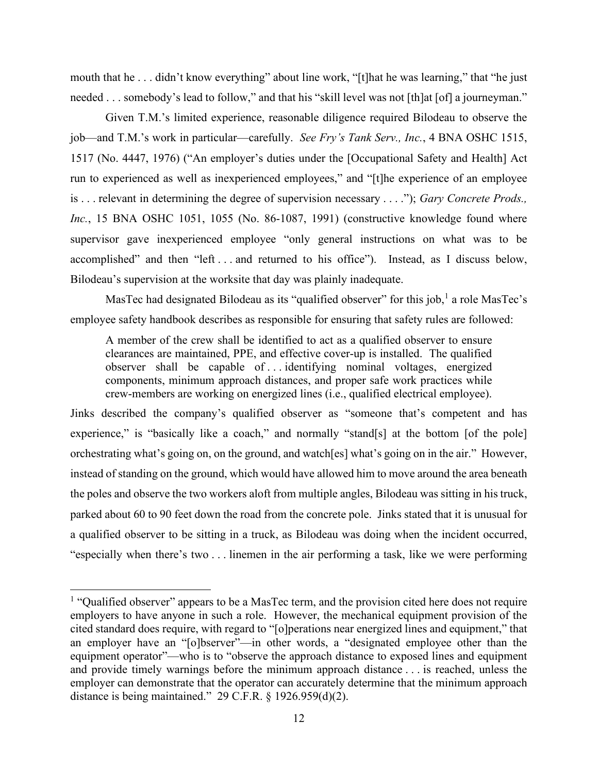mouth that he . . . didn't know everything" about line work, "[t]hat he was learning," that "he just needed . . . somebody's lead to follow," and that his "skill level was not [th]at [of] a journeyman."

Given T.M.'s limited experience, reasonable diligence required Bilodeau to observe the job—and T.M.'s work in particular—carefully. *See Fry's Tank Serv., Inc.*, 4 BNA OSHC 1515, 1517 (No. 4447, 1976) ("An employer's duties under the [Occupational Safety and Health] Act run to experienced as well as inexperienced employees," and "[t]he experience of an employee is . . . relevant in determining the degree of supervision necessary . . . ."); *Gary Concrete Prods., Inc.*, 15 BNA OSHC 1051, 1055 (No. 86-1087, 1991) (constructive knowledge found where supervisor gave inexperienced employee "only general instructions on what was to be accomplished" and then "left . . . and returned to his office"). Instead, as I discuss below, Bilodeau's supervision at the worksite that day was plainly inadequate.

MasTec had designated Bilodeau as its "qualified observer" for this job,<sup>[1](#page-11-0)</sup> a role MasTec's employee safety handbook describes as responsible for ensuring that safety rules are followed:

A member of the crew shall be identified to act as a qualified observer to ensure clearances are maintained, PPE, and effective cover-up is installed. The qualified observer shall be capable of . . . identifying nominal voltages, energized components, minimum approach distances, and proper safe work practices while crew-members are working on energized lines (i.e., qualified electrical employee).

Jinks described the company's qualified observer as "someone that's competent and has experience," is "basically like a coach," and normally "stand[s] at the bottom [of the pole] orchestrating what's going on, on the ground, and watch[es] what's going on in the air." However, instead of standing on the ground, which would have allowed him to move around the area beneath the poles and observe the two workers aloft from multiple angles, Bilodeau was sitting in his truck, parked about 60 to 90 feet down the road from the concrete pole. Jinks stated that it is unusual for a qualified observer to be sitting in a truck, as Bilodeau was doing when the incident occurred, "especially when there's two . . . linemen in the air performing a task, like we were performing

<span id="page-11-0"></span><sup>&</sup>lt;sup>1</sup> "Qualified observer" appears to be a MasTec term, and the provision cited here does not require employers to have anyone in such a role. However, the mechanical equipment provision of the cited standard does require, with regard to "[o]perations near energized lines and equipment," that an employer have an "[o]bserver"—in other words, a "designated employee other than the equipment operator"—who is to "observe the approach distance to exposed lines and equipment and provide timely warnings before the minimum approach distance . . . is reached, unless the employer can demonstrate that the operator can accurately determine that the minimum approach distance is being maintained." 29 C.F.R. § 1926.959(d)(2).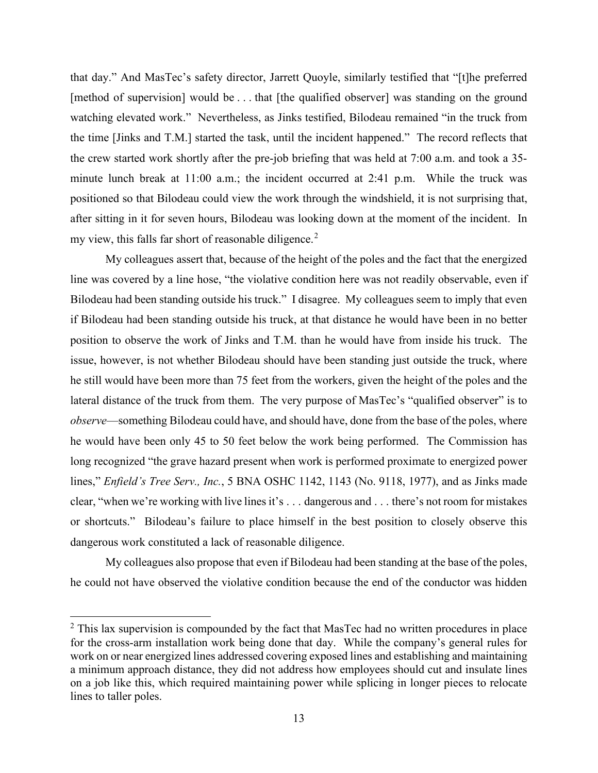that day." And MasTec's safety director, Jarrett Quoyle, similarly testified that "[t]he preferred [method of supervision] would be . . . that [the qualified observer] was standing on the ground watching elevated work." Nevertheless, as Jinks testified, Bilodeau remained "in the truck from the time [Jinks and T.M.] started the task, until the incident happened." The record reflects that the crew started work shortly after the pre-job briefing that was held at 7:00 a.m. and took a 35 minute lunch break at 11:00 a.m.; the incident occurred at 2:41 p.m. While the truck was positioned so that Bilodeau could view the work through the windshield, it is not surprising that, after sitting in it for seven hours, Bilodeau was looking down at the moment of the incident. In my view, this falls far short of reasonable diligence. $2$ 

My colleagues assert that, because of the height of the poles and the fact that the energized line was covered by a line hose, "the violative condition here was not readily observable, even if Bilodeau had been standing outside his truck." I disagree. My colleagues seem to imply that even if Bilodeau had been standing outside his truck, at that distance he would have been in no better position to observe the work of Jinks and T.M. than he would have from inside his truck. The issue, however, is not whether Bilodeau should have been standing just outside the truck, where he still would have been more than 75 feet from the workers, given the height of the poles and the lateral distance of the truck from them. The very purpose of MasTec's "qualified observer" is to *observe*—something Bilodeau could have, and should have, done from the base of the poles, where he would have been only 45 to 50 feet below the work being performed. The Commission has long recognized "the grave hazard present when work is performed proximate to energized power lines," *Enfield's Tree Serv., Inc.*, 5 BNA OSHC 1142, 1143 (No. 9118, 1977), and as Jinks made clear, "when we're working with live lines it's . . . dangerous and . . . there's not room for mistakes or shortcuts." Bilodeau's failure to place himself in the best position to closely observe this dangerous work constituted a lack of reasonable diligence.

My colleagues also propose that even if Bilodeau had been standing at the base of the poles, he could not have observed the violative condition because the end of the conductor was hidden

<span id="page-12-0"></span> $2$  This lax supervision is compounded by the fact that MasTec had no written procedures in place for the cross-arm installation work being done that day. While the company's general rules for work on or near energized lines addressed covering exposed lines and establishing and maintaining a minimum approach distance, they did not address how employees should cut and insulate lines on a job like this, which required maintaining power while splicing in longer pieces to relocate lines to taller poles.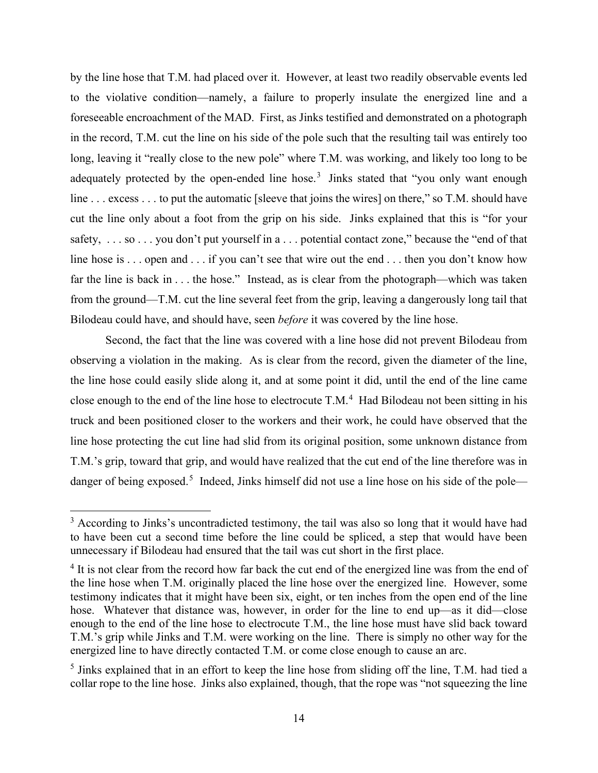by the line hose that T.M. had placed over it. However, at least two readily observable events led to the violative condition—namely, a failure to properly insulate the energized line and a foreseeable encroachment of the MAD. First, as Jinks testified and demonstrated on a photograph in the record, T.M. cut the line on his side of the pole such that the resulting tail was entirely too long, leaving it "really close to the new pole" where T.M. was working, and likely too long to be adequately protected by the open-ended line hose.<sup>[3](#page-13-0)</sup> Jinks stated that "you only want enough line . . . excess . . . to put the automatic [sleeve that joins the wires] on there," so T.M. should have cut the line only about a foot from the grip on his side. Jinks explained that this is "for your safety, . . . so . . . you don't put yourself in a . . . potential contact zone," because the "end of that line hose is . . . open and . . . if you can't see that wire out the end . . . then you don't know how far the line is back in . . . the hose." Instead, as is clear from the photograph—which was taken from the ground—T.M. cut the line several feet from the grip, leaving a dangerously long tail that Bilodeau could have, and should have, seen *before* it was covered by the line hose.

Second, the fact that the line was covered with a line hose did not prevent Bilodeau from observing a violation in the making. As is clear from the record, given the diameter of the line, the line hose could easily slide along it, and at some point it did, until the end of the line came close enough to the end of the line hose to electrocute  $T.M.^4$  $T.M.^4$  Had Bilodeau not been sitting in his truck and been positioned closer to the workers and their work, he could have observed that the line hose protecting the cut line had slid from its original position, some unknown distance from T.M.'s grip, toward that grip, and would have realized that the cut end of the line therefore was in danger of being exposed.<sup>[5](#page-13-2)</sup> Indeed, Jinks himself did not use a line hose on his side of the pole—

<span id="page-13-0"></span><sup>&</sup>lt;sup>3</sup> According to Jinks's uncontradicted testimony, the tail was also so long that it would have had to have been cut a second time before the line could be spliced, a step that would have been unnecessary if Bilodeau had ensured that the tail was cut short in the first place.

<span id="page-13-1"></span><sup>&</sup>lt;sup>4</sup> It is not clear from the record how far back the cut end of the energized line was from the end of the line hose when T.M. originally placed the line hose over the energized line. However, some testimony indicates that it might have been six, eight, or ten inches from the open end of the line hose. Whatever that distance was, however, in order for the line to end up—as it did—close enough to the end of the line hose to electrocute T.M., the line hose must have slid back toward T.M.'s grip while Jinks and T.M. were working on the line. There is simply no other way for the energized line to have directly contacted T.M. or come close enough to cause an arc.

<span id="page-13-2"></span><sup>&</sup>lt;sup>5</sup> Jinks explained that in an effort to keep the line hose from sliding off the line, T.M. had tied a collar rope to the line hose. Jinks also explained, though, that the rope was "not squeezing the line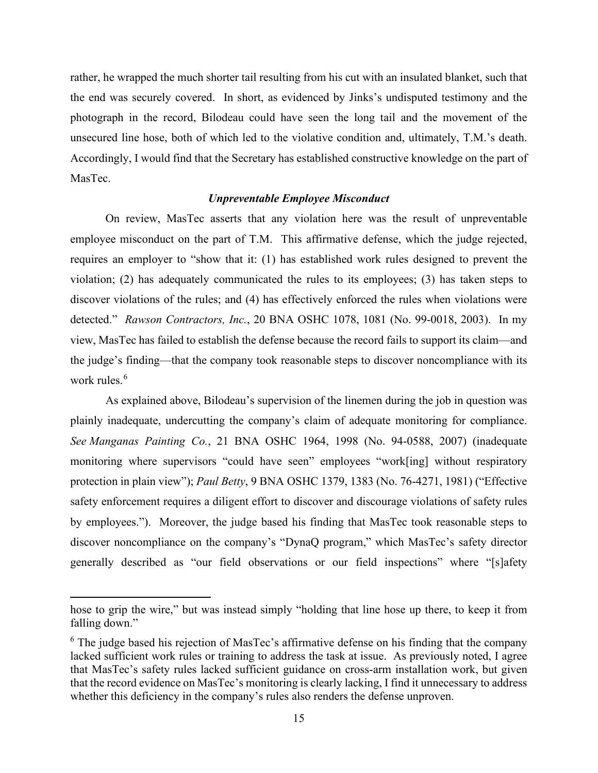rather, he wrapped the much shorter tail resulting from his cut with an insulated blanket, such that the end was securely covered. In short, as evidenced by Jinks's undisputed testimony and the photograph in the record, Bilodeau could have seen the long tail and the movement of the unsecured line hose, both of which led to the violative condition and, ultimately, T.M.'s death. Accordingly, I would find that the Secretary has established constructive knowledge on the part of MasTec.

### *Unpreventable Employee Misconduct*

On review, MasTec asserts that any violation here was the result of unpreventable employee misconduct on the part of T.M. This affirmative defense, which the judge rejected, requires an employer to "show that it: (1) has established work rules designed to prevent the violation; (2) has adequately communicated the rules to its employees; (3) has taken steps to discover violations of the rules; and (4) has effectively enforced the rules when violations were detected." *Rawson Contractors, Inc.*, 20 BNA OSHC 1078, 1081 (No. 99-0018, 2003). In my view, MasTec has failed to establish the defense because the record fails to support its claim—and the judge's finding—that the company took reasonable steps to discover noncompliance with its work rules.<sup>[6](#page-14-0)</sup>

As explained above, Bilodeau's supervision of the linemen during the job in question was plainly inadequate, undercutting the company's claim of adequate monitoring for compliance. *See Manganas Painting Co.*, 21 BNA OSHC 1964, 1998 (No. 94-0588, 2007) (inadequate monitoring where supervisors "could have seen" employees "work[ing] without respiratory protection in plain view"); *Paul Betty*, 9 BNA OSHC 1379, 1383 (No. 76-4271, 1981) ("Effective safety enforcement requires a diligent effort to discover and discourage violations of safety rules by employees."). Moreover, the judge based his finding that MasTec took reasonable steps to discover noncompliance on the company's "DynaQ program," which MasTec's safety director generally described as "our field observations or our field inspections" where "[s]afety

hose to grip the wire," but was instead simply "holding that line hose up there, to keep it from falling down."

<span id="page-14-0"></span><sup>&</sup>lt;sup>6</sup> The judge based his rejection of MasTec's affirmative defense on his finding that the company lacked sufficient work rules or training to address the task at issue. As previously noted, I agree that MasTec's safety rules lacked sufficient guidance on cross-arm installation work, but given that the record evidence on MasTec's monitoring is clearly lacking, I find it unnecessary to address whether this deficiency in the company's rules also renders the defense unproven.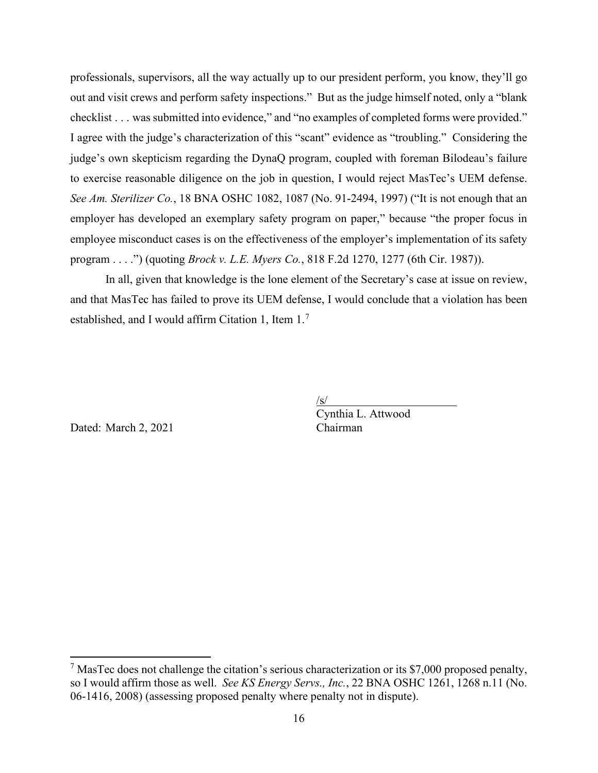professionals, supervisors, all the way actually up to our president perform, you know, they'll go out and visit crews and perform safety inspections." But as the judge himself noted, only a "blank checklist . . . was submitted into evidence," and "no examples of completed forms were provided." I agree with the judge's characterization of this "scant" evidence as "troubling." Considering the judge's own skepticism regarding the DynaQ program, coupled with foreman Bilodeau's failure to exercise reasonable diligence on the job in question, I would reject MasTec's UEM defense. *See Am. Sterilizer Co.*, 18 BNA OSHC 1082, 1087 (No. 91-2494, 1997) ("It is not enough that an employer has developed an exemplary safety program on paper," because "the proper focus in employee misconduct cases is on the effectiveness of the employer's implementation of its safety program . . . .") (quoting *Brock v. L.E. Myers Co.*, 818 F.2d 1270, 1277 (6th Cir. 1987)).

In all, given that knowledge is the lone element of the Secretary's case at issue on review, and that MasTec has failed to prove its UEM defense, I would conclude that a violation has been established, and I would affirm Citation 1, Item 1.[7](#page-15-0)

/s/

Dated: March 2, 2021

Cynthia L. Attwood

<span id="page-15-0"></span><sup>&</sup>lt;sup>7</sup> MasTec does not challenge the citation's serious characterization or its \$7,000 proposed penalty, so I would affirm those as well. *See KS Energy Servs., Inc.*, 22 BNA OSHC 1261, 1268 n.11 (No. 06-1416, 2008) (assessing proposed penalty where penalty not in dispute).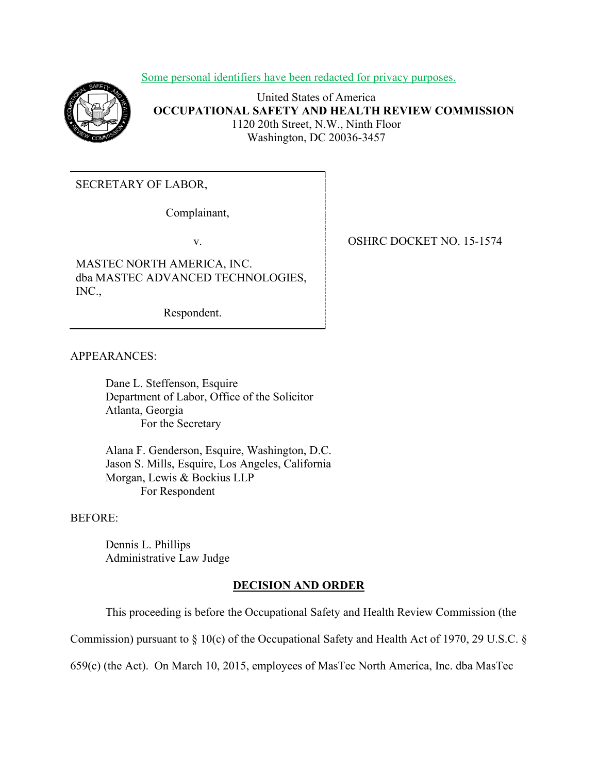Some personal identifiers have been redacted for privacy purposes.



United States of America **OCCUPATIONAL SAFETY AND HEALTH REVIEW COMMISSION** 1120 20th Street, N.W., Ninth Floor Washington, DC 20036-3457

SECRETARY OF LABOR,

Complainant,

MASTEC NORTH AMERICA, INC. dba MASTEC ADVANCED TECHNOLOGIES, INC.,

Respondent.

v. SHRC DOCKET NO. 15-1574

APPEARANCES:

Dane L. Steffenson, Esquire Department of Labor, Office of the Solicitor Atlanta, Georgia For the Secretary

Alana F. Genderson, Esquire, Washington, D.C. Jason S. Mills, Esquire, Los Angeles, California Morgan, Lewis & Bockius LLP For Respondent

BEFORE:

Dennis L. Phillips Administrative Law Judge

## **DECISION AND ORDER**

This proceeding is before the Occupational Safety and Health Review Commission (the

Commission) pursuant to § 10(c) of the Occupational Safety and Health Act of 1970, 29 U.S.C. §

659(c) (the Act). On March 10, 2015, employees of MasTec North America, Inc. dba MasTec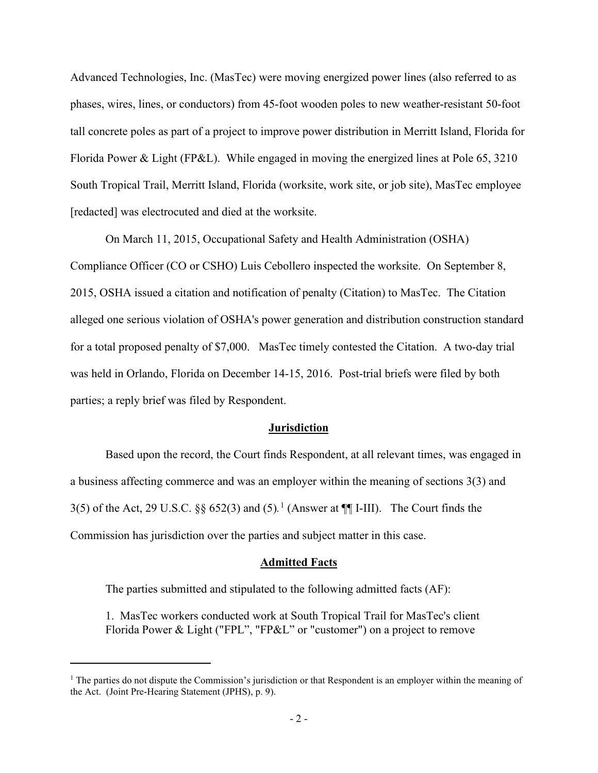Advanced Technologies, Inc. (MasTec) were moving energized power lines (also referred to as phases, wires, lines, or conductors) from 45-foot wooden poles to new weather-resistant 50-foot tall concrete poles as part of a project to improve power distribution in Merritt Island, Florida for Florida Power & Light (FP&L). While engaged in moving the energized lines at Pole 65, 3210 South Tropical Trail, Merritt Island, Florida (worksite, work site, or job site), MasTec employee [redacted] was electrocuted and died at the worksite.

On March 11, 2015, Occupational Safety and Health Administration (OSHA) Compliance Officer (CO or CSHO) Luis Cebollero inspected the worksite. On September 8, 2015, OSHA issued a citation and notification of penalty (Citation) to MasTec. The Citation alleged one serious violation of OSHA's power generation and distribution construction standard for a total proposed penalty of \$7,000. MasTec timely contested the Citation. A two-day trial was held in Orlando, Florida on December 14-15, 2016. Post-trial briefs were filed by both parties; a reply brief was filed by Respondent.

#### **Jurisdiction**

Based upon the record, the Court finds Respondent, at all relevant times, was engaged in a business affecting commerce and was an employer within the meaning of sections 3(3) and 3(5) of the Act, 29 U.S.C.  $\S\S 652(3)$  and  $(5)$ .<sup>[1](#page-17-0)</sup> (Answer at  $\P\P$ I-III). The Court finds the Commission has jurisdiction over the parties and subject matter in this case.

#### **Admitted Facts**

The parties submitted and stipulated to the following admitted facts (AF):

1. MasTec workers conducted work at South Tropical Trail for MasTec's client Florida Power & Light ("FPL", "FP&L" or "customer") on a project to remove

<span id="page-17-0"></span> $<sup>1</sup>$  The parties do not dispute the Commission's jurisdiction or that Respondent is an employer within the meaning of</sup> the Act. (Joint Pre-Hearing Statement (JPHS), p. 9).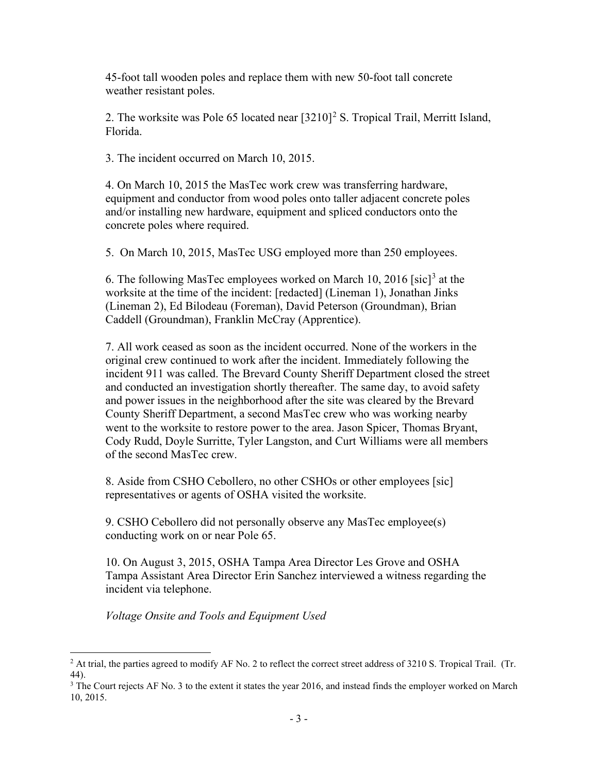45-foot tall wooden poles and replace them with new 50-foot tall concrete weather resistant poles.

[2](#page-18-0). The worksite was Pole 65 located near  $[3210]^2$  S. Tropical Trail, Merritt Island, Florida.

3. The incident occurred on March 10, 2015.

4. On March 10, 2015 the MasTec work crew was transferring hardware, equipment and conductor from wood poles onto taller adjacent concrete poles and/or installing new hardware, equipment and spliced conductors onto the concrete poles where required.

5. On March 10, 2015, MasTec USG employed more than 250 employees.

6. The following MasTec employees worked on March 10, 2016 [sic][3](#page-18-1) at the worksite at the time of the incident: [redacted] (Lineman 1), Jonathan Jinks (Lineman 2), Ed Bilodeau (Foreman), David Peterson (Groundman), Brian Caddell (Groundman), Franklin McCray (Apprentice).

7. All work ceased as soon as the incident occurred. None of the workers in the original crew continued to work after the incident. Immediately following the incident 911 was called. The Brevard County Sheriff Department closed the street and conducted an investigation shortly thereafter. The same day, to avoid safety and power issues in the neighborhood after the site was cleared by the Brevard County Sheriff Department, a second MasTec crew who was working nearby went to the worksite to restore power to the area. Jason Spicer, Thomas Bryant, Cody Rudd, Doyle Surritte, Tyler Langston, and Curt Williams were all members of the second MasTec crew.

8. Aside from CSHO Cebollero, no other CSHOs or other employees [sic] representatives or agents of OSHA visited the worksite.

9. CSHO Cebollero did not personally observe any MasTec employee(s) conducting work on or near Pole 65.

10. On August 3, 2015, OSHA Tampa Area Director Les Grove and OSHA Tampa Assistant Area Director Erin Sanchez interviewed a witness regarding the incident via telephone.

*Voltage Onsite and Tools and Equipment Used*

<span id="page-18-0"></span><sup>&</sup>lt;sup>2</sup> At trial, the parties agreed to modify AF No. 2 to reflect the correct street address of 3210 S. Tropical Trail. (Tr. 44).

<span id="page-18-1"></span><sup>&</sup>lt;sup>3</sup> The Court rejects AF No. 3 to the extent it states the year 2016, and instead finds the employer worked on March 10, 2015.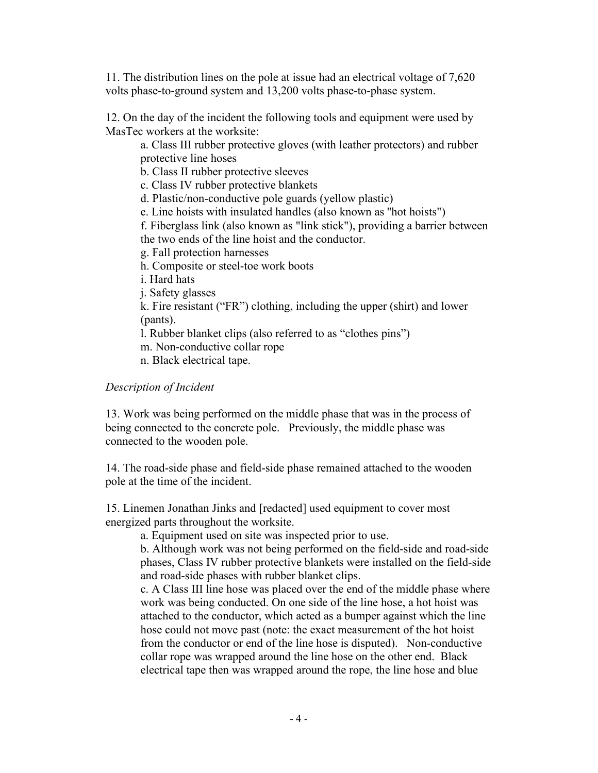11. The distribution lines on the pole at issue had an electrical voltage of 7,620 volts phase-to-ground system and 13,200 volts phase-to-phase system.

12. On the day of the incident the following tools and equipment were used by MasTec workers at the worksite:

a. Class III rubber protective gloves (with leather protectors) and rubber protective line hoses

b. Class II rubber protective sleeves

c. Class IV rubber protective blankets

d. Plastic/non-conductive pole guards (yellow plastic)

e. Line hoists with insulated handles (also known as ''hot hoists")

f. Fiberglass link (also known as "link stick"), providing a barrier between

the two ends of the line hoist and the conductor.

g. Fall protection harnesses

h. Composite or steel-toe work boots

i. Hard hats

j. Safety glasses

k. Fire resistant ("FR") clothing, including the upper (shirt) and lower (pants).

l. Rubber blanket clips (also referred to as "clothes pins")

m. Non-conductive collar rope

n. Black electrical tape.

## *Description of Incident*

13. Work was being performed on the middle phase that was in the process of being connected to the concrete pole. Previously, the middle phase was connected to the wooden pole.

14. The road-side phase and field-side phase remained attached to the wooden pole at the time of the incident.

15. Linemen Jonathan Jinks and [redacted] used equipment to cover most energized parts throughout the worksite.

a. Equipment used on site was inspected prior to use.

b. Although work was not being performed on the field-side and road-side phases, Class IV rubber protective blankets were installed on the field-side and road-side phases with rubber blanket clips.

c. A Class III line hose was placed over the end of the middle phase where work was being conducted. On one side of the line hose, a hot hoist was attached to the conductor, which acted as a bumper against which the line hose could not move past (note: the exact measurement of the hot hoist from the conductor or end of the line hose is disputed). Non-conductive collar rope was wrapped around the line hose on the other end. Black electrical tape then was wrapped around the rope, the line hose and blue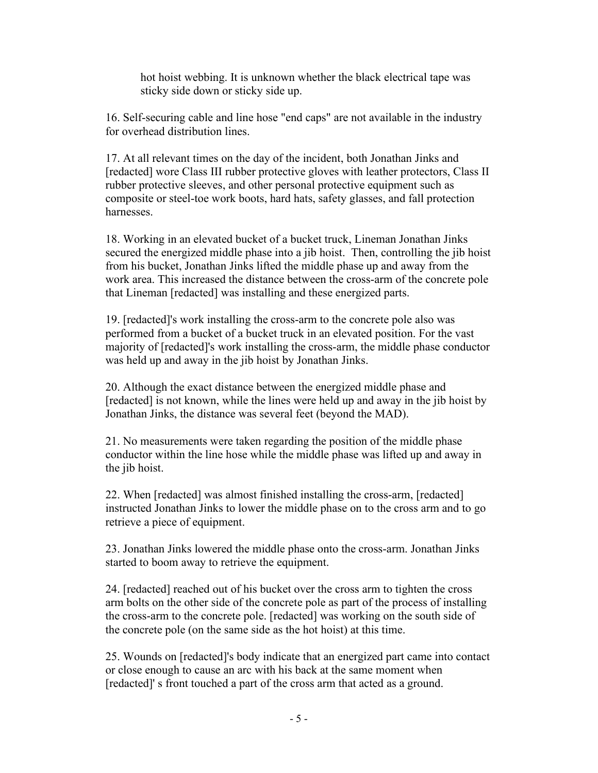hot hoist webbing. It is unknown whether the black electrical tape was sticky side down or sticky side up.

16. Self-securing cable and line hose "end caps" are not available in the industry for overhead distribution lines.

17. At all relevant times on the day of the incident, both Jonathan Jinks and [redacted] wore Class III rubber protective gloves with leather protectors, Class II rubber protective sleeves, and other personal protective equipment such as composite or steel-toe work boots, hard hats, safety glasses, and fall protection harnesses.

18. Working in an elevated bucket of a bucket truck, Lineman Jonathan Jinks secured the energized middle phase into a jib hoist. Then, controlling the jib hoist from his bucket, Jonathan Jinks lifted the middle phase up and away from the work area. This increased the distance between the cross-arm of the concrete pole that Lineman [redacted] was installing and these energized parts.

19. [redacted]'s work installing the cross-arm to the concrete pole also was performed from a bucket of a bucket truck in an elevated position. For the vast majority of [redacted]'s work installing the cross-arm, the middle phase conductor was held up and away in the jib hoist by Jonathan Jinks.

20. Although the exact distance between the energized middle phase and [redacted] is not known, while the lines were held up and away in the jib hoist by Jonathan Jinks, the distance was several feet (beyond the MAD).

21. No measurements were taken regarding the position of the middle phase conductor within the line hose while the middle phase was lifted up and away in the jib hoist.

22. When [redacted] was almost finished installing the cross-arm, [redacted] instructed Jonathan Jinks to lower the middle phase on to the cross arm and to go retrieve a piece of equipment.

23. Jonathan Jinks lowered the middle phase onto the cross-arm. Jonathan Jinks started to boom away to retrieve the equipment.

24. [redacted] reached out of his bucket over the cross arm to tighten the cross arm bolts on the other side of the concrete pole as part of the process of installing the cross-arm to the concrete pole. [redacted] was working on the south side of the concrete pole (on the same side as the hot hoist) at this time.

25. Wounds on [redacted]'s body indicate that an energized part came into contact or close enough to cause an arc with his back at the same moment when [redacted]' s front touched a part of the cross arm that acted as a ground.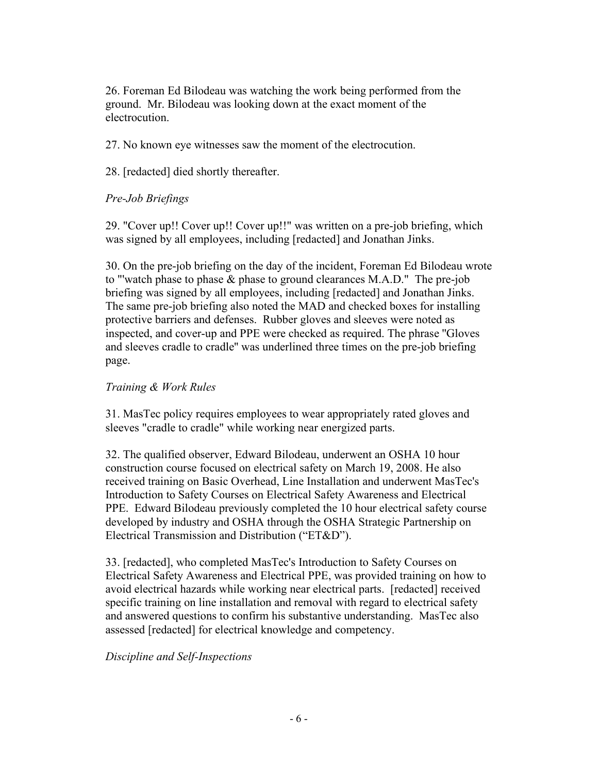26. Foreman Ed Bilodeau was watching the work being performed from the ground. Mr. Bilodeau was looking down at the exact moment of the electrocution.

27. No known eye witnesses saw the moment of the electrocution.

28. [redacted] died shortly thereafter.

# *Pre-Job Briefings*

29. "Cover up!! Cover up!! Cover up!!" was written on a pre-job briefing, which was signed by all employees, including [redacted] and Jonathan Jinks.

30. On the pre-job briefing on the day of the incident, Foreman Ed Bilodeau wrote to "'watch phase to phase & phase to ground clearances M.A.D." The pre-job briefing was signed by all employees, including [redacted] and Jonathan Jinks. The same pre-job briefing also noted the MAD and checked boxes for installing protective barriers and defenses. Rubber gloves and sleeves were noted as inspected, and cover-up and PPE were checked as required. The phrase ''Gloves and sleeves cradle to cradle'' was underlined three times on the pre-job briefing page.

## *Training & Work Rules*

31. MasTec policy requires employees to wear appropriately rated gloves and sleeves "cradle to cradle" while working near energized parts.

32. The qualified observer, Edward Bilodeau, underwent an OSHA 10 hour construction course focused on electrical safety on March 19, 2008. He also received training on Basic Overhead, Line Installation and underwent MasTec's Introduction to Safety Courses on Electrical Safety Awareness and Electrical PPE. Edward Bilodeau previously completed the 10 hour electrical safety course developed by industry and OSHA through the OSHA Strategic Partnership on Electrical Transmission and Distribution ("ET&D").

33. [redacted], who completed MasTec's Introduction to Safety Courses on Electrical Safety Awareness and Electrical PPE, was provided training on how to avoid electrical hazards while working near electrical parts. [redacted] received specific training on line installation and removal with regard to electrical safety and answered questions to confirm his substantive understanding. MasTec also assessed [redacted] for electrical knowledge and competency.

# *Discipline and Self-Inspections*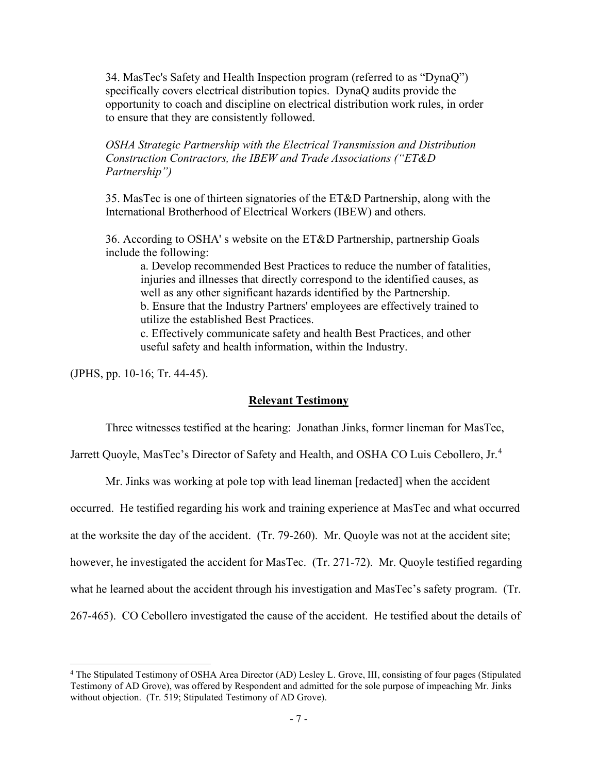34. MasTec's Safety and Health Inspection program (referred to as "DynaQ") specifically covers electrical distribution topics. DynaQ audits provide the opportunity to coach and discipline on electrical distribution work rules, in order to ensure that they are consistently followed.

*OSHA Strategic Partnership with the Electrical Transmission and Distribution Construction Contractors, the IBEW and Trade Associations ("ET&D Partnership")*

35. MasTec is one of thirteen signatories of the ET&D Partnership, along with the International Brotherhood of Electrical Workers (IBEW) and others.

36. According to OSHA' s website on the ET&D Partnership, partnership Goals include the following:

a. Develop recommended Best Practices to reduce the number of fatalities, injuries and illnesses that directly correspond to the identified causes, as well as any other significant hazards identified by the Partnership. b. Ensure that the Industry Partners' employees are effectively trained to utilize the established Best Practices.

c. Effectively communicate safety and health Best Practices, and other useful safety and health information, within the Industry.

(JPHS, pp. 10-16; Tr. 44-45).

#### **Relevant Testimony**

Three witnesses testified at the hearing: Jonathan Jinks, former lineman for MasTec,

Jarrett Quoyle, MasTec's Director of Safety and Health, and OSHA CO Luis Cebollero, Jr.<sup>[4](#page-22-0)</sup>

Mr. Jinks was working at pole top with lead lineman [redacted] when the accident

occurred. He testified regarding his work and training experience at MasTec and what occurred

at the worksite the day of the accident. (Tr. 79-260). Mr. Quoyle was not at the accident site;

however, he investigated the accident for MasTec. (Tr. 271-72). Mr. Quoyle testified regarding

what he learned about the accident through his investigation and MasTec's safety program. (Tr.

267-465). CO Cebollero investigated the cause of the accident. He testified about the details of

<span id="page-22-0"></span><sup>4</sup> The Stipulated Testimony of OSHA Area Director (AD) Lesley L. Grove, III, consisting of four pages (Stipulated Testimony of AD Grove), was offered by Respondent and admitted for the sole purpose of impeaching Mr. Jinks without objection. (Tr. 519; Stipulated Testimony of AD Grove).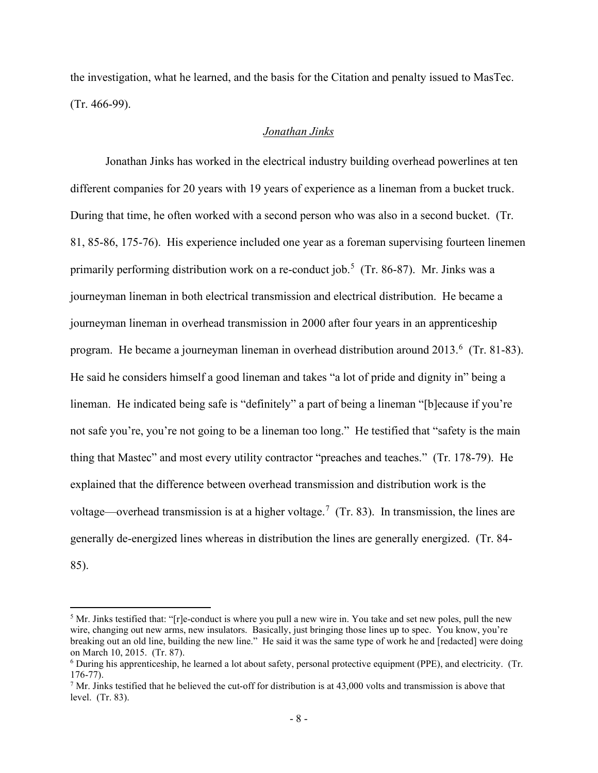the investigation, what he learned, and the basis for the Citation and penalty issued to MasTec. (Tr. 466-99).

## *Jonathan Jinks*

Jonathan Jinks has worked in the electrical industry building overhead powerlines at ten different companies for 20 years with 19 years of experience as a lineman from a bucket truck. During that time, he often worked with a second person who was also in a second bucket. (Tr. 81, 85-86, 175-76). His experience included one year as a foreman supervising fourteen linemen primarily performing distribution work on a re-conduct job.<sup>[5](#page-23-0)</sup> (Tr. 86-87). Mr. Jinks was a journeyman lineman in both electrical transmission and electrical distribution. He became a journeyman lineman in overhead transmission in 2000 after four years in an apprenticeship program. He became a journeyman lineman in overhead distribution around 2013.<sup>[6](#page-23-1)</sup> (Tr. 81-83). He said he considers himself a good lineman and takes "a lot of pride and dignity in" being a lineman. He indicated being safe is "definitely" a part of being a lineman "[b]ecause if you're not safe you're, you're not going to be a lineman too long." He testified that "safety is the main thing that Mastec" and most every utility contractor "preaches and teaches." (Tr. 178-79). He explained that the difference between overhead transmission and distribution work is the voltage—overhead transmission is at a higher voltage.<sup>[7](#page-23-2)</sup> (Tr. 83). In transmission, the lines are generally de-energized lines whereas in distribution the lines are generally energized. (Tr. 84- 85).

<span id="page-23-0"></span> $5$  Mr. Jinks testified that: "[r]e-conduct is where you pull a new wire in. You take and set new poles, pull the new wire, changing out new arms, new insulators. Basically, just bringing those lines up to spec. You know, you're breaking out an old line, building the new line." He said it was the same type of work he and [redacted] were doing on March 10, 2015. (Tr. 87).

<span id="page-23-1"></span><sup>6</sup> During his apprenticeship, he learned a lot about safety, personal protective equipment (PPE), and electricity. (Tr. 176-77).<br><sup>7</sup> Mr. Jinks testified that he believed the cut-off for distribution is at 43,000 volts and transmission is above that

<span id="page-23-2"></span>level. (Tr. 83).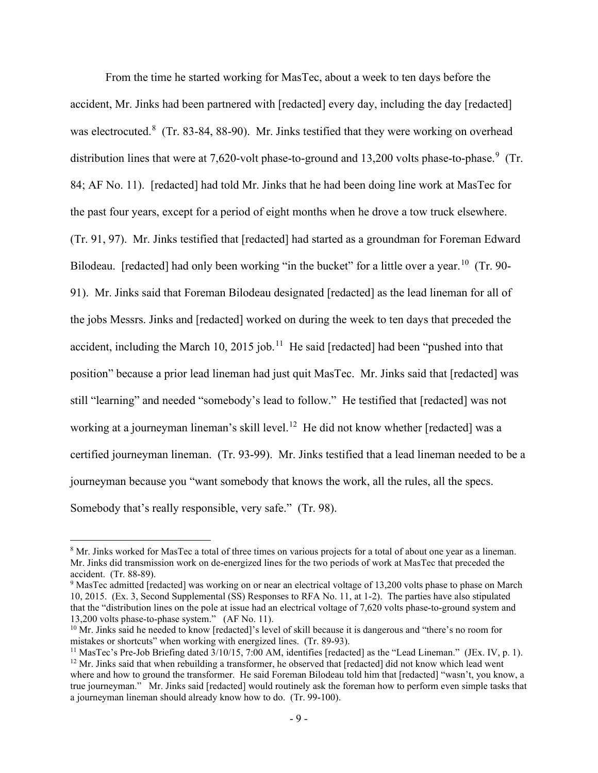From the time he started working for MasTec, about a week to ten days before the accident, Mr. Jinks had been partnered with [redacted] every day, including the day [redacted] was electrocuted.<sup>[8](#page-24-0)</sup> (Tr. 83-84, 88-90). Mr. Jinks testified that they were working on overhead distribution lines that were at 7,620-volt phase-to-ground and 13,200 volts phase-to-phase.<sup>[9](#page-24-1)</sup> (Tr. 84; AF No. 11). [redacted] had told Mr. Jinks that he had been doing line work at MasTec for the past four years, except for a period of eight months when he drove a tow truck elsewhere. (Tr. 91, 97). Mr. Jinks testified that [redacted] had started as a groundman for Foreman Edward Bilodeau. [redacted] had only been working "in the bucket" for a little over a year.<sup>[10](#page-24-2)</sup> (Tr. 90-91). Mr. Jinks said that Foreman Bilodeau designated [redacted] as the lead lineman for all of the jobs Messrs. Jinks and [redacted] worked on during the week to ten days that preceded the accident, including the March 10, 2015 job.<sup>[11](#page-24-3)</sup> He said [redacted] had been "pushed into that position" because a prior lead lineman had just quit MasTec. Mr. Jinks said that [redacted] was still "learning" and needed "somebody's lead to follow." He testified that [redacted] was not working at a journeyman lineman's skill level.<sup>[12](#page-24-4)</sup> He did not know whether [redacted] was a certified journeyman lineman. (Tr. 93-99). Mr. Jinks testified that a lead lineman needed to be a journeyman because you "want somebody that knows the work, all the rules, all the specs. Somebody that's really responsible, very safe." (Tr. 98).

<span id="page-24-0"></span><sup>8</sup> Mr. Jinks worked for MasTec a total of three times on various projects for a total of about one year as a lineman. Mr. Jinks did transmission work on de-energized lines for the two periods of work at MasTec that preceded the

<span id="page-24-1"></span> $9$  MasTec admitted [redacted] was working on or near an electrical voltage of 13,200 volts phase to phase on March 10, 2015. (Ex. 3, Second Supplemental (SS) Responses to RFA No. 11, at 1-2). The parties have also stipulated that the "distribution lines on the pole at issue had an electrical voltage of 7,620 volts phase-to-ground system and 13,200 volts phase-to-phase system." (AF No. 11).

<span id="page-24-2"></span> $10$  Mr. Jinks said he needed to know [redacted]'s level of skill because it is dangerous and "there's no room for mistakes or shortcuts" when working with energized lines. (Tr. 89-93).

<span id="page-24-4"></span><span id="page-24-3"></span><sup>&</sup>lt;sup>11</sup> MasTec's Pre-Job Briefing dated  $3/10/15$ , 7:00 AM, identifies [redacted] as the "Lead Lineman." (JEx. IV, p. 1).  $12$  Mr. Jinks said that when rebuilding a transformer, he observed that [redacted] did not know which lead went where and how to ground the transformer. He said Foreman Bilodeau told him that [redacted] "wasn't, you know, a true journeyman." Mr. Jinks said [redacted] would routinely ask the foreman how to perform even simple tasks that a journeyman lineman should already know how to do. (Tr. 99-100).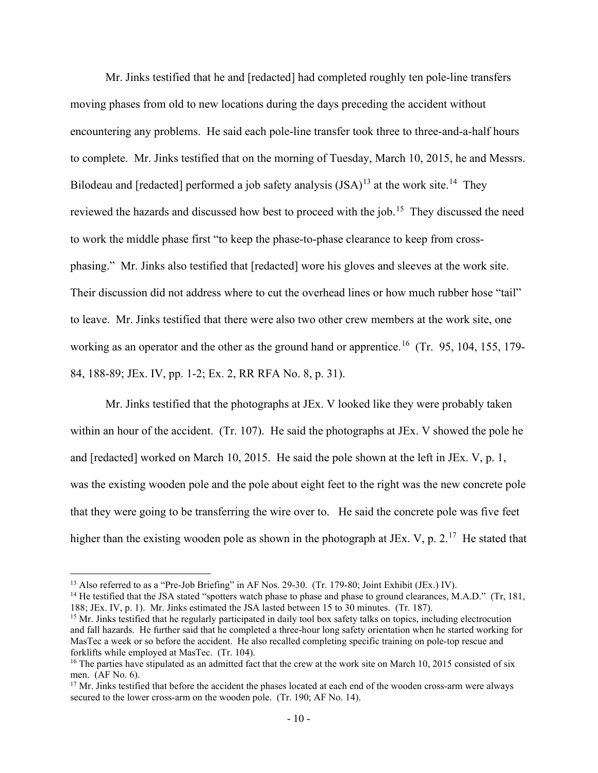Mr. Jinks testified that he and [redacted] had completed roughly ten pole-line transfers moving phases from old to new locations during the days preceding the accident without encountering any problems. He said each pole-line transfer took three to three-and-a-half hours to complete. Mr. Jinks testified that on the morning of Tuesday, March 10, 2015, he and Messrs. Bilodeau and [redacted] performed a job safety analysis  $(ISA)^{13}$  $(ISA)^{13}$  $(ISA)^{13}$  at the work site.<sup>[14](#page-25-1)</sup> They reviewed the hazards and discussed how best to proceed with the job.<sup>15</sup> They discussed the need to work the middle phase first "to keep the phase-to-phase clearance to keep from crossphasing." Mr. Jinks also testified that [redacted] wore his gloves and sleeves at the work site. Their discussion did not address where to cut the overhead lines or how much rubber hose "tail" to leave. Mr. Jinks testified that there were also two other crew members at the work site, one working as an operator and the other as the ground hand or apprentice.<sup>16</sup> (Tr. 95, 104, 155, 179-84, 188-89; JEx. IV, pp. 1-2; Ex. 2, RR RFA No. 8, p. 31).

Mr. Jinks testified that the photographs at JEx. V looked like they were probably taken within an hour of the accident. (Tr. 107). He said the photographs at JEx. V showed the pole he and [redacted] worked on March 10, 2015. He said the pole shown at the left in JEx. V, p. 1, was the existing wooden pole and the pole about eight feet to the right was the new concrete pole that they were going to be transferring the wire over to. He said the concrete pole was five feet higher than the existing wooden pole as shown in the photograph at JEx. V, p.  $2.^{17}$  He stated that

<span id="page-25-1"></span><span id="page-25-0"></span><sup>&</sup>lt;sup>13</sup> Also referred to as a "Pre-Job Briefing" in AF Nos. 29-30. (Tr. 179-80; Joint Exhibit (JEx.) IV).<br><sup>14</sup> He testified that the JSA stated "spotters watch phase to phase and phase to ground clearances, M.A.D." (Tr, 181,

<span id="page-25-2"></span><sup>&</sup>lt;sup>15</sup> Mr. Jinks testified that he regularly participated in daily tool box safety talks on topics, including electrocution and fall hazards. He further said that he completed a three-hour long safety orientation when he started working for MasTec a week or so before the accident. He also recalled completing specific training on pole-top rescue and forklifts while employed at MasTec. (Tr. 104).<br><sup>16</sup> The parties have stipulated as an admitted fact that the crew at the work site on March 10, 2015 consisted of six

<span id="page-25-3"></span>men. (AF No. 6).

<span id="page-25-4"></span> $17$  Mr. Jinks testified that before the accident the phases located at each end of the wooden cross-arm were always secured to the lower cross-arm on the wooden pole. (Tr. 190; AF No. 14).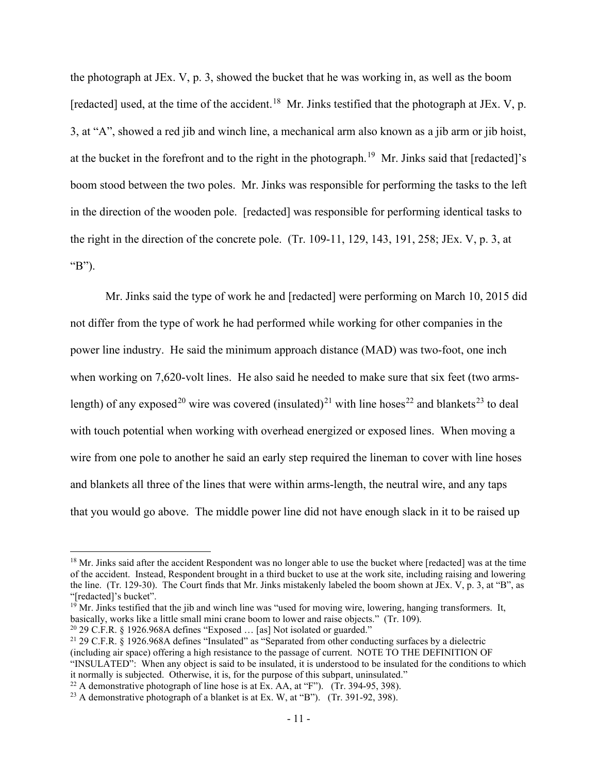the photograph at JEx. V, p. 3, showed the bucket that he was working in, as well as the boom [redacted] used, at the time of the accident.<sup>18</sup> Mr. Jinks testified that the photograph at JEx. V, p. 3, at "A", showed a red jib and winch line, a mechanical arm also known as a jib arm or jib hoist, at the bucket in the forefront and to the right in the photograph.<sup>[19](#page-26-1)</sup> Mr. Jinks said that [redacted]'s boom stood between the two poles. Mr. Jinks was responsible for performing the tasks to the left in the direction of the wooden pole. [redacted] was responsible for performing identical tasks to the right in the direction of the concrete pole. (Tr. 109-11, 129, 143, 191, 258; JEx. V, p. 3, at "B").

Mr. Jinks said the type of work he and [redacted] were performing on March 10, 2015 did not differ from the type of work he had performed while working for other companies in the power line industry. He said the minimum approach distance (MAD) was two-foot, one inch when working on 7,620-volt lines. He also said he needed to make sure that six feet (two arms-length) of any exposed<sup>[20](#page-26-2)</sup> wire was covered (insulated)<sup>[21](#page-26-3)</sup> with line hoses<sup>22</sup> and blankets<sup>[23](#page-26-5)</sup> to deal with touch potential when working with overhead energized or exposed lines. When moving a wire from one pole to another he said an early step required the lineman to cover with line hoses and blankets all three of the lines that were within arms-length, the neutral wire, and any taps that you would go above. The middle power line did not have enough slack in it to be raised up

<span id="page-26-0"></span> $18$  Mr. Jinks said after the accident Respondent was no longer able to use the bucket where [redacted] was at the time of the accident. Instead, Respondent brought in a third bucket to use at the work site, including raising and lowering the line. (Tr. 129-30). The Court finds that Mr. Jinks mistakenly labeled the boom shown at JEx. V, p. 3, at "B", as "[redacted]'s bucket".<br><sup>19</sup> Mr. Jinks testified that the jib and winch line was "used for moving wire, lowering, hanging transformers. It,

<span id="page-26-1"></span>basically, works like a little small mini crane boom to lower and raise objects." (Tr. 109).<br><sup>20</sup> 29 C.F.R. § 1926.968A defines "Exposed ... [as] Not isolated or guarded."

<span id="page-26-2"></span>

<span id="page-26-3"></span><sup>&</sup>lt;sup>21</sup> 29 C.F.R.  $\S$  1926.968A defines "Insulated" as "Separated from other conducting surfaces by a dielectric (including air space) offering a high resistance to the passage of current. NOTE TO THE DEFINITION OF "INSULATED": When any object is said to be insulated, it is understood to be insulated for the conditions to which it normally is subjected. Otherwise, it is, for the purpose of this subpart, uninsulated."

<span id="page-26-4"></span><sup>&</sup>lt;sup>22</sup> A demonstrative photograph of line hose is at Ex. AA, at "F"). (Tr. 394-95, 398).

<span id="page-26-5"></span><sup>&</sup>lt;sup>23</sup> A demonstrative photograph of a blanket is at Ex. W, at "B"). (Tr. 391-92, 398).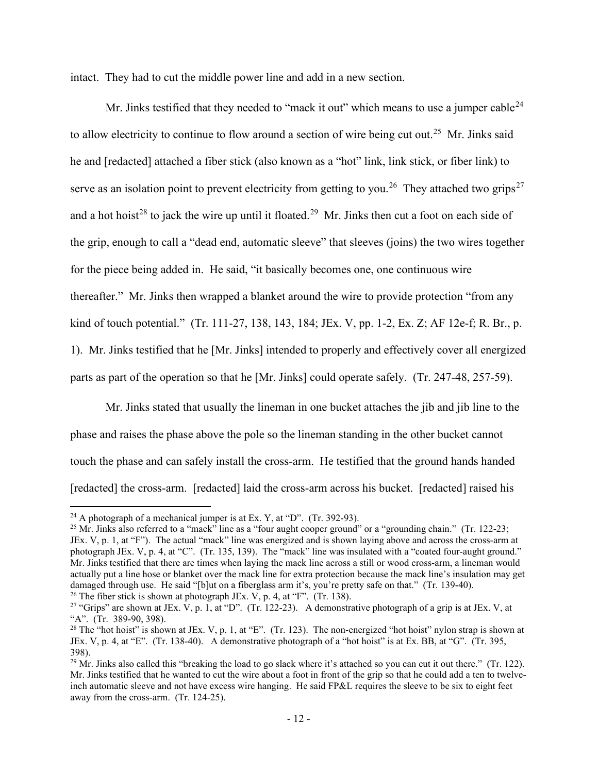intact. They had to cut the middle power line and add in a new section.

Mr. Jinks testified that they needed to "mack it out" which means to use a jumper cable  $24$ to allow electricity to continue to flow around a section of wire being cut out.<sup>[25](#page-27-1)</sup> Mr. Jinks said he and [redacted] attached a fiber stick (also known as a "hot" link, link stick, or fiber link) to serve as an isolation point to prevent electricity from getting to you.<sup>26</sup> They attached two grips<sup>[27](#page-27-3)</sup> and a hot hoist<sup>28</sup> to jack the wire up until it floated.<sup>29</sup> Mr. Jinks then cut a foot on each side of the grip, enough to call a "dead end, automatic sleeve" that sleeves (joins) the two wires together for the piece being added in. He said, "it basically becomes one, one continuous wire thereafter." Mr. Jinks then wrapped a blanket around the wire to provide protection "from any kind of touch potential." (Tr. 111-27, 138, 143, 184; JEx. V, pp. 1-2, Ex. Z; AF 12e-f; R. Br., p. 1). Mr. Jinks testified that he [Mr. Jinks] intended to properly and effectively cover all energized parts as part of the operation so that he [Mr. Jinks] could operate safely. (Tr. 247-48, 257-59).

Mr. Jinks stated that usually the lineman in one bucket attaches the jib and jib line to the phase and raises the phase above the pole so the lineman standing in the other bucket cannot touch the phase and can safely install the cross-arm. He testified that the ground hands handed [redacted] the cross-arm. [redacted] laid the cross-arm across his bucket. [redacted] raised his

<span id="page-27-1"></span><span id="page-27-0"></span>

<sup>&</sup>lt;sup>24</sup> A photograph of a mechanical jumper is at Ex. Y, at "D". (Tr. 392-93).<br><sup>25</sup> Mr. Jinks also referred to a "mack" line as a "four aught cooper ground" or a "grounding chain." (Tr. 122-23; JEx. V, p. 1, at "F"). The actual "mack" line was energized and is shown laying above and across the cross-arm at photograph JEx. V, p. 4, at "C". (Tr. 135, 139). The "mack" line was insulated with a "coated four-aught ground." Mr. Jinks testified that there are times when laying the mack line across a still or wood cross-arm, a lineman would actually put a line hose or blanket over the mack line for extra protection because the mack line's insulation may get damaged through use. He said "[b]ut on a fiberglass arm it's, you're pretty safe on that." (Tr. 139-40). <sup>26</sup> The fiber stick is shown at photograph JEx. V, p. 4, at "F". (Tr. 138).

<span id="page-27-3"></span><span id="page-27-2"></span><sup>&</sup>lt;sup>27</sup> "Grips" are shown at JEx. V, p. 1, at "D". (Tr. 122-23). A demonstrative photograph of a grip is at JEx. V, at "A". (Tr. 389-90, 398).

<span id="page-27-4"></span><sup>&</sup>lt;sup>28</sup> The "hot hoist" is shown at JEx. V, p. 1, at "E". (Tr. 123). The non-energized "hot hoist" nylon strap is shown at JEx. V, p. 4, at "E". (Tr. 138-40). A demonstrative photograph of a "hot hoist" is at Ex. BB, at "G". (Tr. 395, 398).

<span id="page-27-5"></span><sup>&</sup>lt;sup>29</sup> Mr. Jinks also called this "breaking the load to go slack where it's attached so you can cut it out there." (Tr. 122). Mr. Jinks testified that he wanted to cut the wire about a foot in front of the grip so that he could add a ten to twelveinch automatic sleeve and not have excess wire hanging. He said FP&L requires the sleeve to be six to eight feet away from the cross-arm. (Tr. 124-25).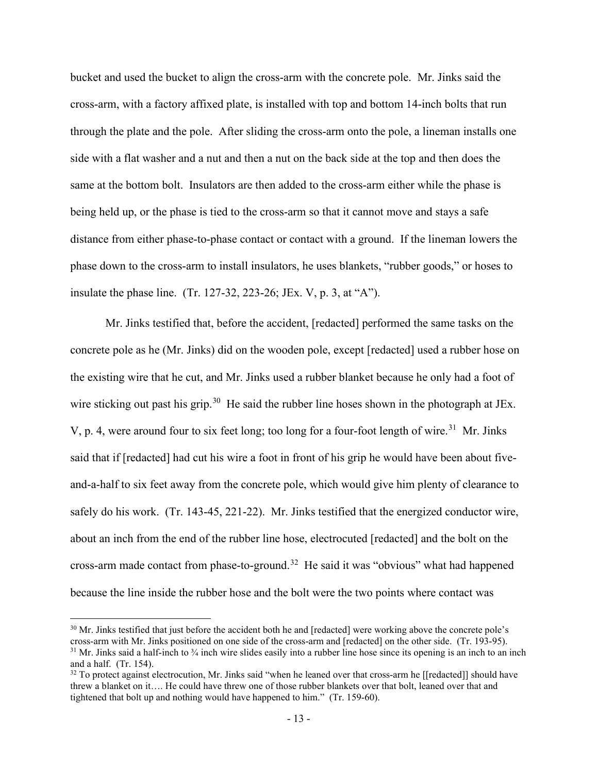bucket and used the bucket to align the cross-arm with the concrete pole. Mr. Jinks said the cross-arm, with a factory affixed plate, is installed with top and bottom 14-inch bolts that run through the plate and the pole. After sliding the cross-arm onto the pole, a lineman installs one side with a flat washer and a nut and then a nut on the back side at the top and then does the same at the bottom bolt. Insulators are then added to the cross-arm either while the phase is being held up, or the phase is tied to the cross-arm so that it cannot move and stays a safe distance from either phase-to-phase contact or contact with a ground. If the lineman lowers the phase down to the cross-arm to install insulators, he uses blankets, "rubber goods," or hoses to insulate the phase line. (Tr. 127-32, 223-26; JEx. V, p. 3, at "A").

Mr. Jinks testified that, before the accident, [redacted] performed the same tasks on the concrete pole as he (Mr. Jinks) did on the wooden pole, except [redacted] used a rubber hose on the existing wire that he cut, and Mr. Jinks used a rubber blanket because he only had a foot of wire sticking out past his grip.<sup>30</sup> He said the rubber line hoses shown in the photograph at JEx. V, p. 4, were around four to six feet long; too long for a four-foot length of wire.<sup>31</sup> Mr. Jinks said that if [redacted] had cut his wire a foot in front of his grip he would have been about fiveand-a-half to six feet away from the concrete pole, which would give him plenty of clearance to safely do his work. (Tr. 143-45, 221-22). Mr. Jinks testified that the energized conductor wire, about an inch from the end of the rubber line hose, electrocuted [redacted] and the bolt on the cross-arm made contact from phase-to-ground.<sup>32</sup> He said it was "obvious" what had happened because the line inside the rubber hose and the bolt were the two points where contact was

<span id="page-28-0"></span> $30$  Mr. Jinks testified that just before the accident both he and [redacted] were working above the concrete pole's cross-arm with Mr. Jinks positioned on one side of the cross-arm and [redacted] on the other side. (Tr.  $31$  Mr. Jinks said a half-inch to  $\frac{3}{4}$  inch wire slides easily into a rubber line hose since its opening is an inch to an inch and a half. (Tr. 154).

<span id="page-28-2"></span><span id="page-28-1"></span> $32$  To protect against electrocution, Mr. Jinks said "when he leaned over that cross-arm he [[redacted]] should have threw a blanket on it…. He could have threw one of those rubber blankets over that bolt, leaned over that and tightened that bolt up and nothing would have happened to him." (Tr. 159-60).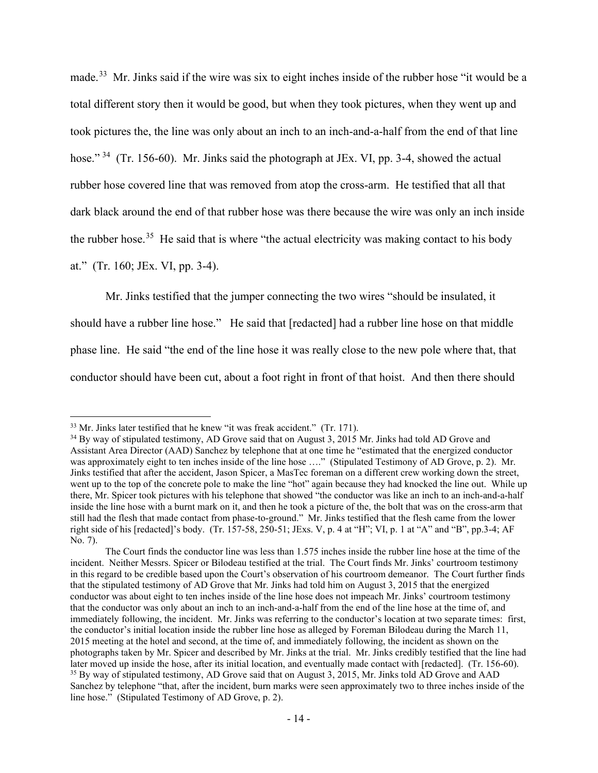made.[33](#page-29-0) Mr. Jinks said if the wire was six to eight inches inside of the rubber hose "it would be a total different story then it would be good, but when they took pictures, when they went up and took pictures the, the line was only about an inch to an inch-and-a-half from the end of that line hose." <sup>[34](#page-29-1)</sup> (Tr. 156-60). Mr. Jinks said the photograph at JEx. VI, pp. 3-4, showed the actual rubber hose covered line that was removed from atop the cross-arm. He testified that all that dark black around the end of that rubber hose was there because the wire was only an inch inside the rubber hose.<sup>35</sup> He said that is where "the actual electricity was making contact to his body at." (Tr. 160; JEx. VI, pp. 3-4).

Mr. Jinks testified that the jumper connecting the two wires "should be insulated, it should have a rubber line hose." He said that [redacted] had a rubber line hose on that middle phase line. He said "the end of the line hose it was really close to the new pole where that, that conductor should have been cut, about a foot right in front of that hoist. And then there should

<span id="page-29-1"></span><span id="page-29-0"></span> $33$  Mr. Jinks later testified that he knew "it was freak accident." (Tr. 171).<br> $34$  By way of stipulated testimony, AD Grove said that on August 3, 2015 Mr. Jinks had told AD Grove and Assistant Area Director (AAD) Sanchez by telephone that at one time he "estimated that the energized conductor was approximately eight to ten inches inside of the line hose …." (Stipulated Testimony of AD Grove, p. 2). Mr. Jinks testified that after the accident, Jason Spicer, a MasTec foreman on a different crew working down the street, went up to the top of the concrete pole to make the line "hot" again because they had knocked the line out. While up there, Mr. Spicer took pictures with his telephone that showed "the conductor was like an inch to an inch-and-a-half inside the line hose with a burnt mark on it, and then he took a picture of the, the bolt that was on the cross-arm that still had the flesh that made contact from phase-to-ground." Mr. Jinks testified that the flesh came from the lower right side of his [redacted]'s body. (Tr. 157-58, 250-51; JExs. V, p. 4 at "H"; VI, p. 1 at "A" and "B", pp.3-4; AF No. 7).

<span id="page-29-2"></span>The Court finds the conductor line was less than 1.575 inches inside the rubber line hose at the time of the incident. Neither Messrs. Spicer or Bilodeau testified at the trial. The Court finds Mr. Jinks' courtroom testimony in this regard to be credible based upon the Court's observation of his courtroom demeanor. The Court further finds that the stipulated testimony of AD Grove that Mr. Jinks had told him on August 3, 2015 that the energized conductor was about eight to ten inches inside of the line hose does not impeach Mr. Jinks' courtroom testimony that the conductor was only about an inch to an inch-and-a-half from the end of the line hose at the time of, and immediately following, the incident. Mr. Jinks was referring to the conductor's location at two separate times: first, the conductor's initial location inside the rubber line hose as alleged by Foreman Bilodeau during the March 11, 2015 meeting at the hotel and second, at the time of, and immediately following, the incident as shown on the photographs taken by Mr. Spicer and described by Mr. Jinks at the trial. Mr. Jinks credibly testified that the line had later moved up inside the hose, after its initial location, and eventually made contact with [redacted]. (Tr. 156-60). 35 By way of stipulated testimony, AD Grove said that on August 3, 2015, Mr. Jinks told AD Grove and AAD Sanchez by telephone "that, after the incident, burn marks were seen approximately two to three inches inside of the line hose." (Stipulated Testimony of AD Grove, p. 2).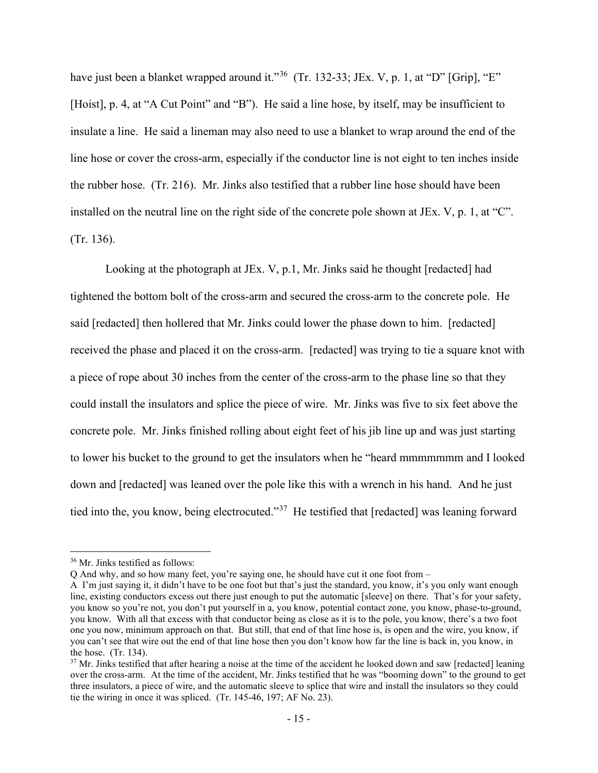have just been a blanket wrapped around it."<sup>36</sup> (Tr. 132-33; JEx. V, p. 1, at "D" [Grip], "E" [Hoist], p. 4, at "A Cut Point" and "B"). He said a line hose, by itself, may be insufficient to insulate a line. He said a lineman may also need to use a blanket to wrap around the end of the line hose or cover the cross-arm, especially if the conductor line is not eight to ten inches inside the rubber hose. (Tr. 216). Mr. Jinks also testified that a rubber line hose should have been installed on the neutral line on the right side of the concrete pole shown at JEx. V, p. 1, at "C". (Tr. 136).

Looking at the photograph at JEx. V, p.1, Mr. Jinks said he thought [redacted] had tightened the bottom bolt of the cross-arm and secured the cross-arm to the concrete pole. He said [redacted] then hollered that Mr. Jinks could lower the phase down to him. [redacted] received the phase and placed it on the cross-arm. [redacted] was trying to tie a square knot with a piece of rope about 30 inches from the center of the cross-arm to the phase line so that they could install the insulators and splice the piece of wire. Mr. Jinks was five to six feet above the concrete pole. Mr. Jinks finished rolling about eight feet of his jib line up and was just starting to lower his bucket to the ground to get the insulators when he "heard mmmmmmm and I looked down and [redacted] was leaned over the pole like this with a wrench in his hand. And he just tied into the, you know, being electrocuted."[37](#page-30-1) He testified that [redacted] was leaning forward

<span id="page-30-0"></span><sup>36</sup> Mr. Jinks testified as follows:

Q And why, and so how many feet, you're saying one, he should have cut it one foot from –

A I'm just saying it, it didn't have to be one foot but that's just the standard, you know, it's you only want enough line, existing conductors excess out there just enough to put the automatic [sleeve] on there. That's for your safety, you know so you're not, you don't put yourself in a, you know, potential contact zone, you know, phase-to-ground, you know. With all that excess with that conductor being as close as it is to the pole, you know, there's a two foot one you now, minimum approach on that. But still, that end of that line hose is, is open and the wire, you know, if you can't see that wire out the end of that line hose then you don't know how far the line is back in, you know, in the hose. (Tr. 134).<br><sup>37</sup> Mr. Jinks testified that after hearing a noise at the time of the accident he looked down and saw [redacted] leaning

<span id="page-30-1"></span>over the cross-arm. At the time of the accident, Mr. Jinks testified that he was "booming down" to the ground to get three insulators, a piece of wire, and the automatic sleeve to splice that wire and install the insulators so they could tie the wiring in once it was spliced. (Tr. 145-46, 197; AF No. 23).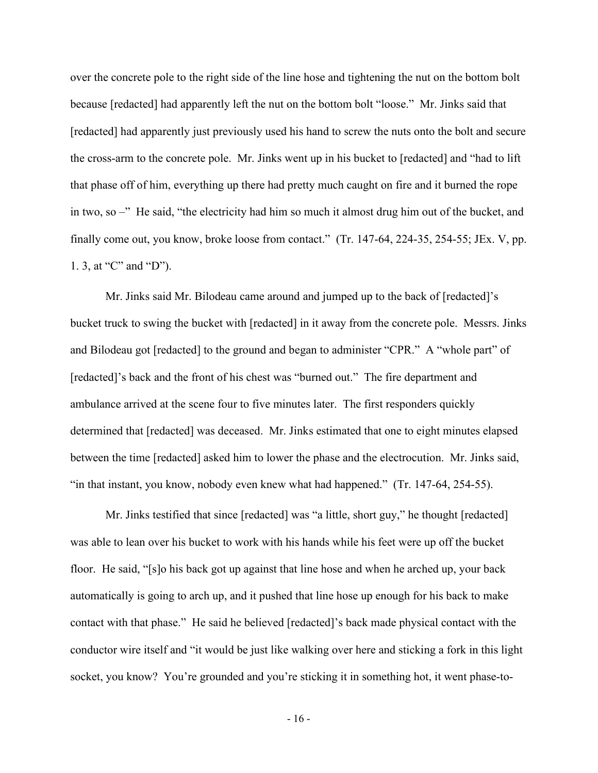over the concrete pole to the right side of the line hose and tightening the nut on the bottom bolt because [redacted] had apparently left the nut on the bottom bolt "loose." Mr. Jinks said that [redacted] had apparently just previously used his hand to screw the nuts onto the bolt and secure the cross-arm to the concrete pole. Mr. Jinks went up in his bucket to [redacted] and "had to lift that phase off of him, everything up there had pretty much caught on fire and it burned the rope in two, so –" He said, "the electricity had him so much it almost drug him out of the bucket, and finally come out, you know, broke loose from contact." (Tr. 147-64, 224-35, 254-55; JEx. V, pp. 1. 3, at "C" and "D").

Mr. Jinks said Mr. Bilodeau came around and jumped up to the back of [redacted]'s bucket truck to swing the bucket with [redacted] in it away from the concrete pole. Messrs. Jinks and Bilodeau got [redacted] to the ground and began to administer "CPR." A "whole part" of [redacted]'s back and the front of his chest was "burned out." The fire department and ambulance arrived at the scene four to five minutes later. The first responders quickly determined that [redacted] was deceased. Mr. Jinks estimated that one to eight minutes elapsed between the time [redacted] asked him to lower the phase and the electrocution. Mr. Jinks said, "in that instant, you know, nobody even knew what had happened." (Tr. 147-64, 254-55).

Mr. Jinks testified that since [redacted] was "a little, short guy," he thought [redacted] was able to lean over his bucket to work with his hands while his feet were up off the bucket floor. He said, "[s]o his back got up against that line hose and when he arched up, your back automatically is going to arch up, and it pushed that line hose up enough for his back to make contact with that phase." He said he believed [redacted]'s back made physical contact with the conductor wire itself and "it would be just like walking over here and sticking a fork in this light socket, you know? You're grounded and you're sticking it in something hot, it went phase-to-

- 16 -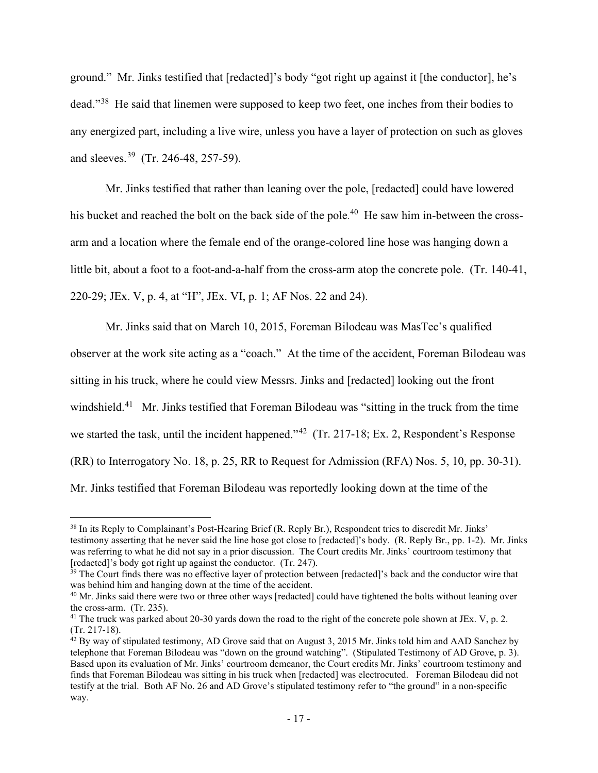ground." Mr. Jinks testified that [redacted]'s body "got right up against it [the conductor], he's dead."[38](#page-32-0) He said that linemen were supposed to keep two feet, one inches from their bodies to any energized part, including a live wire, unless you have a layer of protection on such as gloves and sleeves.[39](#page-32-1) (Tr. 246-48, 257-59).

Mr. Jinks testified that rather than leaning over the pole, [redacted] could have lowered his bucket and reached the bolt on the back side of the pole.<sup>40</sup> He saw him in-between the crossarm and a location where the female end of the orange-colored line hose was hanging down a little bit, about a foot to a foot-and-a-half from the cross-arm atop the concrete pole. (Tr. 140-41, 220-29; JEx. V, p. 4, at "H", JEx. VI, p. 1; AF Nos. 22 and 24).

Mr. Jinks said that on March 10, 2015, Foreman Bilodeau was MasTec's qualified observer at the work site acting as a "coach." At the time of the accident, Foreman Bilodeau was sitting in his truck, where he could view Messrs. Jinks and [redacted] looking out the front windshield.<sup>[41](#page-32-3)</sup> Mr. Jinks testified that Foreman Bilodeau was "sitting in the truck from the time we started the task, until the incident happened."<sup>[42](#page-32-4)</sup> (Tr. 217-18; Ex. 2, Respondent's Response (RR) to Interrogatory No. 18, p. 25, RR to Request for Admission (RFA) Nos. 5, 10, pp. 30-31). Mr. Jinks testified that Foreman Bilodeau was reportedly looking down at the time of the

<span id="page-32-0"></span><sup>38</sup> In its Reply to Complainant's Post-Hearing Brief (R. Reply Br.), Respondent tries to discredit Mr. Jinks' testimony asserting that he never said the line hose got close to [redacted]'s body. (R. Reply Br., pp. 1-2). Mr. Jinks was referring to what he did not say in a prior discussion. The Court credits Mr. Jinks' courtroom testimony that

<span id="page-32-1"></span><sup>[</sup>redacted]'s body got right up against the conductor. (Tr. 247).<br><sup>39</sup> The Court finds there was no effective layer of protection between [redacted]'s back and the conductor wire that was behind him and hanging down at the

<span id="page-32-2"></span> $40$  Mr. Jinks said there were two or three other ways [redacted] could have tightened the bolts without leaning over the cross-arm. (Tr. 235).

<span id="page-32-3"></span><sup>&</sup>lt;sup>41</sup> The truck was parked about 20-30 yards down the road to the right of the concrete pole shown at JEx. V, p. 2.  $(Tr. 217-18)$ .

<span id="page-32-4"></span> $\frac{42}{3}$  By way of stipulated testimony, AD Grove said that on August 3, 2015 Mr. Jinks told him and AAD Sanchez by telephone that Foreman Bilodeau was "down on the ground watching". (Stipulated Testimony of AD Grove, p. 3). Based upon its evaluation of Mr. Jinks' courtroom demeanor, the Court credits Mr. Jinks' courtroom testimony and finds that Foreman Bilodeau was sitting in his truck when [redacted] was electrocuted. Foreman Bilodeau did not testify at the trial. Both AF No. 26 and AD Grove's stipulated testimony refer to "the ground" in a non-specific way.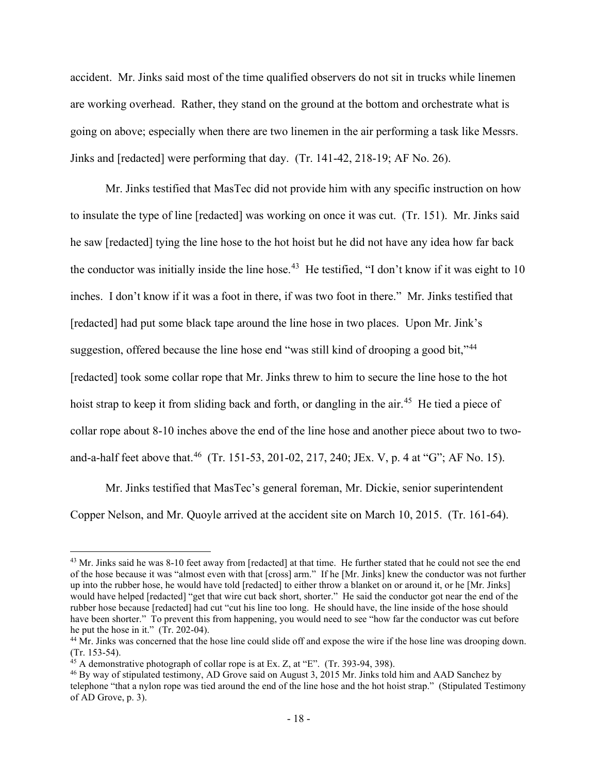accident. Mr. Jinks said most of the time qualified observers do not sit in trucks while linemen are working overhead. Rather, they stand on the ground at the bottom and orchestrate what is going on above; especially when there are two linemen in the air performing a task like Messrs. Jinks and [redacted] were performing that day. (Tr. 141-42, 218-19; AF No. 26).

Mr. Jinks testified that MasTec did not provide him with any specific instruction on how to insulate the type of line [redacted] was working on once it was cut. (Tr. 151). Mr. Jinks said he saw [redacted] tying the line hose to the hot hoist but he did not have any idea how far back the conductor was initially inside the line hose.<sup>43</sup> He testified, "I don't know if it was eight to 10 inches. I don't know if it was a foot in there, if was two foot in there." Mr. Jinks testified that [redacted] had put some black tape around the line hose in two places. Upon Mr. Jink's suggestion, offered because the line hose end "was still kind of drooping a good bit,"<sup>[44](#page-33-1)</sup> [redacted] took some collar rope that Mr. Jinks threw to him to secure the line hose to the hot hoist strap to keep it from sliding back and forth, or dangling in the air.<sup>[45](#page-33-2)</sup> He tied a piece of collar rope about 8-10 inches above the end of the line hose and another piece about two to twoand-a-half feet above that.<sup>46</sup> (Tr. 151-53, 201-02, 217, 240; JEx. V, p. 4 at "G"; AF No. 15).

Mr. Jinks testified that MasTec's general foreman, Mr. Dickie, senior superintendent Copper Nelson, and Mr. Quoyle arrived at the accident site on March 10, 2015. (Tr. 161-64).

<span id="page-33-0"></span><sup>&</sup>lt;sup>43</sup> Mr. Jinks said he was 8-10 feet away from [redacted] at that time. He further stated that he could not see the end of the hose because it was "almost even with that [cross] arm." If he [Mr. Jinks] knew the conductor was not further up into the rubber hose, he would have told [redacted] to either throw a blanket on or around it, or he [Mr. Jinks] would have helped [redacted] "get that wire cut back short, shorter." He said the conductor got near the end of the rubber hose because [redacted] had cut "cut his line too long. He should have, the line inside of the hose should have been shorter." To prevent this from happening, you would need to see "how far the conductor was cut before he put the hose in it." (Tr. 202-04).

<span id="page-33-1"></span><sup>&</sup>lt;sup>44</sup> Mr. Jinks was concerned that the hose line could slide off and expose the wire if the hose line was drooping down. (Tr. 153-54).<br> $^{45}$  A demonstrative photograph of collar rope is at Ex. Z, at "E". (Tr. 393-94, 398).

<span id="page-33-2"></span>

<span id="page-33-3"></span><sup>&</sup>lt;sup>46</sup> By way of stipulated testimony, AD Grove said on August 3, 2015 Mr. Jinks told him and AAD Sanchez by telephone "that a nylon rope was tied around the end of the line hose and the hot hoist strap." (Stipulated Testimony of AD Grove, p. 3).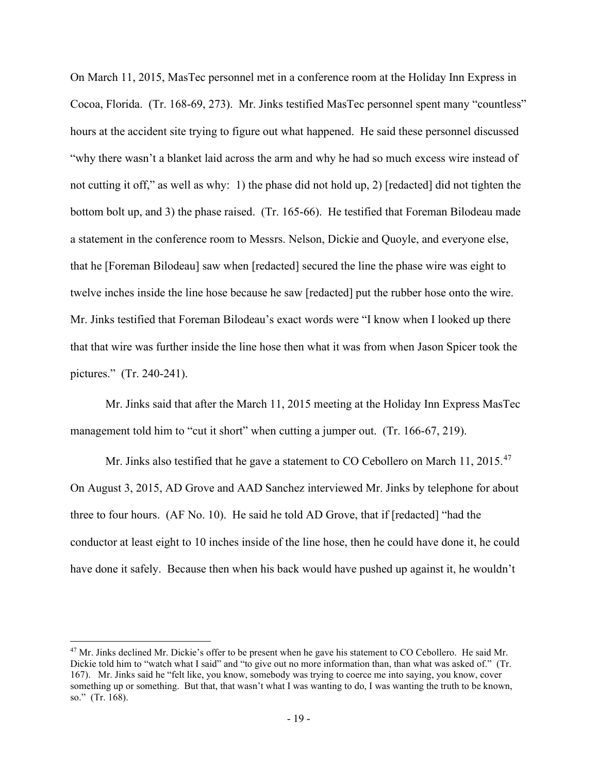On March 11, 2015, MasTec personnel met in a conference room at the Holiday Inn Express in Cocoa, Florida. (Tr. 168-69, 273). Mr. Jinks testified MasTec personnel spent many "countless" hours at the accident site trying to figure out what happened. He said these personnel discussed "why there wasn't a blanket laid across the arm and why he had so much excess wire instead of not cutting it off," as well as why: 1) the phase did not hold up, 2) [redacted] did not tighten the bottom bolt up, and 3) the phase raised. (Tr. 165-66). He testified that Foreman Bilodeau made a statement in the conference room to Messrs. Nelson, Dickie and Quoyle, and everyone else, that he [Foreman Bilodeau] saw when [redacted] secured the line the phase wire was eight to twelve inches inside the line hose because he saw [redacted] put the rubber hose onto the wire. Mr. Jinks testified that Foreman Bilodeau's exact words were "I know when I looked up there that that wire was further inside the line hose then what it was from when Jason Spicer took the pictures." (Tr. 240-241).

Mr. Jinks said that after the March 11, 2015 meeting at the Holiday Inn Express MasTec management told him to "cut it short" when cutting a jumper out. (Tr. 166-67, 219).

Mr. Jinks also testified that he gave a statement to CO Cebollero on March 11, 2015.<sup>47</sup> On August 3, 2015, AD Grove and AAD Sanchez interviewed Mr. Jinks by telephone for about three to four hours. (AF No. 10). He said he told AD Grove, that if [redacted] "had the conductor at least eight to 10 inches inside of the line hose, then he could have done it, he could have done it safely. Because then when his back would have pushed up against it, he wouldn't

<span id="page-34-0"></span><sup>&</sup>lt;sup>47</sup> Mr. Jinks declined Mr. Dickie's offer to be present when he gave his statement to CO Cebollero. He said Mr. Dickie told him to "watch what I said" and "to give out no more information than, than what was asked of." (Tr. 167). Mr. Jinks said he "felt like, you know, somebody was trying to coerce me into saying, you know, cover something up or something. But that, that wasn't what I was wanting to do, I was wanting the truth to be known, so." (Tr. 168).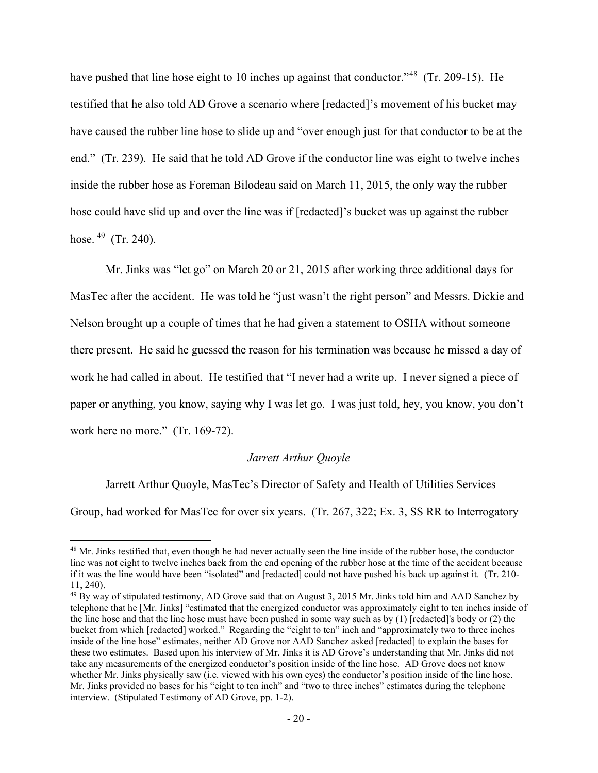have pushed that line hose eight to 10 inches up against that conductor."<sup>48</sup> (Tr. 209-15). He testified that he also told AD Grove a scenario where [redacted]'s movement of his bucket may have caused the rubber line hose to slide up and "over enough just for that conductor to be at the end." (Tr. 239). He said that he told AD Grove if the conductor line was eight to twelve inches inside the rubber hose as Foreman Bilodeau said on March 11, 2015, the only way the rubber hose could have slid up and over the line was if [redacted]'s bucket was up against the rubber hose. <sup>49</sup> (Tr. 240).

Mr. Jinks was "let go" on March 20 or 21, 2015 after working three additional days for MasTec after the accident. He was told he "just wasn't the right person" and Messrs. Dickie and Nelson brought up a couple of times that he had given a statement to OSHA without someone there present. He said he guessed the reason for his termination was because he missed a day of work he had called in about. He testified that "I never had a write up. I never signed a piece of paper or anything, you know, saying why I was let go. I was just told, hey, you know, you don't work here no more." (Tr. 169-72).

## *Jarrett Arthur Quoyle*

Jarrett Arthur Quoyle, MasTec's Director of Safety and Health of Utilities Services

Group, had worked for MasTec for over six years. (Tr. 267, 322; Ex. 3, SS RR to Interrogatory

<span id="page-35-0"></span><sup>&</sup>lt;sup>48</sup> Mr. Jinks testified that, even though he had never actually seen the line inside of the rubber hose, the conductor line was not eight to twelve inches back from the end opening of the rubber hose at the time of the accident because if it was the line would have been "isolated" and [redacted] could not have pushed his back up against it. (Tr. 210- 11, 240).

<span id="page-35-1"></span><sup>&</sup>lt;sup>49</sup> By way of stipulated testimony, AD Grove said that on August 3, 2015 Mr. Jinks told him and AAD Sanchez by telephone that he [Mr. Jinks] "estimated that the energized conductor was approximately eight to ten inches inside of the line hose and that the line hose must have been pushed in some way such as by (1) [redacted]'s body or (2) the bucket from which [redacted] worked." Regarding the "eight to ten" inch and "approximately two to three inches inside of the line hose" estimates, neither AD Grove nor AAD Sanchez asked [redacted] to explain the bases for these two estimates. Based upon his interview of Mr. Jinks it is AD Grove's understanding that Mr. Jinks did not take any measurements of the energized conductor's position inside of the line hose. AD Grove does not know whether Mr. Jinks physically saw (i.e. viewed with his own eyes) the conductor's position inside of the line hose. Mr. Jinks provided no bases for his "eight to ten inch" and "two to three inches" estimates during the telephone interview. (Stipulated Testimony of AD Grove, pp. 1-2).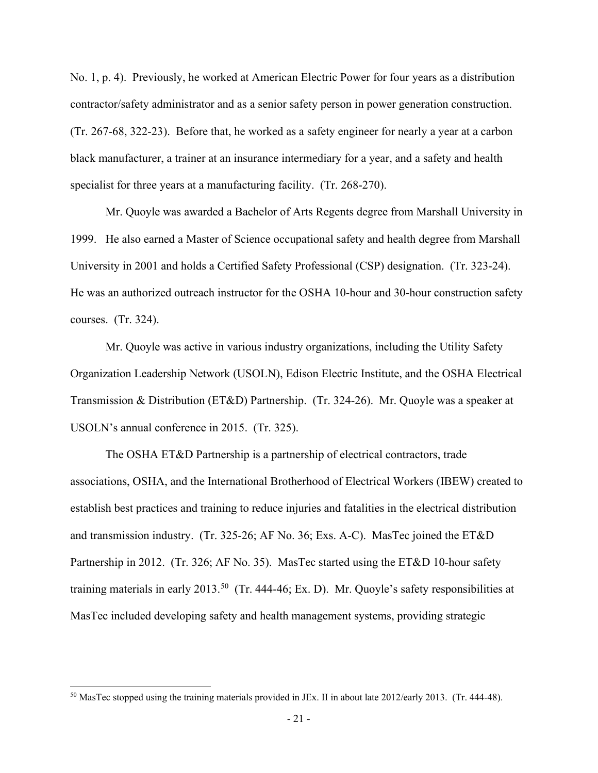No. 1, p. 4). Previously, he worked at American Electric Power for four years as a distribution contractor/safety administrator and as a senior safety person in power generation construction. (Tr. 267-68, 322-23). Before that, he worked as a safety engineer for nearly a year at a carbon black manufacturer, a trainer at an insurance intermediary for a year, and a safety and health specialist for three years at a manufacturing facility. (Tr. 268-270).

 Mr. Quoyle was awarded a Bachelor of Arts Regents degree from Marshall University in 1999. He also earned a Master of Science occupational safety and health degree from Marshall University in 2001 and holds a Certified Safety Professional (CSP) designation. (Tr. 323-24). He was an authorized outreach instructor for the OSHA 10-hour and 30-hour construction safety courses. (Tr. 324).

Mr. Quoyle was active in various industry organizations, including the Utility Safety Organization Leadership Network (USOLN), Edison Electric Institute, and the OSHA Electrical Transmission & Distribution (ET&D) Partnership. (Tr. 324-26). Mr. Quoyle was a speaker at USOLN's annual conference in 2015. (Tr. 325).

 The OSHA ET&D Partnership is a partnership of electrical contractors, trade associations, OSHA, and the International Brotherhood of Electrical Workers (IBEW) created to establish best practices and training to reduce injuries and fatalities in the electrical distribution and transmission industry. (Tr. 325-26; AF No. 36; Exs. A-C). MasTec joined the ET&D Partnership in 2012. (Tr. 326; AF No. 35). MasTec started using the ET&D 10-hour safety training materials in early 2013.<sup>[50](#page-36-0)</sup> (Tr. 444-46; Ex. D). Mr. Quoyle's safety responsibilities at MasTec included developing safety and health management systems, providing strategic

<span id="page-36-0"></span><sup>&</sup>lt;sup>50</sup> MasTec stopped using the training materials provided in JEx. II in about late 2012/early 2013. (Tr. 444-48).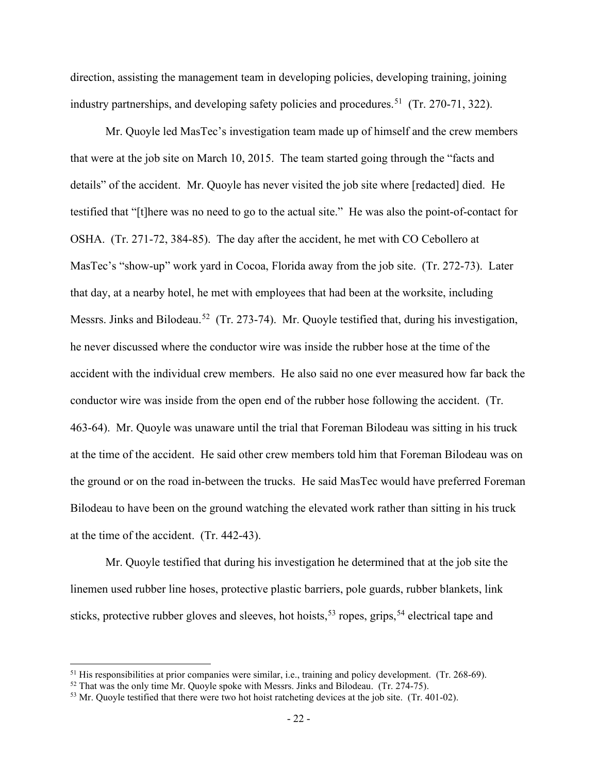direction, assisting the management team in developing policies, developing training, joining industry partnerships, and developing safety policies and procedures.<sup>[51](#page-37-0)</sup> (Tr. 270-71, 322).

Mr. Quoyle led MasTec's investigation team made up of himself and the crew members that were at the job site on March 10, 2015. The team started going through the "facts and details" of the accident. Mr. Quoyle has never visited the job site where [redacted] died. He testified that "[t]here was no need to go to the actual site." He was also the point-of-contact for OSHA. (Tr. 271-72, 384-85). The day after the accident, he met with CO Cebollero at MasTec's "show-up" work yard in Cocoa, Florida away from the job site. (Tr. 272-73). Later that day, at a nearby hotel, he met with employees that had been at the worksite, including Messrs. Jinks and Bilodeau.<sup>[52](#page-37-1)</sup> (Tr. 273-74). Mr. Quoyle testified that, during his investigation, he never discussed where the conductor wire was inside the rubber hose at the time of the accident with the individual crew members. He also said no one ever measured how far back the conductor wire was inside from the open end of the rubber hose following the accident. (Tr. 463-64). Mr. Quoyle was unaware until the trial that Foreman Bilodeau was sitting in his truck at the time of the accident. He said other crew members told him that Foreman Bilodeau was on the ground or on the road in-between the trucks. He said MasTec would have preferred Foreman Bilodeau to have been on the ground watching the elevated work rather than sitting in his truck at the time of the accident. (Tr. 442-43).

<span id="page-37-3"></span>Mr. Quoyle testified that during his investigation he determined that at the job site the linemen used rubber line hoses, protective plastic barriers, pole guards, rubber blankets, link sticks, protective rubber gloves and sleeves, hot hoists,<sup>[53](#page-37-2)</sup> ropes, grips,<sup>[54](#page-37-3)</sup> electrical tape and

<span id="page-37-0"></span><sup>&</sup>lt;sup>51</sup> His responsibilities at prior companies were similar, i.e., training and policy development. (Tr. 268-69).<br><sup>52</sup> That was the only time Mr. Quoyle spoke with Messrs. Jinks and Bilodeau. (Tr. 274-75).<br><sup>53</sup> Mr. Quoyle t

<span id="page-37-1"></span>

<span id="page-37-2"></span>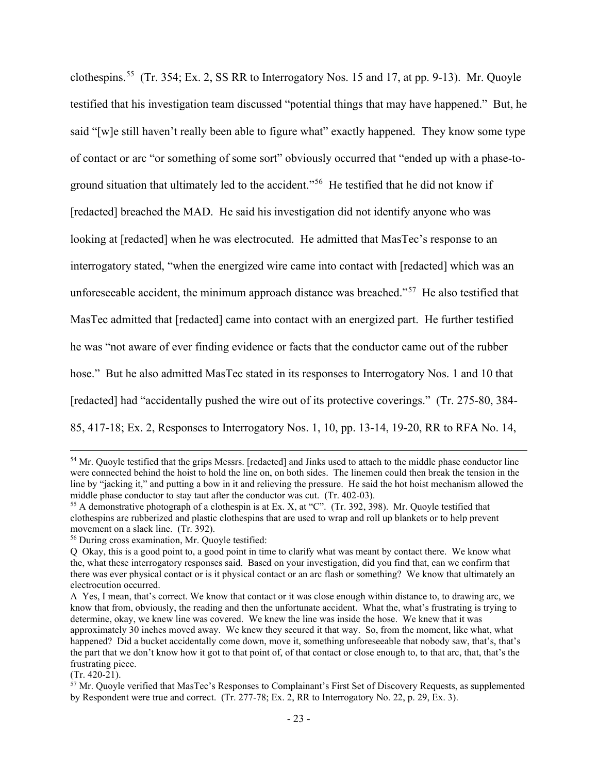clothespins.<sup>55</sup> (Tr. 354; Ex. 2, SS RR to Interrogatory Nos. 15 and 17, at pp. 9-13). Mr. Quoyle testified that his investigation team discussed "potential things that may have happened." But, he said "[w]e still haven't really been able to figure what" exactly happened. They know some type of contact or arc "or something of some sort" obviously occurred that "ended up with a phase-toground situation that ultimately led to the accident."[56](#page-38-1) He testified that he did not know if [redacted] breached the MAD. He said his investigation did not identify anyone who was looking at [redacted] when he was electrocuted. He admitted that MasTec's response to an interrogatory stated, "when the energized wire came into contact with [redacted] which was an unforeseeable accident, the minimum approach distance was breached."<sup>[57](#page-38-2)</sup> He also testified that MasTec admitted that [redacted] came into contact with an energized part. He further testified he was "not aware of ever finding evidence or facts that the conductor came out of the rubber hose." But he also admitted MasTec stated in its responses to Interrogatory Nos. 1 and 10 that [redacted] had "accidentally pushed the wire out of its protective coverings." (Tr. 275-80, 384- 85, 417-18; Ex. 2, Responses to Interrogatory Nos. 1, 10, pp. 13-14, 19-20, RR to RFA No. 14,

<sup>&</sup>lt;sup>54</sup> Mr. Quoyle testified that the grips Messrs. [redacted] and Jinks used to attach to the middle phase conductor line were connected behind the hoist to hold the line on, on both sides. The linemen could then break the tension in the line by "jacking it," and putting a bow in it and relieving the pressure. He said the hot hoist mechanism allowed the middle phase conductor to stay taut after the conductor was cut. (Tr. 402-03).<br><sup>55</sup> A demonstrative photograph of a clothespin is at Ex. X, at "C". (Tr. 392, 398). Mr. Quoyle testified that

<span id="page-38-0"></span>clothespins are rubberized and plastic clothespins that are used to wrap and roll up blankets or to help prevent movement on a slack line. (Tr. 392).<br><sup>56</sup> During cross examination, Mr. Quoyle testified:

<span id="page-38-1"></span>Q Okay, this is a good point to, a good point in time to clarify what was meant by contact there. We know what the, what these interrogatory responses said. Based on your investigation, did you find that, can we confirm that there was ever physical contact or is it physical contact or an arc flash or something? We know that ultimately an electrocution occurred.

A Yes, I mean, that's correct. We know that contact or it was close enough within distance to, to drawing arc, we know that from, obviously, the reading and then the unfortunate accident. What the, what's frustrating is trying to determine, okay, we knew line was covered. We knew the line was inside the hose. We knew that it was approximately 30 inches moved away. We knew they secured it that way. So, from the moment, like what, what happened? Did a bucket accidentally come down, move it, something unforeseeable that nobody saw, that's, that's the part that we don't know how it got to that point of, of that contact or close enough to, to that arc, that, that's the frustrating piece.<br>(Tr. 420-21).

<span id="page-38-2"></span> $57$  Mr. Quoyle verified that MasTec's Responses to Complainant's First Set of Discovery Requests, as supplemented by Respondent were true and correct. (Tr. 277-78; Ex. 2, RR to Interrogatory No. 22, p. 29, Ex. 3).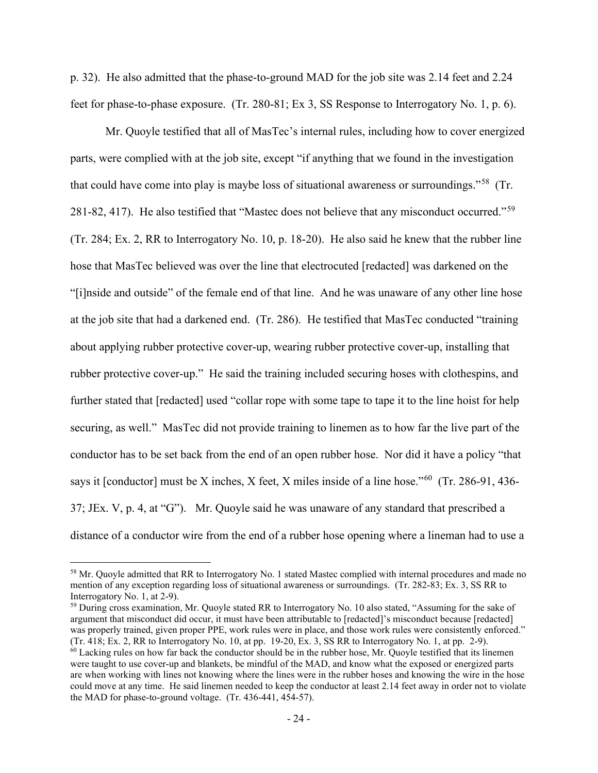p. 32). He also admitted that the phase-to-ground MAD for the job site was 2.14 feet and 2.24 feet for phase-to-phase exposure. (Tr. 280-81; Ex 3, SS Response to Interrogatory No. 1, p. 6).

 Mr. Quoyle testified that all of MasTec's internal rules, including how to cover energized parts, were complied with at the job site, except "if anything that we found in the investigation that could have come into play is maybe loss of situational awareness or surroundings."[58](#page-39-0) (Tr. 281-82, 417). He also testified that "Mastec does not believe that any misconduct occurred."[59](#page-39-1)  (Tr. 284; Ex. 2, RR to Interrogatory No. 10, p. 18-20). He also said he knew that the rubber line hose that MasTec believed was over the line that electrocuted [redacted] was darkened on the "[i]nside and outside" of the female end of that line. And he was unaware of any other line hose at the job site that had a darkened end. (Tr. 286). He testified that MasTec conducted "training about applying rubber protective cover-up, wearing rubber protective cover-up, installing that rubber protective cover-up." He said the training included securing hoses with clothespins, and further stated that [redacted] used "collar rope with some tape to tape it to the line hoist for help securing, as well." MasTec did not provide training to linemen as to how far the live part of the conductor has to be set back from the end of an open rubber hose. Nor did it have a policy "that says it [conductor] must be X inches, X feet, X miles inside of a line hose."[60](#page-39-2) (Tr. 286-91, 436- 37; JEx. V, p. 4, at "G"). Mr. Quoyle said he was unaware of any standard that prescribed a distance of a conductor wire from the end of a rubber hose opening where a lineman had to use a

<span id="page-39-0"></span><sup>&</sup>lt;sup>58</sup> Mr. Quoyle admitted that RR to Interrogatory No. 1 stated Mastec complied with internal procedures and made no mention of any exception regarding loss of situational awareness or surroundings. (Tr. 282-83; Ex. 3, SS RR to Interrogatory No. 1, at 2-9).

<span id="page-39-1"></span><sup>&</sup>lt;sup>59</sup> During cross examination, Mr. Quoyle stated RR to Interrogatory No. 10 also stated, "Assuming for the sake of argument that misconduct did occur, it must have been attributable to [redacted]'s misconduct because [redacted] was properly trained, given proper PPE, work rules were in place, and those work rules were consistently enforced." (Tr. 418; Ex. 2, RR to Interrogatory No. 10, at pp. 19-20, Ex. 3, SS RR to Interrogatory No. 1, at pp. 2-9).  $60$  Lacking rules on how far back the conductor should be in the rubber hose, Mr. Quoyle testified that its linemen were taught to use cover-up and blankets, be mindful of the MAD, and know what the exposed or energized parts

<span id="page-39-2"></span>are when working with lines not knowing where the lines were in the rubber hoses and knowing the wire in the hose could move at any time. He said linemen needed to keep the conductor at least 2.14 feet away in order not to violate the MAD for phase-to-ground voltage. (Tr. 436-441, 454-57).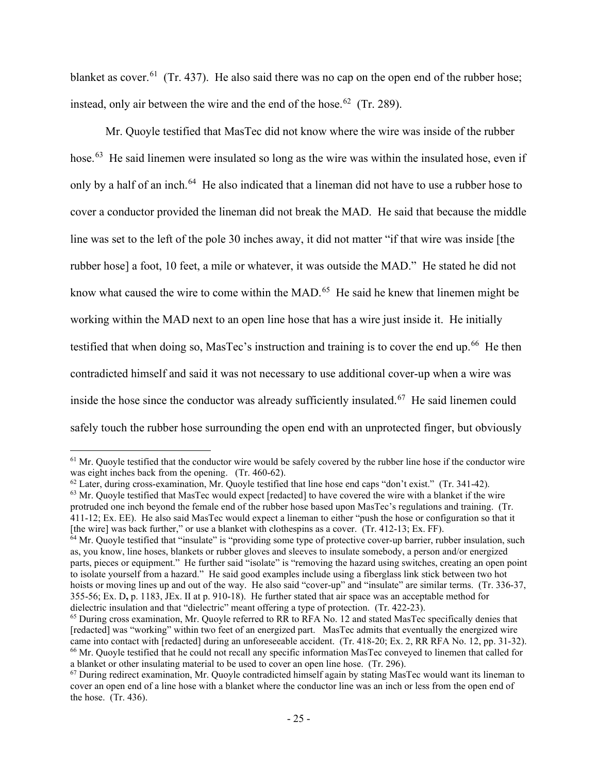blanket as cover.<sup>61</sup> (Tr. 437). He also said there was no cap on the open end of the rubber hose; instead, only air between the wire and the end of the hose.<sup>62</sup> (Tr. 289).

Mr. Quoyle testified that MasTec did not know where the wire was inside of the rubber hose.<sup>63</sup> He said linemen were insulated so long as the wire was within the insulated hose, even if only by a half of an inch.<sup>[64](#page-40-3)</sup> He also indicated that a lineman did not have to use a rubber hose to cover a conductor provided the lineman did not break the MAD. He said that because the middle line was set to the left of the pole 30 inches away, it did not matter "if that wire was inside [the rubber hose] a foot, 10 feet, a mile or whatever, it was outside the MAD." He stated he did not know what caused the wire to come within the MAD.<sup>[65](#page-40-4)</sup> He said he knew that linemen might be working within the MAD next to an open line hose that has a wire just inside it. He initially testified that when doing so, MasTec's instruction and training is to cover the end up.<sup>66</sup> He then contradicted himself and said it was not necessary to use additional cover-up when a wire was inside the hose since the conductor was already sufficiently insulated.<sup>[67](#page-40-6)</sup> He said linemen could safely touch the rubber hose surrounding the open end with an unprotected finger, but obviously

<span id="page-40-2"></span><sup>63</sup> Mr. Quoyle testified that MasTec would expect [redacted] to have covered the wire with a blanket if the wire protruded one inch beyond the female end of the rubber hose based upon MasTec's regulations and training. (Tr. 411-12; Ex. EE). He also said MasTec would expect a lineman to either "push the hose or configuration so that it

<span id="page-40-0"></span> $<sup>61</sup>$  Mr. Quoyle testified that the conductor wire would be safely covered by the rubber line hose if the conductor wire</sup> was eight inches back from the opening. (Tr. 460-62).

<span id="page-40-1"></span> $62$  Later, during cross-examination, Mr. Quoyle testified that line hose end caps "don't exist." (Tr. 341-42).

<span id="page-40-3"></span><sup>[</sup>the wire] was back further," or use a blanket with clothespins as a cover. (Tr. 412-13; Ex. FF).<br><sup>64</sup> Mr. Quoyle testified that "insulate" is "providing some type of protective cover-up barrier, rubber insulation, such as, you know, line hoses, blankets or rubber gloves and sleeves to insulate somebody, a person and/or energized parts, pieces or equipment." He further said "isolate" is "removing the hazard using switches, creating an open point to isolate yourself from a hazard." He said good examples include using a fiberglass link stick between two hot hoists or moving lines up and out of the way. He also said "cover-up" and "insulate" are similar terms. (Tr. 336-37, 355-56; Ex. D**,** p. 1183, JEx. II at p. 910-18). He further stated that air space was an acceptable method for dielectric insulation and that "dielectric" meant offering a type of protection. (Tr. 422-23).

<span id="page-40-4"></span> $<sup>65</sup>$  During cross examination, Mr. Quoyle referred to RR to RFA No. 12 and stated MasTec specifically denies that</sup> [redacted] was "working" within two feet of an energized part. MasTec admits that eventually the energized wire came into contact with [redacted] during an unforeseeable accident. (Tr. 418-20; Ex. 2, RR RFA No. 12, pp. 31-32). <sup>66</sup> Mr. Quoyle testified that he could not recall any specific information MasTec conveyed to linemen that called for a blanket or other insulating material to be used to cover an open line hose. (Tr. 296).<br><sup>67</sup> During redirect examination, Mr. Quoyle contradicted himself again by stating MasTec would want its lineman to

<span id="page-40-6"></span><span id="page-40-5"></span>cover an open end of a line hose with a blanket where the conductor line was an inch or less from the open end of the hose. (Tr. 436).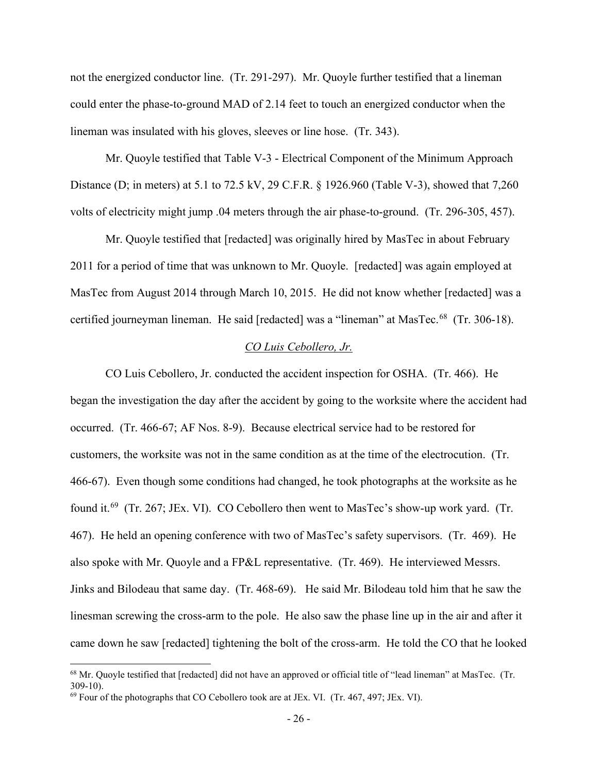not the energized conductor line. (Tr. 291-297). Mr. Quoyle further testified that a lineman could enter the phase-to-ground MAD of 2.14 feet to touch an energized conductor when the lineman was insulated with his gloves, sleeves or line hose. (Tr. 343).

Mr. Quoyle testified that Table V-3 - Electrical Component of the Minimum Approach Distance (D; in meters) at 5.1 to 72.5 kV, 29 C.F.R. § 1926.960 (Table V-3), showed that 7,260 volts of electricity might jump .04 meters through the air phase-to-ground. (Tr. 296-305, 457).

Mr. Quoyle testified that [redacted] was originally hired by MasTec in about February 2011 for a period of time that was unknown to Mr. Quoyle. [redacted] was again employed at MasTec from August 2014 through March 10, 2015. He did not know whether [redacted] was a certified journeyman lineman. He said [redacted] was a "lineman" at MasTec.<sup>[68](#page-41-0)</sup> (Tr. 306-18).

## *CO Luis Cebollero, Jr.*

CO Luis Cebollero, Jr. conducted the accident inspection for OSHA. (Tr. 466). He began the investigation the day after the accident by going to the worksite where the accident had occurred. (Tr. 466-67; AF Nos. 8-9). Because electrical service had to be restored for customers, the worksite was not in the same condition as at the time of the electrocution. (Tr. 466-67). Even though some conditions had changed, he took photographs at the worksite as he found it.[69](#page-41-1) (Tr. 267; JEx. VI). CO Cebollero then went to MasTec's show-up work yard. (Tr. 467). He held an opening conference with two of MasTec's safety supervisors. (Tr. 469). He also spoke with Mr. Quoyle and a FP&L representative. (Tr. 469). He interviewed Messrs. Jinks and Bilodeau that same day. (Tr. 468-69). He said Mr. Bilodeau told him that he saw the linesman screwing the cross-arm to the pole. He also saw the phase line up in the air and after it came down he saw [redacted] tightening the bolt of the cross-arm. He told the CO that he looked

<span id="page-41-0"></span><sup>68</sup> Mr. Quoyle testified that [redacted] did not have an approved or official title of "lead lineman" at MasTec. (Tr. 309-10).

<span id="page-41-1"></span> $^{69}$  Four of the photographs that CO Cebollero took are at JEx. VI. (Tr. 467, 497; JEx. VI).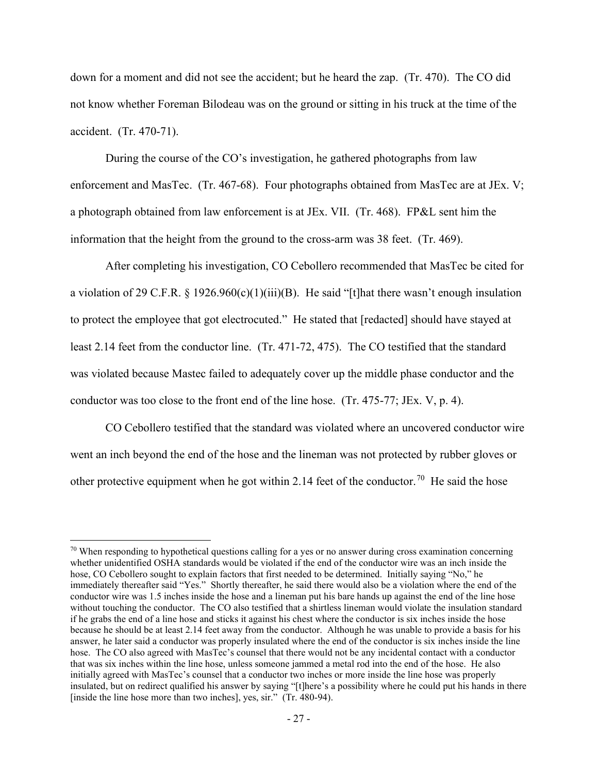down for a moment and did not see the accident; but he heard the zap. (Tr. 470). The CO did not know whether Foreman Bilodeau was on the ground or sitting in his truck at the time of the accident. (Tr. 470-71).

 During the course of the CO's investigation, he gathered photographs from law enforcement and MasTec. (Tr. 467-68). Four photographs obtained from MasTec are at JEx. V; a photograph obtained from law enforcement is at JEx. VII. (Tr. 468). FP&L sent him the information that the height from the ground to the cross-arm was 38 feet. (Tr. 469).

 After completing his investigation, CO Cebollero recommended that MasTec be cited for a violation of 29 C.F.R. § 1926.960(c)(1)(iii)(B). He said "[t]hat there wasn't enough insulation to protect the employee that got electrocuted." He stated that [redacted] should have stayed at least 2.14 feet from the conductor line. (Tr. 471-72, 475). The CO testified that the standard was violated because Mastec failed to adequately cover up the middle phase conductor and the conductor was too close to the front end of the line hose. (Tr. 475-77; JEx. V, p. 4).

CO Cebollero testified that the standard was violated where an uncovered conductor wire went an inch beyond the end of the hose and the lineman was not protected by rubber gloves or other protective equipment when he got within 2.14 feet of the conductor.<sup>[70](#page-42-0)</sup> He said the hose

<span id="page-42-0"></span> $70$  When responding to hypothetical questions calling for a yes or no answer during cross examination concerning whether unidentified OSHA standards would be violated if the end of the conductor wire was an inch inside the hose, CO Cebollero sought to explain factors that first needed to be determined. Initially saying "No," he immediately thereafter said "Yes." Shortly thereafter, he said there would also be a violation where the end of the conductor wire was 1.5 inches inside the hose and a lineman put his bare hands up against the end of the line hose without touching the conductor. The CO also testified that a shirtless lineman would violate the insulation standard if he grabs the end of a line hose and sticks it against his chest where the conductor is six inches inside the hose because he should be at least 2.14 feet away from the conductor. Although he was unable to provide a basis for his answer, he later said a conductor was properly insulated where the end of the conductor is six inches inside the line hose. The CO also agreed with MasTec's counsel that there would not be any incidental contact with a conductor that was six inches within the line hose, unless someone jammed a metal rod into the end of the hose. He also initially agreed with MasTec's counsel that a conductor two inches or more inside the line hose was properly insulated, but on redirect qualified his answer by saying "[t]here's a possibility where he could put his hands in there [inside the line hose more than two inches], yes, sir." (Tr. 480-94).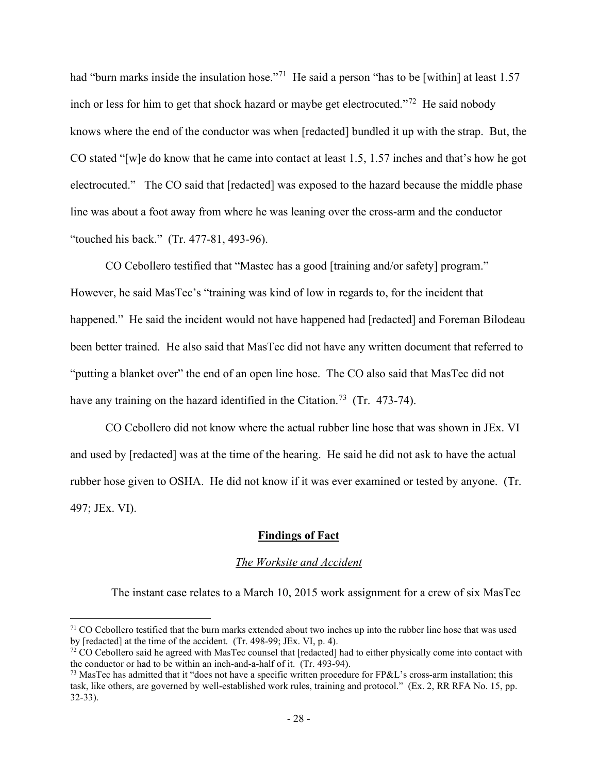had "burn marks inside the insulation hose."<sup>71</sup> He said a person "has to be [within] at least 1.57 inch or less for him to get that shock hazard or maybe get electrocuted."<sup>72</sup> He said nobody knows where the end of the conductor was when [redacted] bundled it up with the strap. But, the CO stated "[w]e do know that he came into contact at least 1.5, 1.57 inches and that's how he got electrocuted." The CO said that [redacted] was exposed to the hazard because the middle phase line was about a foot away from where he was leaning over the cross-arm and the conductor "touched his back." (Tr. 477-81, 493-96).

 CO Cebollero testified that "Mastec has a good [training and/or safety] program." However, he said MasTec's "training was kind of low in regards to, for the incident that happened." He said the incident would not have happened had [redacted] and Foreman Bilodeau been better trained. He also said that MasTec did not have any written document that referred to "putting a blanket over" the end of an open line hose. The CO also said that MasTec did not have any training on the hazard identified in the Citation.<sup>[73](#page-43-2)</sup> (Tr. 473-74).

 CO Cebollero did not know where the actual rubber line hose that was shown in JEx. VI and used by [redacted] was at the time of the hearing. He said he did not ask to have the actual rubber hose given to OSHA. He did not know if it was ever examined or tested by anyone. (Tr. 497; JEx. VI).

#### **Findings of Fact**

#### *The Worksite and Accident*

The instant case relates to a March 10, 2015 work assignment for a crew of six MasTec

<span id="page-43-0"></span><sup>&</sup>lt;sup>71</sup> CO Cebollero testified that the burn marks extended about two inches up into the rubber line hose that was used by [redacted] at the time of the accident. (Tr. 498-99; JEx. VI, p. 4).

<span id="page-43-1"></span> $\frac{72}{2}$  CO Cebollero said he agreed with MasTec counsel that [redacted] had to either physically come into contact with the conductor or had to be within an inch-and-a-half of it. (Tr. 493-94).<br><sup>73</sup> MasTec has admitted that it "does not have a specific written procedure for FP&L's cross-arm installation; this

<span id="page-43-2"></span>task, like others, are governed by well-established work rules, training and protocol." (Ex. 2, RR RFA No. 15, pp. 32-33).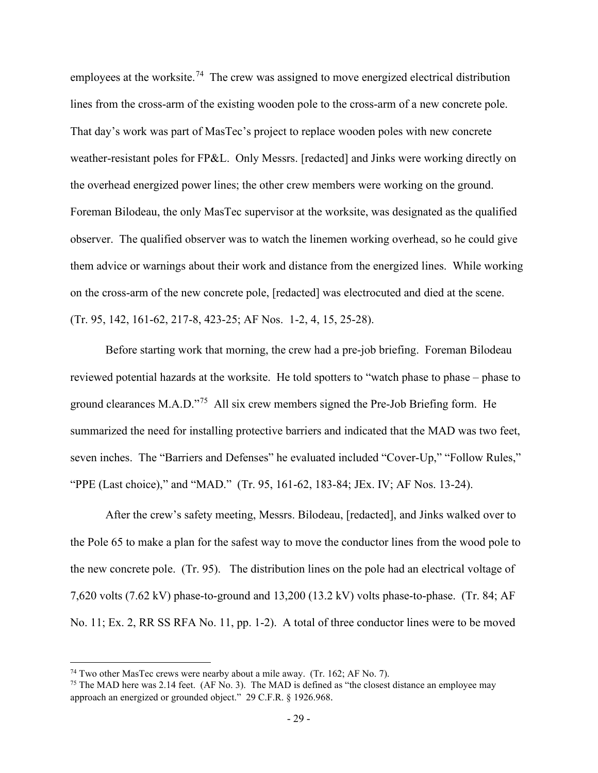employees at the worksite.<sup>74</sup> The crew was assigned to move energized electrical distribution lines from the cross-arm of the existing wooden pole to the cross-arm of a new concrete pole. That day's work was part of MasTec's project to replace wooden poles with new concrete weather-resistant poles for FP&L. Only Messrs. [redacted] and Jinks were working directly on the overhead energized power lines; the other crew members were working on the ground. Foreman Bilodeau, the only MasTec supervisor at the worksite, was designated as the qualified observer. The qualified observer was to watch the linemen working overhead, so he could give them advice or warnings about their work and distance from the energized lines. While working on the cross-arm of the new concrete pole, [redacted] was electrocuted and died at the scene. (Tr. 95, 142, 161-62, 217-8, 423-25; AF Nos. 1-2, 4, 15, 25-28).

Before starting work that morning, the crew had a pre-job briefing. Foreman Bilodeau reviewed potential hazards at the worksite. He told spotters to "watch phase to phase – phase to ground clearances M.A.D."[75](#page-44-1) All six crew members signed the Pre-Job Briefing form. He summarized the need for installing protective barriers and indicated that the MAD was two feet, seven inches. The "Barriers and Defenses" he evaluated included "Cover-Up," "Follow Rules," "PPE (Last choice)," and "MAD." (Tr. 95, 161-62, 183-84; JEx. IV; AF Nos. 13-24).

After the crew's safety meeting, Messrs. Bilodeau, [redacted], and Jinks walked over to the Pole 65 to make a plan for the safest way to move the conductor lines from the wood pole to the new concrete pole. (Tr. 95). The distribution lines on the pole had an electrical voltage of 7,620 volts (7.62 kV) phase-to-ground and 13,200 (13.2 kV) volts phase-to-phase. (Tr. 84; AF No. 11; Ex. 2, RR SS RFA No. 11, pp. 1-2). A total of three conductor lines were to be moved

<span id="page-44-1"></span><span id="page-44-0"></span><sup>&</sup>lt;sup>74</sup> Two other MasTec crews were nearby about a mile away. (Tr. 162; AF No. 7).<br><sup>75</sup> The MAD here was 2.14 feet. (AF No. 3). The MAD is defined as "the closest distance an employee may approach an energized or grounded object." 29 C.F.R. § 1926.968.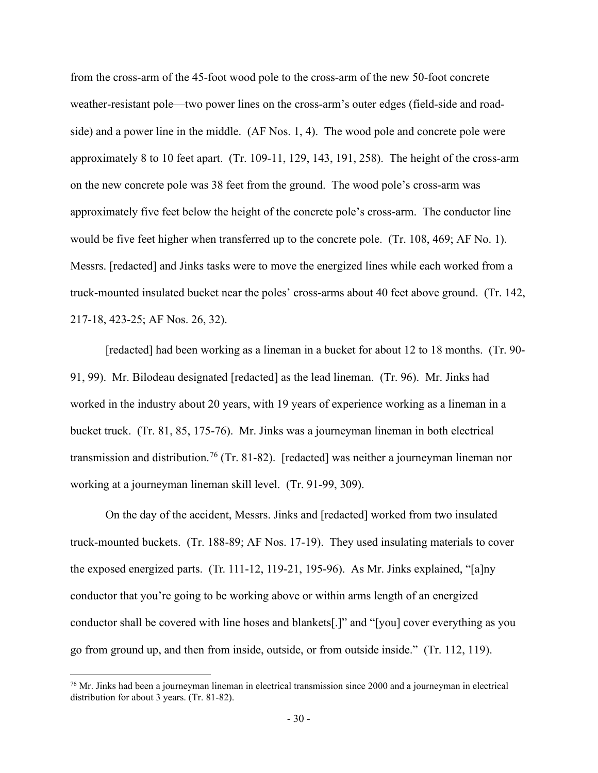from the cross-arm of the 45-foot wood pole to the cross-arm of the new 50-foot concrete weather-resistant pole—two power lines on the cross-arm's outer edges (field-side and roadside) and a power line in the middle. (AF Nos. 1, 4). The wood pole and concrete pole were approximately 8 to 10 feet apart. (Tr. 109-11, 129, 143, 191, 258). The height of the cross-arm on the new concrete pole was 38 feet from the ground. The wood pole's cross-arm was approximately five feet below the height of the concrete pole's cross-arm. The conductor line would be five feet higher when transferred up to the concrete pole. (Tr. 108, 469; AF No. 1). Messrs. [redacted] and Jinks tasks were to move the energized lines while each worked from a truck-mounted insulated bucket near the poles' cross-arms about 40 feet above ground. (Tr. 142, 217-18, 423-25; AF Nos. 26, 32).

[redacted] had been working as a lineman in a bucket for about 12 to 18 months. (Tr. 90- 91, 99). Mr. Bilodeau designated [redacted] as the lead lineman. (Tr. 96). Mr. Jinks had worked in the industry about 20 years, with 19 years of experience working as a lineman in a bucket truck. (Tr. 81, 85, 175-76). Mr. Jinks was a journeyman lineman in both electrical transmission and distribution.<sup>[76](#page-45-0)</sup> (Tr. 81-82). [redacted] was neither a journeyman lineman nor working at a journeyman lineman skill level. (Tr. 91-99, 309).

On the day of the accident, Messrs. Jinks and [redacted] worked from two insulated truck-mounted buckets. (Tr. 188-89; AF Nos. 17-19). They used insulating materials to cover the exposed energized parts. (Tr. 111-12, 119-21, 195-96). As Mr. Jinks explained, "[a]ny conductor that you're going to be working above or within arms length of an energized conductor shall be covered with line hoses and blankets[.]" and "[you] cover everything as you go from ground up, and then from inside, outside, or from outside inside." (Tr. 112, 119).

<span id="page-45-0"></span> $^{76}$  Mr. Jinks had been a journeyman lineman in electrical transmission since 2000 and a journeyman in electrical distribution for about 3 years. (Tr. 81-82).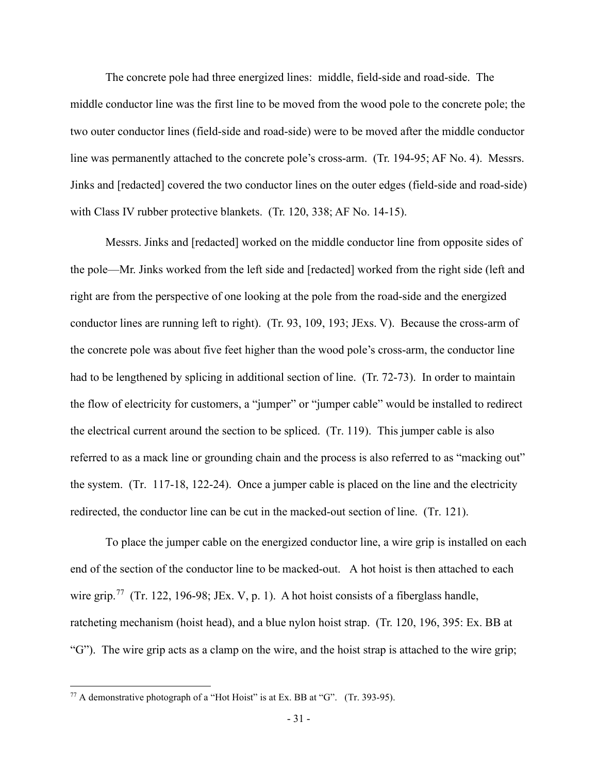The concrete pole had three energized lines: middle, field-side and road-side. The middle conductor line was the first line to be moved from the wood pole to the concrete pole; the two outer conductor lines (field-side and road-side) were to be moved after the middle conductor line was permanently attached to the concrete pole's cross-arm. (Tr. 194-95; AF No. 4). Messrs. Jinks and [redacted] covered the two conductor lines on the outer edges (field-side and road-side) with Class IV rubber protective blankets. (Tr. 120, 338; AF No. 14-15).

Messrs. Jinks and [redacted] worked on the middle conductor line from opposite sides of the pole—Mr. Jinks worked from the left side and [redacted] worked from the right side (left and right are from the perspective of one looking at the pole from the road-side and the energized conductor lines are running left to right). (Tr. 93, 109, 193; JExs. V). Because the cross-arm of the concrete pole was about five feet higher than the wood pole's cross-arm, the conductor line had to be lengthened by splicing in additional section of line. (Tr. 72-73). In order to maintain the flow of electricity for customers, a "jumper" or "jumper cable" would be installed to redirect the electrical current around the section to be spliced. (Tr. 119). This jumper cable is also referred to as a mack line or grounding chain and the process is also referred to as "macking out" the system. (Tr. 117-18, 122-24). Once a jumper cable is placed on the line and the electricity redirected, the conductor line can be cut in the macked-out section of line. (Tr. 121).

To place the jumper cable on the energized conductor line, a wire grip is installed on each end of the section of the conductor line to be macked-out. A hot hoist is then attached to each wire grip.<sup>[77](#page-46-0)</sup> (Tr. 122, 196-98; JEx. V, p. 1). A hot hoist consists of a fiberglass handle, ratcheting mechanism (hoist head), and a blue nylon hoist strap. (Tr. 120, 196, 395: Ex. BB at "G"). The wire grip acts as a clamp on the wire, and the hoist strap is attached to the wire grip;

<span id="page-46-0"></span> $77$  A demonstrative photograph of a "Hot Hoist" is at Ex. BB at "G". (Tr. 393-95).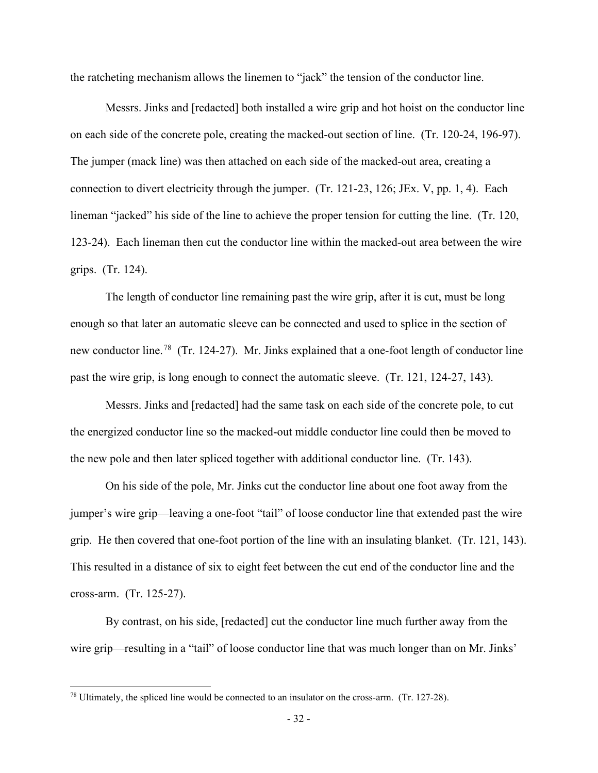the ratcheting mechanism allows the linemen to "jack" the tension of the conductor line.

Messrs. Jinks and [redacted] both installed a wire grip and hot hoist on the conductor line on each side of the concrete pole, creating the macked-out section of line. (Tr. 120-24, 196-97). The jumper (mack line) was then attached on each side of the macked-out area, creating a connection to divert electricity through the jumper. (Tr. 121-23, 126; JEx. V, pp. 1, 4). Each lineman "jacked" his side of the line to achieve the proper tension for cutting the line. (Tr. 120, 123-24). Each lineman then cut the conductor line within the macked-out area between the wire grips. (Tr. 124).

The length of conductor line remaining past the wire grip, after it is cut, must be long enough so that later an automatic sleeve can be connected and used to splice in the section of new conductor line.<sup>78</sup> (Tr. 124-27). Mr. Jinks explained that a one-foot length of conductor line past the wire grip, is long enough to connect the automatic sleeve. (Tr. 121, 124-27, 143).

Messrs. Jinks and [redacted] had the same task on each side of the concrete pole, to cut the energized conductor line so the macked-out middle conductor line could then be moved to the new pole and then later spliced together with additional conductor line. (Tr. 143).

On his side of the pole, Mr. Jinks cut the conductor line about one foot away from the jumper's wire grip—leaving a one-foot "tail" of loose conductor line that extended past the wire grip. He then covered that one-foot portion of the line with an insulating blanket. (Tr. 121, 143). This resulted in a distance of six to eight feet between the cut end of the conductor line and the cross-arm. (Tr. 125-27).

By contrast, on his side, [redacted] cut the conductor line much further away from the wire grip—resulting in a "tail" of loose conductor line that was much longer than on Mr. Jinks'

<span id="page-47-0"></span><sup>78</sup> Ultimately, the spliced line would be connected to an insulator on the cross-arm. (Tr. 127-28).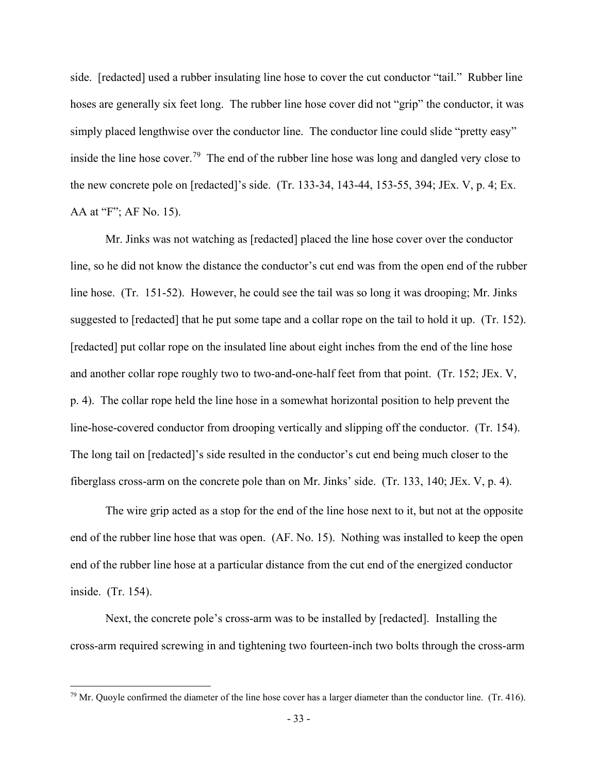side. [redacted] used a rubber insulating line hose to cover the cut conductor "tail." Rubber line hoses are generally six feet long. The rubber line hose cover did not "grip" the conductor, it was simply placed lengthwise over the conductor line. The conductor line could slide "pretty easy" inside the line hose cover.<sup>79</sup> The end of the rubber line hose was long and dangled very close to the new concrete pole on [redacted]'s side. (Tr. 133-34, 143-44, 153-55, 394; JEx. V, p. 4; Ex. AA at "F"; AF No. 15).

 Mr. Jinks was not watching as [redacted] placed the line hose cover over the conductor line, so he did not know the distance the conductor's cut end was from the open end of the rubber line hose. (Tr. 151-52). However, he could see the tail was so long it was drooping; Mr. Jinks suggested to [redacted] that he put some tape and a collar rope on the tail to hold it up. (Tr. 152). [redacted] put collar rope on the insulated line about eight inches from the end of the line hose and another collar rope roughly two to two-and-one-half feet from that point. (Tr. 152; JEx. V, p. 4). The collar rope held the line hose in a somewhat horizontal position to help prevent the line-hose-covered conductor from drooping vertically and slipping off the conductor. (Tr. 154). The long tail on [redacted]'s side resulted in the conductor's cut end being much closer to the fiberglass cross-arm on the concrete pole than on Mr. Jinks' side. (Tr. 133, 140; JEx. V, p. 4).

The wire grip acted as a stop for the end of the line hose next to it, but not at the opposite end of the rubber line hose that was open. (AF. No. 15). Nothing was installed to keep the open end of the rubber line hose at a particular distance from the cut end of the energized conductor inside. (Tr. 154).

Next, the concrete pole's cross-arm was to be installed by [redacted]. Installing the cross-arm required screwing in and tightening two fourteen-inch two bolts through the cross-arm

<span id="page-48-0"></span> $79$  Mr. Quoyle confirmed the diameter of the line hose cover has a larger diameter than the conductor line. (Tr. 416).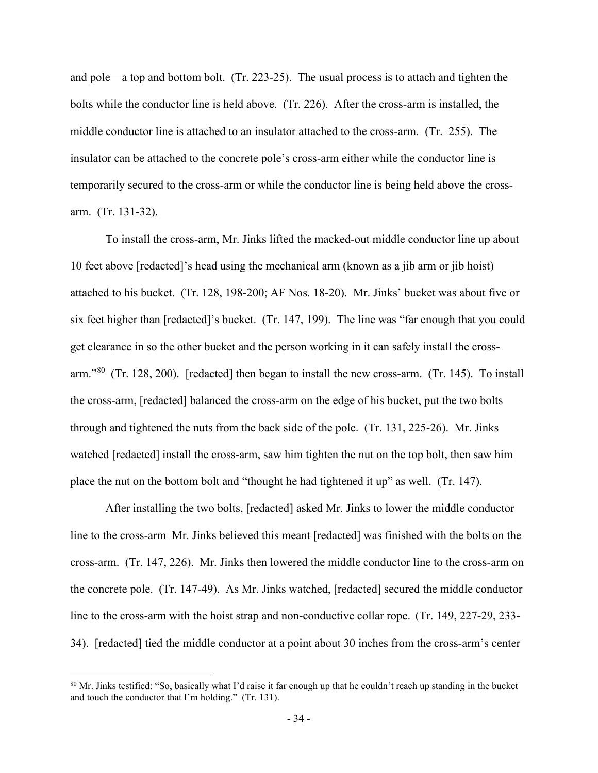and pole—a top and bottom bolt. (Tr. 223-25). The usual process is to attach and tighten the bolts while the conductor line is held above. (Tr. 226). After the cross-arm is installed, the middle conductor line is attached to an insulator attached to the cross-arm. (Tr. 255). The insulator can be attached to the concrete pole's cross-arm either while the conductor line is temporarily secured to the cross-arm or while the conductor line is being held above the crossarm. (Tr. 131-32).

To install the cross-arm, Mr. Jinks lifted the macked-out middle conductor line up about 10 feet above [redacted]'s head using the mechanical arm (known as a jib arm or jib hoist) attached to his bucket. (Tr. 128, 198-200; AF Nos. 18-20). Mr. Jinks' bucket was about five or six feet higher than [redacted]'s bucket. (Tr. 147, 199). The line was "far enough that you could get clearance in so the other bucket and the person working in it can safely install the crossarm."[80](#page-49-0) (Tr. 128, 200). [redacted] then began to install the new cross-arm. (Tr. 145). To install the cross-arm, [redacted] balanced the cross-arm on the edge of his bucket, put the two bolts through and tightened the nuts from the back side of the pole. (Tr. 131, 225-26). Mr. Jinks watched [redacted] install the cross-arm, saw him tighten the nut on the top bolt, then saw him place the nut on the bottom bolt and "thought he had tightened it up" as well. (Tr. 147).

After installing the two bolts, [redacted] asked Mr. Jinks to lower the middle conductor line to the cross-arm–Mr. Jinks believed this meant [redacted] was finished with the bolts on the cross-arm. (Tr. 147, 226). Mr. Jinks then lowered the middle conductor line to the cross-arm on the concrete pole. (Tr. 147-49). As Mr. Jinks watched, [redacted] secured the middle conductor line to the cross-arm with the hoist strap and non-conductive collar rope. (Tr. 149, 227-29, 233- 34). [redacted] tied the middle conductor at a point about 30 inches from the cross-arm's center

<span id="page-49-0"></span><sup>&</sup>lt;sup>80</sup> Mr. Jinks testified: "So, basically what I'd raise it far enough up that he couldn't reach up standing in the bucket and touch the conductor that I'm holding." (Tr. 131).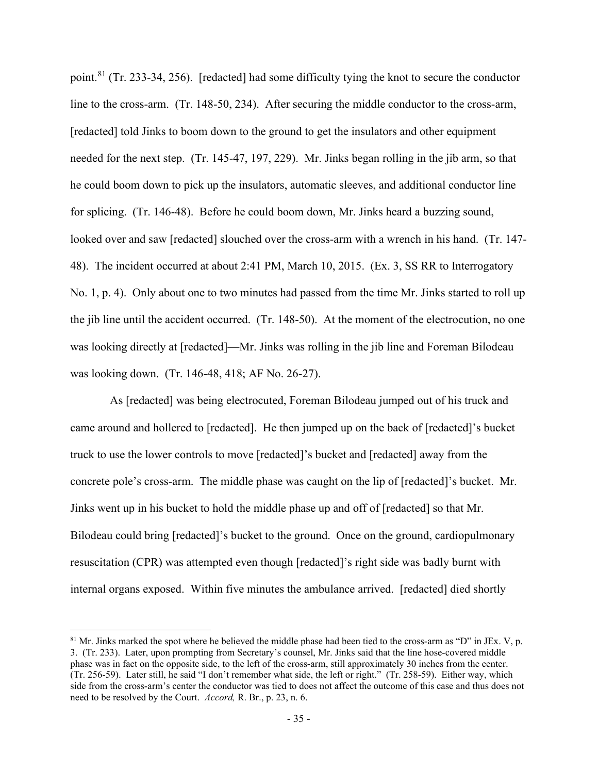point.[81](#page-50-0) (Tr. 233-34, 256). [redacted] had some difficulty tying the knot to secure the conductor line to the cross-arm. (Tr. 148-50, 234). After securing the middle conductor to the cross-arm, [redacted] told Jinks to boom down to the ground to get the insulators and other equipment needed for the next step. (Tr. 145-47, 197, 229). Mr. Jinks began rolling in the jib arm, so that he could boom down to pick up the insulators, automatic sleeves, and additional conductor line for splicing. (Tr. 146-48). Before he could boom down, Mr. Jinks heard a buzzing sound, looked over and saw [redacted] slouched over the cross-arm with a wrench in his hand. (Tr. 147- 48). The incident occurred at about 2:41 PM, March 10, 2015. (Ex. 3, SS RR to Interrogatory No. 1, p. 4). Only about one to two minutes had passed from the time Mr. Jinks started to roll up the jib line until the accident occurred. (Tr. 148-50). At the moment of the electrocution, no one was looking directly at [redacted]—Mr. Jinks was rolling in the jib line and Foreman Bilodeau was looking down. (Tr. 146-48, 418; AF No. 26-27).

As [redacted] was being electrocuted, Foreman Bilodeau jumped out of his truck and came around and hollered to [redacted]. He then jumped up on the back of [redacted]'s bucket truck to use the lower controls to move [redacted]'s bucket and [redacted] away from the concrete pole's cross-arm. The middle phase was caught on the lip of [redacted]'s bucket. Mr. Jinks went up in his bucket to hold the middle phase up and off of [redacted] so that Mr. Bilodeau could bring [redacted]'s bucket to the ground. Once on the ground, cardiopulmonary resuscitation (CPR) was attempted even though [redacted]'s right side was badly burnt with internal organs exposed. Within five minutes the ambulance arrived. [redacted] died shortly

<span id="page-50-0"></span> $81$  Mr. Jinks marked the spot where he believed the middle phase had been tied to the cross-arm as "D" in JEx. V, p. 3. (Tr. 233). Later, upon prompting from Secretary's counsel, Mr. Jinks said that the line hose-covered middle phase was in fact on the opposite side, to the left of the cross-arm, still approximately 30 inches from the center. (Tr. 256-59). Later still, he said "I don't remember what side, the left or right." (Tr. 258-59). Either way, which side from the cross-arm's center the conductor was tied to does not affect the outcome of this case and thus does not need to be resolved by the Court. *Accord,* R. Br., p. 23, n. 6.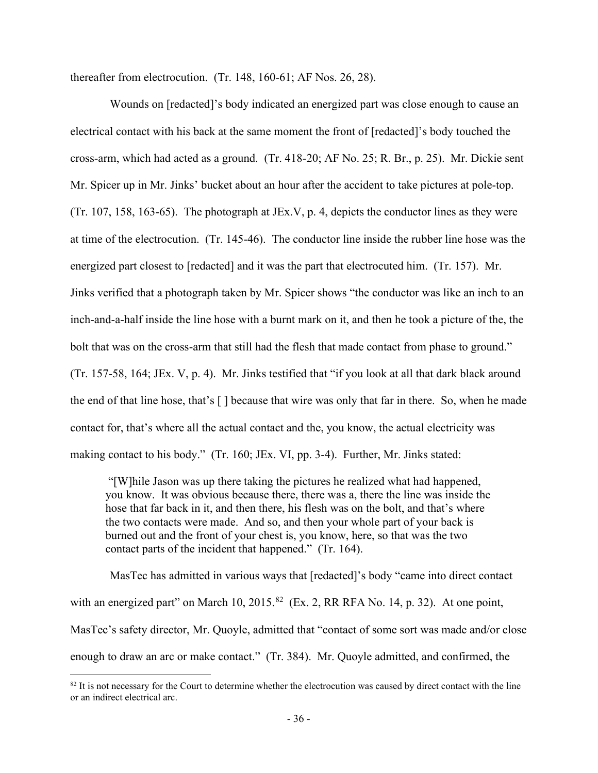thereafter from electrocution. (Tr. 148, 160-61; AF Nos. 26, 28).

 Wounds on [redacted]'s body indicated an energized part was close enough to cause an electrical contact with his back at the same moment the front of [redacted]'s body touched the cross-arm, which had acted as a ground. (Tr. 418-20; AF No. 25; R. Br., p. 25). Mr. Dickie sent Mr. Spicer up in Mr. Jinks' bucket about an hour after the accident to take pictures at pole-top. (Tr. 107, 158, 163-65). The photograph at JEx.V, p. 4, depicts the conductor lines as they were at time of the electrocution. (Tr. 145-46). The conductor line inside the rubber line hose was the energized part closest to [redacted] and it was the part that electrocuted him. (Tr. 157). Mr. Jinks verified that a photograph taken by Mr. Spicer shows "the conductor was like an inch to an inch-and-a-half inside the line hose with a burnt mark on it, and then he took a picture of the, the bolt that was on the cross-arm that still had the flesh that made contact from phase to ground." (Tr. 157-58, 164; JEx. V, p. 4). Mr. Jinks testified that "if you look at all that dark black around the end of that line hose, that's [ ] because that wire was only that far in there. So, when he made contact for, that's where all the actual contact and the, you know, the actual electricity was making contact to his body." (Tr. 160; JEx. VI, pp. 3-4). Further, Mr. Jinks stated:

"[W]hile Jason was up there taking the pictures he realized what had happened, you know. It was obvious because there, there was a, there the line was inside the hose that far back in it, and then there, his flesh was on the bolt, and that's where the two contacts were made. And so, and then your whole part of your back is burned out and the front of your chest is, you know, here, so that was the two contact parts of the incident that happened." (Tr. 164).

MasTec has admitted in various ways that [redacted]'s body "came into direct contact with an energized part" on March 10,  $2015$ .<sup>[82](#page-51-0)</sup> (Ex. 2, RR RFA No. 14, p. 32). At one point, MasTec's safety director, Mr. Quoyle, admitted that "contact of some sort was made and/or close enough to draw an arc or make contact." (Tr. 384). Mr. Quoyle admitted, and confirmed, the

<span id="page-51-0"></span> $82$  It is not necessary for the Court to determine whether the electrocution was caused by direct contact with the line or an indirect electrical arc.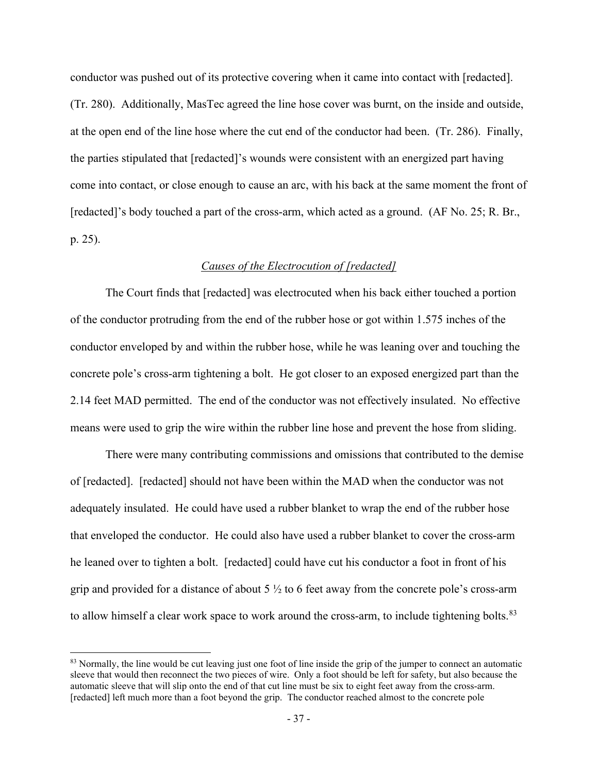conductor was pushed out of its protective covering when it came into contact with [redacted]. (Tr. 280). Additionally, MasTec agreed the line hose cover was burnt, on the inside and outside, at the open end of the line hose where the cut end of the conductor had been. (Tr. 286). Finally, the parties stipulated that [redacted]'s wounds were consistent with an energized part having come into contact, or close enough to cause an arc, with his back at the same moment the front of [redacted]'s body touched a part of the cross-arm, which acted as a ground. (AF No. 25; R. Br., p. 25).

#### *Causes of the Electrocution of [redacted]*

The Court finds that [redacted] was electrocuted when his back either touched a portion of the conductor protruding from the end of the rubber hose or got within 1.575 inches of the conductor enveloped by and within the rubber hose, while he was leaning over and touching the concrete pole's cross-arm tightening a bolt. He got closer to an exposed energized part than the 2.14 feet MAD permitted. The end of the conductor was not effectively insulated. No effective means were used to grip the wire within the rubber line hose and prevent the hose from sliding.

There were many contributing commissions and omissions that contributed to the demise of [redacted]. [redacted] should not have been within the MAD when the conductor was not adequately insulated. He could have used a rubber blanket to wrap the end of the rubber hose that enveloped the conductor. He could also have used a rubber blanket to cover the cross-arm he leaned over to tighten a bolt. [redacted] could have cut his conductor a foot in front of his grip and provided for a distance of about 5  $\frac{1}{2}$  to 6 feet away from the concrete pole's cross-arm to allow himself a clear work space to work around the cross-arm, to include tightening bolts.<sup>83</sup>

<span id="page-52-0"></span><sup>&</sup>lt;sup>83</sup> Normally, the line would be cut leaving just one foot of line inside the grip of the jumper to connect an automatic sleeve that would then reconnect the two pieces of wire. Only a foot should be left for safety, but also because the automatic sleeve that will slip onto the end of that cut line must be six to eight feet away from the cross-arm. [redacted] left much more than a foot beyond the grip. The conductor reached almost to the concrete pole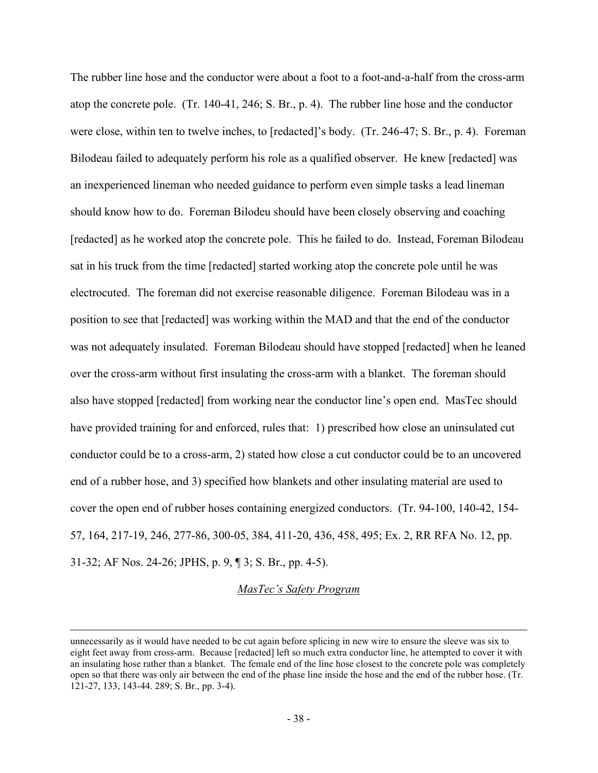The rubber line hose and the conductor were about a foot to a foot-and-a-half from the cross-arm atop the concrete pole. (Tr. 140-41, 246; S. Br., p. 4). The rubber line hose and the conductor were close, within ten to twelve inches, to [redacted]'s body. (Tr. 246-47; S. Br., p. 4). Foreman Bilodeau failed to adequately perform his role as a qualified observer. He knew [redacted] was an inexperienced lineman who needed guidance to perform even simple tasks a lead lineman should know how to do. Foreman Bilodeu should have been closely observing and coaching [redacted] as he worked atop the concrete pole. This he failed to do. Instead, Foreman Bilodeau sat in his truck from the time [redacted] started working atop the concrete pole until he was electrocuted. The foreman did not exercise reasonable diligence. Foreman Bilodeau was in a position to see that [redacted] was working within the MAD and that the end of the conductor was not adequately insulated. Foreman Bilodeau should have stopped [redacted] when he leaned over the cross-arm without first insulating the cross-arm with a blanket. The foreman should also have stopped [redacted] from working near the conductor line's open end. MasTec should have provided training for and enforced, rules that: 1) prescribed how close an uninsulated cut conductor could be to a cross-arm, 2) stated how close a cut conductor could be to an uncovered end of a rubber hose, and 3) specified how blankets and other insulating material are used to cover the open end of rubber hoses containing energized conductors. (Tr. 94-100, 140-42, 154- 57, 164, 217-19, 246, 277-86, 300-05, 384, 411-20, 436, 458, 495; Ex. 2, RR RFA No. 12, pp. 31-32; AF Nos. 24-26; JPHS, p. 9, ¶ 3; S. Br., pp. 4-5).

#### *MasTec's Safety Program*

unnecessarily as it would have needed to be cut again before splicing in new wire to ensure the sleeve was six to eight feet away from cross-arm. Because [redacted] left so much extra conductor line, he attempted to cover it with an insulating hose rather than a blanket. The female end of the line hose closest to the concrete pole was completely open so that there was only air between the end of the phase line inside the hose and the end of the rubber hose. (Tr. 121-27, 133, 143-44. 289; S. Br., pp. 3-4).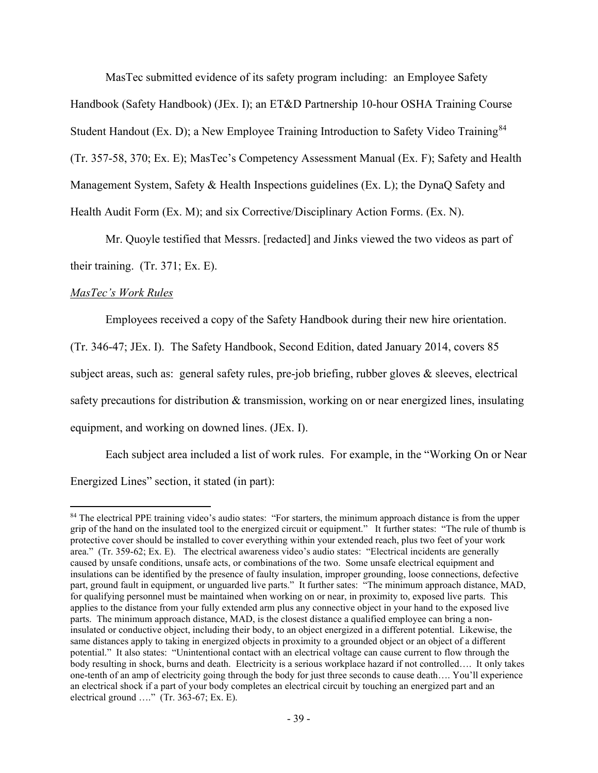MasTec submitted evidence of its safety program including: an Employee Safety Handbook (Safety Handbook) (JEx. I); an ET&D Partnership 10-hour OSHA Training Course Student Handout (Ex. D); a New Employee Training Introduction to Safety Video Training<sup>[84](#page-54-0)</sup> (Tr. 357-58, 370; Ex. E); MasTec's Competency Assessment Manual (Ex. F); Safety and Health Management System, Safety & Health Inspections guidelines (Ex. L); the DynaQ Safety and Health Audit Form (Ex. M); and six Corrective/Disciplinary Action Forms. (Ex. N).

 Mr. Quoyle testified that Messrs. [redacted] and Jinks viewed the two videos as part of their training. (Tr. 371; Ex. E).

## *MasTec's Work Rules*

Employees received a copy of the Safety Handbook during their new hire orientation.

(Tr. 346-47; JEx. I). The Safety Handbook, Second Edition, dated January 2014, covers 85 subject areas, such as: general safety rules, pre-job briefing, rubber gloves  $\&$  sleeves, electrical safety precautions for distribution & transmission, working on or near energized lines, insulating equipment, and working on downed lines. (JEx. I).

Each subject area included a list of work rules. For example, in the "Working On or Near Energized Lines" section, it stated (in part):

<span id="page-54-0"></span><sup>&</sup>lt;sup>84</sup> The electrical PPE training video's audio states: "For starters, the minimum approach distance is from the upper grip of the hand on the insulated tool to the energized circuit or equipment." It further states: "The rule of thumb is protective cover should be installed to cover everything within your extended reach, plus two feet of your work area." (Tr. 359-62; Ex. E). The electrical awareness video's audio states: "Electrical incidents are generally caused by unsafe conditions, unsafe acts, or combinations of the two. Some unsafe electrical equipment and insulations can be identified by the presence of faulty insulation, improper grounding, loose connections, defective part, ground fault in equipment, or unguarded live parts." It further sates: "The minimum approach distance, MAD, for qualifying personnel must be maintained when working on or near, in proximity to, exposed live parts. This applies to the distance from your fully extended arm plus any connective object in your hand to the exposed live parts. The minimum approach distance, MAD, is the closest distance a qualified employee can bring a noninsulated or conductive object, including their body, to an object energized in a different potential. Likewise, the same distances apply to taking in energized objects in proximity to a grounded object or an object of a different potential." It also states: "Unintentional contact with an electrical voltage can cause current to flow through the body resulting in shock, burns and death. Electricity is a serious workplace hazard if not controlled…. It only takes one-tenth of an amp of electricity going through the body for just three seconds to cause death…. You'll experience an electrical shock if a part of your body completes an electrical circuit by touching an energized part and an electrical ground …." (Tr. 363-67; Ex. E).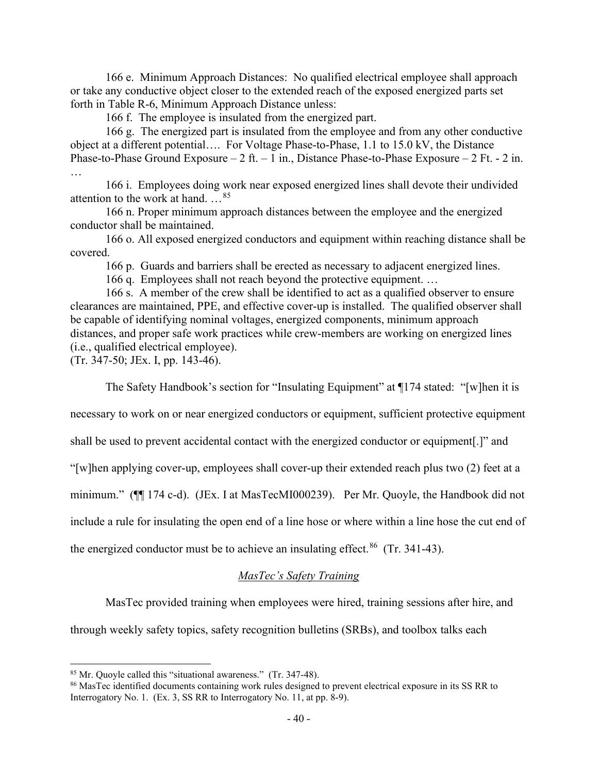166 e. Minimum Approach Distances: No qualified electrical employee shall approach or take any conductive object closer to the extended reach of the exposed energized parts set forth in Table R-6, Minimum Approach Distance unless:

166 f. The employee is insulated from the energized part.

166 g. The energized part is insulated from the employee and from any other conductive object at a different potential…. For Voltage Phase-to-Phase, 1.1 to 15.0 kV, the Distance Phase-to-Phase Ground Exposure – 2 ft. – 1 in., Distance Phase-to-Phase Exposure – 2 Ft. - 2 in. …

166 i. Employees doing work near exposed energized lines shall devote their undivided attention to the work at hand. …[85](#page-55-0)

166 n. Proper minimum approach distances between the employee and the energized conductor shall be maintained.

166 o. All exposed energized conductors and equipment within reaching distance shall be covered.

166 p. Guards and barriers shall be erected as necessary to adjacent energized lines.

166 q. Employees shall not reach beyond the protective equipment. …

166 s. A member of the crew shall be identified to act as a qualified observer to ensure clearances are maintained, PPE, and effective cover-up is installed. The qualified observer shall be capable of identifying nominal voltages, energized components, minimum approach distances, and proper safe work practices while crew-members are working on energized lines (i.e., qualified electrical employee).

(Tr. 347-50; JEx. I, pp. 143-46).

The Safety Handbook's section for "Insulating Equipment" at ¶174 stated: "[w]hen it is

necessary to work on or near energized conductors or equipment, sufficient protective equipment

shall be used to prevent accidental contact with the energized conductor or equipment[.]" and

"[w]hen applying cover-up, employees shall cover-up their extended reach plus two (2) feet at a

minimum." (¶¶ 174 c-d). (JEx. I at MasTecMI000239). Per Mr. Quoyle, the Handbook did not

include a rule for insulating the open end of a line hose or where within a line hose the cut end of

the energized conductor must be to achieve an insulating effect.<sup>86</sup> (Tr. 341-43).

# *MasTec's Safety Training*

MasTec provided training when employees were hired, training sessions after hire, and

through weekly safety topics, safety recognition bulletins (SRBs), and toolbox talks each

<span id="page-55-0"></span><sup>85</sup> Mr. Quoyle called this "situational awareness." (Tr. 347-48).

<span id="page-55-1"></span><sup>&</sup>lt;sup>86</sup> MasTec identified documents containing work rules designed to prevent electrical exposure in its SS RR to Interrogatory No. 1. (Ex. 3, SS RR to Interrogatory No. 11, at pp. 8-9).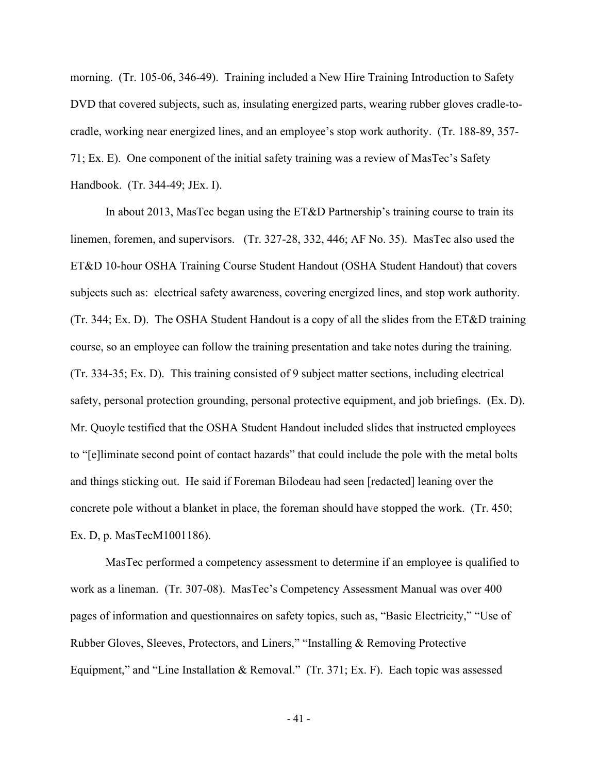morning. (Tr. 105-06, 346-49). Training included a New Hire Training Introduction to Safety DVD that covered subjects, such as, insulating energized parts, wearing rubber gloves cradle-tocradle, working near energized lines, and an employee's stop work authority. (Tr. 188-89, 357- 71; Ex. E). One component of the initial safety training was a review of MasTec's Safety Handbook. (Tr. 344-49; JEx. I).

In about 2013, MasTec began using the ET&D Partnership's training course to train its linemen, foremen, and supervisors. (Tr. 327-28, 332, 446; AF No. 35). MasTec also used the ET&D 10-hour OSHA Training Course Student Handout (OSHA Student Handout) that covers subjects such as: electrical safety awareness, covering energized lines, and stop work authority. (Tr. 344; Ex. D). The OSHA Student Handout is a copy of all the slides from the ET&D training course, so an employee can follow the training presentation and take notes during the training. (Tr. 334-35; Ex. D). This training consisted of 9 subject matter sections, including electrical safety, personal protection grounding, personal protective equipment, and job briefings. (Ex. D). Mr. Quoyle testified that the OSHA Student Handout included slides that instructed employees to "[e]liminate second point of contact hazards" that could include the pole with the metal bolts and things sticking out. He said if Foreman Bilodeau had seen [redacted] leaning over the concrete pole without a blanket in place, the foreman should have stopped the work. (Tr. 450; Ex. D, p. MasTecM1001186).

MasTec performed a competency assessment to determine if an employee is qualified to work as a lineman. (Tr. 307-08). MasTec's Competency Assessment Manual was over 400 pages of information and questionnaires on safety topics, such as, "Basic Electricity," "Use of Rubber Gloves, Sleeves, Protectors, and Liners," "Installing & Removing Protective Equipment," and "Line Installation & Removal." (Tr. 371; Ex. F). Each topic was assessed

- 41 -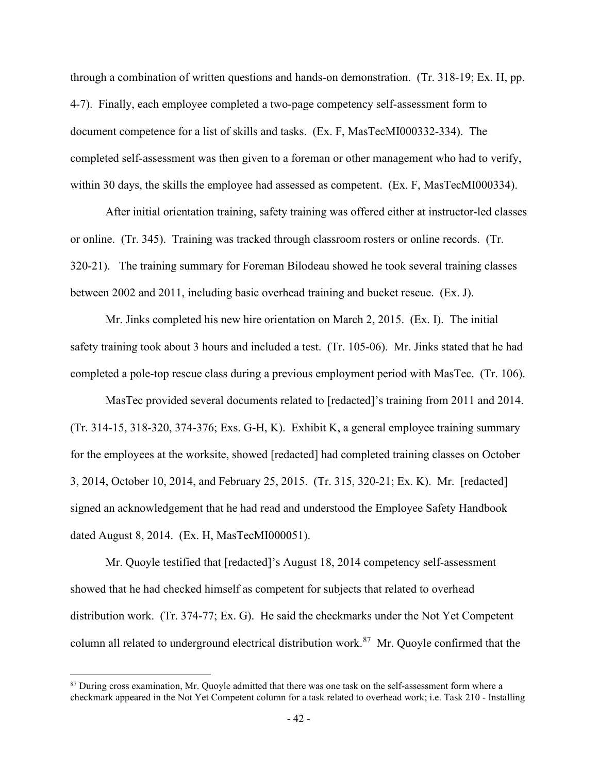through a combination of written questions and hands-on demonstration. (Tr. 318-19; Ex. H, pp. 4-7). Finally, each employee completed a two-page competency self-assessment form to document competence for a list of skills and tasks. (Ex. F, MasTecMI000332-334). The completed self-assessment was then given to a foreman or other management who had to verify, within 30 days, the skills the employee had assessed as competent. (Ex. F, MasTecMI000334).

After initial orientation training, safety training was offered either at instructor-led classes or online. (Tr. 345). Training was tracked through classroom rosters or online records. (Tr. 320-21). The training summary for Foreman Bilodeau showed he took several training classes between 2002 and 2011, including basic overhead training and bucket rescue. (Ex. J).

Mr. Jinks completed his new hire orientation on March 2, 2015. (Ex. I). The initial safety training took about 3 hours and included a test. (Tr. 105-06). Mr. Jinks stated that he had completed a pole-top rescue class during a previous employment period with MasTec. (Tr. 106).

MasTec provided several documents related to [redacted]'s training from 2011 and 2014. (Tr. 314-15, 318-320, 374-376; Exs. G-H, K). Exhibit K, a general employee training summary for the employees at the worksite, showed [redacted] had completed training classes on October 3, 2014, October 10, 2014, and February 25, 2015. (Tr. 315, 320-21; Ex. K). Mr. [redacted] signed an acknowledgement that he had read and understood the Employee Safety Handbook dated August 8, 2014. (Ex. H, MasTecMI000051).

Mr. Quoyle testified that [redacted]'s August 18, 2014 competency self-assessment showed that he had checked himself as competent for subjects that related to overhead distribution work. (Tr. 374-77; Ex. G). He said the checkmarks under the Not Yet Competent column all related to underground electrical distribution work.<sup>87</sup> Mr. Quoyle confirmed that the

<span id="page-57-0"></span><sup>&</sup>lt;sup>87</sup> During cross examination, Mr. Quoyle admitted that there was one task on the self-assessment form where a checkmark appeared in the Not Yet Competent column for a task related to overhead work; i.e. Task 210 - Installing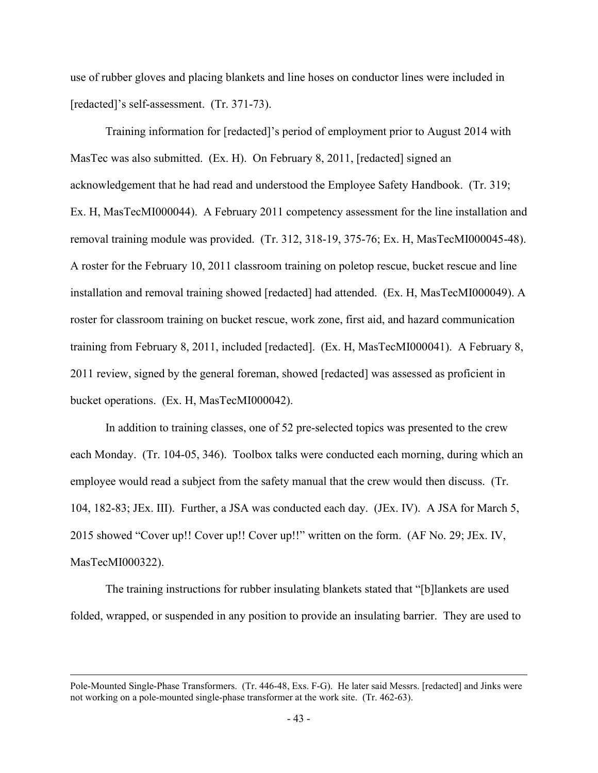use of rubber gloves and placing blankets and line hoses on conductor lines were included in [redacted]'s self-assessment. (Tr. 371-73).

Training information for [redacted]'s period of employment prior to August 2014 with MasTec was also submitted. (Ex. H). On February 8, 2011, [redacted] signed an acknowledgement that he had read and understood the Employee Safety Handbook. (Tr. 319; Ex. H, MasTecMI000044). A February 2011 competency assessment for the line installation and removal training module was provided. (Tr. 312, 318-19, 375-76; Ex. H, MasTecMI000045-48). A roster for the February 10, 2011 classroom training on poletop rescue, bucket rescue and line installation and removal training showed [redacted] had attended. (Ex. H, MasTecMI000049). A roster for classroom training on bucket rescue, work zone, first aid, and hazard communication training from February 8, 2011, included [redacted]. (Ex. H, MasTecMI000041). A February 8, 2011 review, signed by the general foreman, showed [redacted] was assessed as proficient in bucket operations. (Ex. H, MasTecMI000042).

In addition to training classes, one of 52 pre-selected topics was presented to the crew each Monday. (Tr. 104-05, 346). Toolbox talks were conducted each morning, during which an employee would read a subject from the safety manual that the crew would then discuss. (Tr. 104, 182-83; JEx. III). Further, a JSA was conducted each day. (JEx. IV). A JSA for March 5, 2015 showed "Cover up!! Cover up!! Cover up!!" written on the form. (AF No. 29; JEx. IV, MasTecMI000322).

The training instructions for rubber insulating blankets stated that "[b]lankets are used folded, wrapped, or suspended in any position to provide an insulating barrier. They are used to

Pole-Mounted Single-Phase Transformers. (Tr. 446-48, Exs. F-G). He later said Messrs. [redacted] and Jinks were not working on a pole-mounted single-phase transformer at the work site. (Tr. 462-63).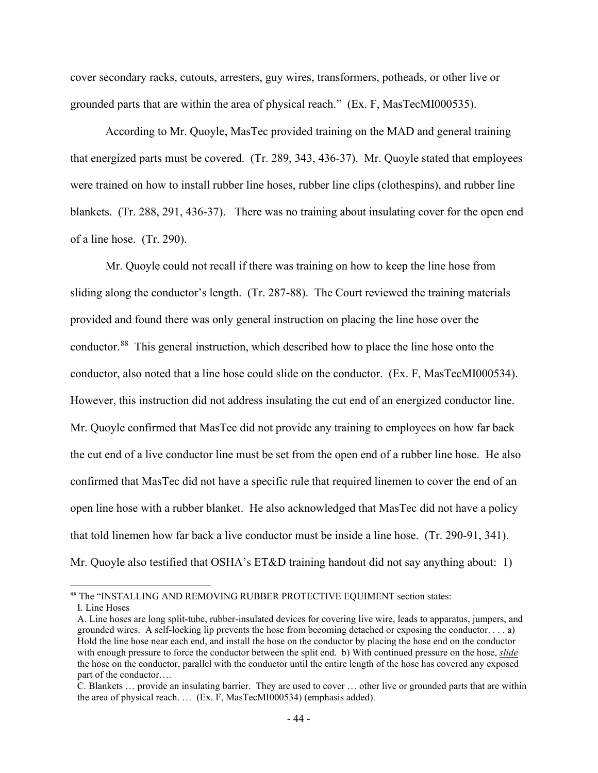cover secondary racks, cutouts, arresters, guy wires, transformers, potheads, or other live or grounded parts that are within the area of physical reach." (Ex. F, MasTecMI000535).

According to Mr. Quoyle, MasTec provided training on the MAD and general training that energized parts must be covered. (Tr. 289, 343, 436-37). Mr. Quoyle stated that employees were trained on how to install rubber line hoses, rubber line clips (clothespins), and rubber line blankets. (Tr. 288, 291, 436-37). There was no training about insulating cover for the open end of a line hose. (Tr. 290).

 Mr. Quoyle could not recall if there was training on how to keep the line hose from sliding along the conductor's length. (Tr. 287-88). The Court reviewed the training materials provided and found there was only general instruction on placing the line hose over the conductor.<sup>88</sup> This general instruction, which described how to place the line hose onto the conductor, also noted that a line hose could slide on the conductor. (Ex. F, MasTecMI000534). However, this instruction did not address insulating the cut end of an energized conductor line. Mr. Quoyle confirmed that MasTec did not provide any training to employees on how far back the cut end of a live conductor line must be set from the open end of a rubber line hose. He also confirmed that MasTec did not have a specific rule that required linemen to cover the end of an open line hose with a rubber blanket. He also acknowledged that MasTec did not have a policy that told linemen how far back a live conductor must be inside a line hose. (Tr. 290-91, 341). Mr. Quoyle also testified that OSHA's ET&D training handout did not say anything about: 1)

<span id="page-59-0"></span><sup>88</sup> The "INSTALLING AND REMOVING RUBBER PROTECTIVE EQUIMENT section states: I. Line Hoses

A. Line hoses are long split-tube, rubber-insulated devices for covering live wire, leads to apparatus, jumpers, and grounded wires. A self-locking lip prevents the hose from becoming detached or exposing the conductor. . . . a) Hold the line hose near each end, and install the hose on the conductor by placing the hose end on the conductor with enough pressure to force the conductor between the split end. b) With continued pressure on the hose, *slide* the hose on the conductor, parallel with the conductor until the entire length of the hose has covered any exposed part of the conductor….

C. Blankets … provide an insulating barrier. They are used to cover … other live or grounded parts that are within the area of physical reach. … (Ex. F, MasTecMI000534) (emphasis added).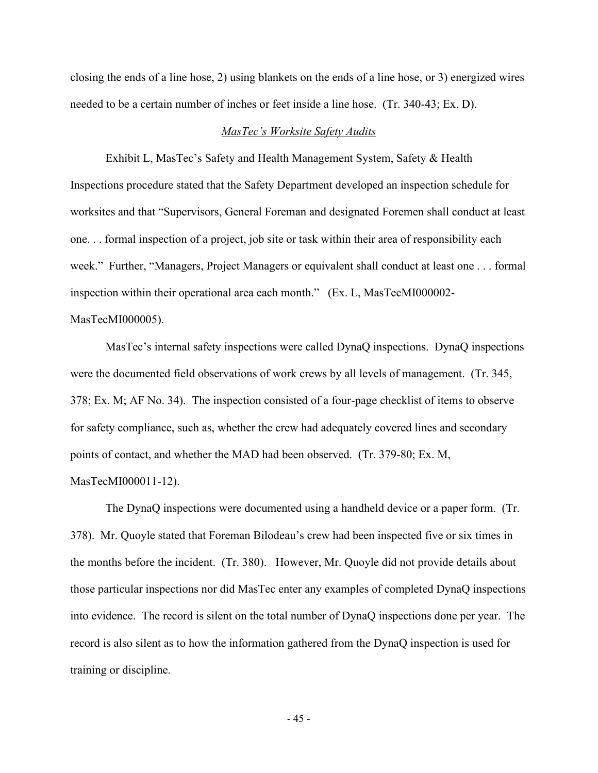closing the ends of a line hose, 2) using blankets on the ends of a line hose, or 3) energized wires needed to be a certain number of inches or feet inside a line hose. (Tr. 340-43; Ex. D).

#### *MasTec's Worksite Safety Audits*

Exhibit L, MasTec's Safety and Health Management System, Safety & Health Inspections procedure stated that the Safety Department developed an inspection schedule for worksites and that "Supervisors, General Foreman and designated Foremen shall conduct at least one. . . formal inspection of a project, job site or task within their area of responsibility each week." Further, "Managers, Project Managers or equivalent shall conduct at least one . . . formal inspection within their operational area each month." (Ex. L, MasTecMI000002-

## MasTecMI000005).

MasTec's internal safety inspections were called DynaQ inspections. DynaQ inspections were the documented field observations of work crews by all levels of management. (Tr. 345, 378; Ex. M; AF No. 34). The inspection consisted of a four-page checklist of items to observe for safety compliance, such as, whether the crew had adequately covered lines and secondary points of contact, and whether the MAD had been observed. (Tr. 379-80; Ex. M, MasTecMI000011-12).

The DynaQ inspections were documented using a handheld device or a paper form. (Tr. 378). Mr. Quoyle stated that Foreman Bilodeau's crew had been inspected five or six times in the months before the incident. (Tr. 380). However, Mr. Quoyle did not provide details about those particular inspections nor did MasTec enter any examples of completed DynaQ inspections into evidence. The record is silent on the total number of DynaQ inspections done per year. The record is also silent as to how the information gathered from the DynaQ inspection is used for training or discipline.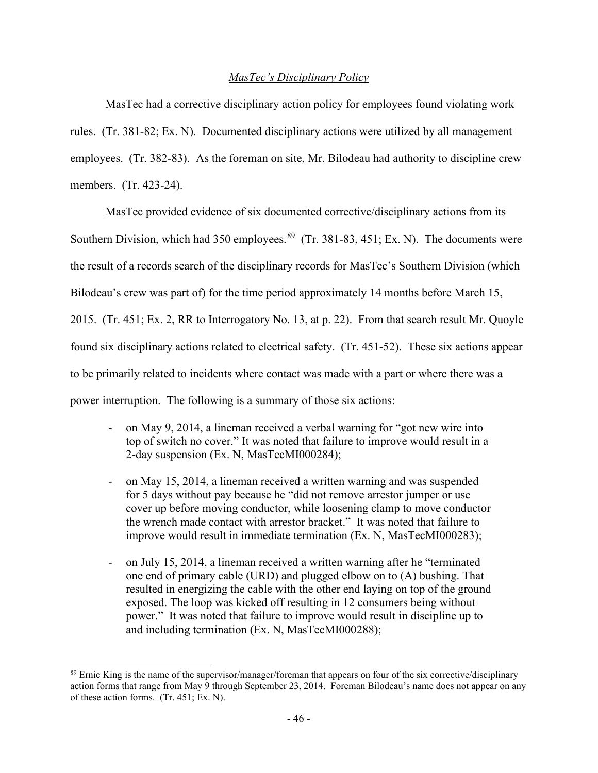# *MasTec's Disciplinary Policy*

MasTec had a corrective disciplinary action policy for employees found violating work rules. (Tr. 381-82; Ex. N). Documented disciplinary actions were utilized by all management employees. (Tr. 382-83). As the foreman on site, Mr. Bilodeau had authority to discipline crew members. (Tr. 423-24).

MasTec provided evidence of six documented corrective/disciplinary actions from its Southern Division, which had 350 employees.<sup>[89](#page-61-0)</sup> (Tr. 381-83, 451; Ex. N). The documents were the result of a records search of the disciplinary records for MasTec's Southern Division (which Bilodeau's crew was part of) for the time period approximately 14 months before March 15, 2015. (Tr. 451; Ex. 2, RR to Interrogatory No. 13, at p. 22). From that search result Mr. Quoyle found six disciplinary actions related to electrical safety. (Tr. 451-52). These six actions appear to be primarily related to incidents where contact was made with a part or where there was a power interruption. The following is a summary of those six actions:

- on May 9, 2014, a lineman received a verbal warning for "got new wire into top of switch no cover." It was noted that failure to improve would result in a 2-day suspension (Ex. N, MasTecMI000284);
- on May 15, 2014, a lineman received a written warning and was suspended for 5 days without pay because he "did not remove arrestor jumper or use cover up before moving conductor, while loosening clamp to move conductor the wrench made contact with arrestor bracket." It was noted that failure to improve would result in immediate termination (Ex. N, MasTecMI000283);
- on July 15, 2014, a lineman received a written warning after he "terminated one end of primary cable (URD) and plugged elbow on to (A) bushing. That resulted in energizing the cable with the other end laying on top of the ground exposed. The loop was kicked off resulting in 12 consumers being without power." It was noted that failure to improve would result in discipline up to and including termination (Ex. N, MasTecMI000288);

<span id="page-61-0"></span><sup>89</sup> Ernie King is the name of the supervisor/manager/foreman that appears on four of the six corrective/disciplinary action forms that range from May 9 through September 23, 2014. Foreman Bilodeau's name does not appear on any of these action forms. (Tr. 451; Ex. N).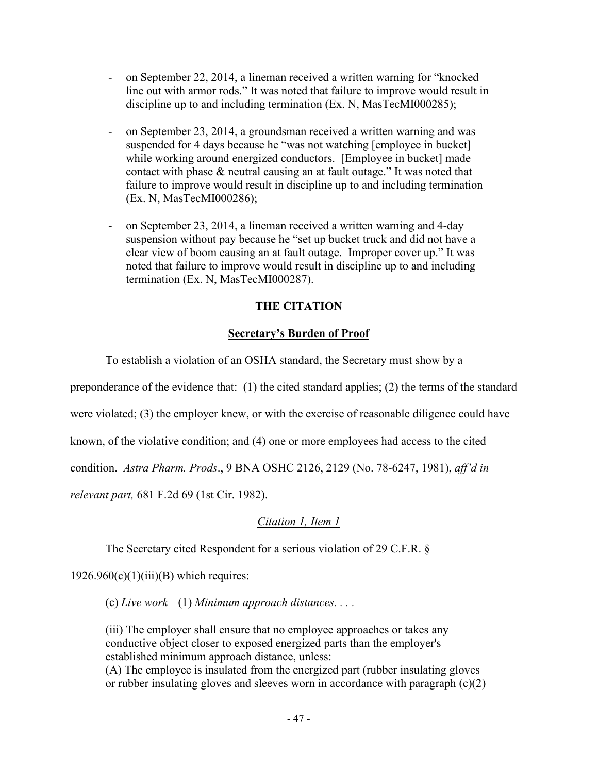- on September 22, 2014, a lineman received a written warning for "knocked line out with armor rods." It was noted that failure to improve would result in discipline up to and including termination (Ex. N, MasTecMI000285);
- on September 23, 2014, a groundsman received a written warning and was suspended for 4 days because he "was not watching [employee in bucket] while working around energized conductors. [Employee in bucket] made contact with phase & neutral causing an at fault outage." It was noted that failure to improve would result in discipline up to and including termination (Ex. N, MasTecMI000286);
- on September 23, 2014, a lineman received a written warning and 4-day suspension without pay because he "set up bucket truck and did not have a clear view of boom causing an at fault outage. Improper cover up." It was noted that failure to improve would result in discipline up to and including termination (Ex. N, MasTecMI000287).

# **THE CITATION**

# **Secretary's Burden of Proof**

To establish a violation of an OSHA standard, the Secretary must show by a

preponderance of the evidence that: (1) the cited standard applies; (2) the terms of the standard

were violated; (3) the employer knew, or with the exercise of reasonable diligence could have

known, of the violative condition; and (4) one or more employees had access to the cited

condition. *Astra Pharm. Prods*., 9 BNA OSHC 2126, 2129 (No. 78-6247, 1981), *aff'd in* 

*relevant part,* 681 F.2d 69 (1st Cir. 1982).

# *Citation 1, Item 1*

The Secretary cited Respondent for a serious violation of 29 C.F.R. §

 $1926.960(c)(1)(iii)(B)$  which requires:

(c) *Live work—*(1) *Minimum approach distances. . . .*

(iii) The employer shall ensure that no employee approaches or takes any conductive object closer to exposed energized parts than the employer's established minimum approach distance, unless:

(A) The employee is insulated from the energized part (rubber insulating gloves or rubber insulating gloves and sleeves worn in accordance with paragraph (c)(2)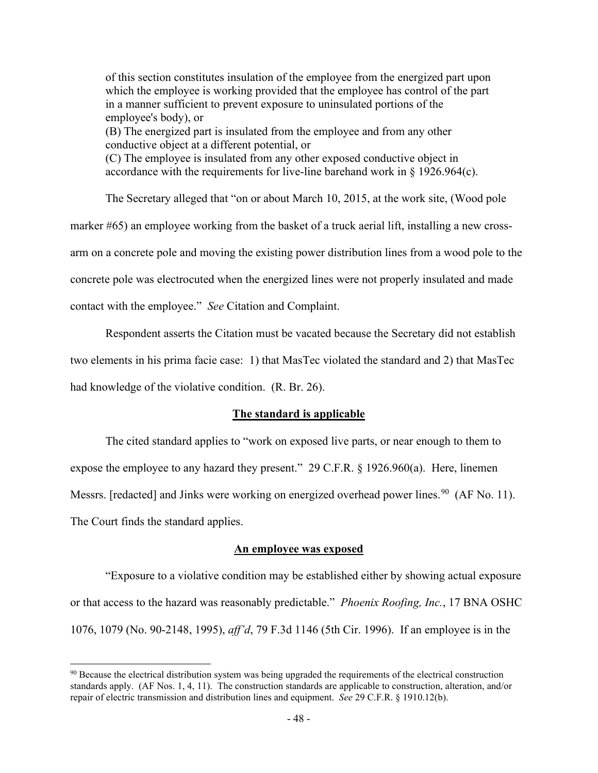of this section constitutes insulation of the employee from the energized part upon which the employee is working provided that the employee has control of the part in a manner sufficient to prevent exposure to uninsulated portions of the employee's body), or (B) The energized part is insulated from the employee and from any other conductive object at a different potential, or (C) The employee is insulated from any other exposed conductive object in accordance with the requirements for live-line barehand work in § 1926.964(c).

The Secretary alleged that "on or about March 10, 2015, at the work site, (Wood pole marker #65) an employee working from the basket of a truck aerial lift, installing a new crossarm on a concrete pole and moving the existing power distribution lines from a wood pole to the concrete pole was electrocuted when the energized lines were not properly insulated and made contact with the employee." *See* Citation and Complaint.

Respondent asserts the Citation must be vacated because the Secretary did not establish two elements in his prima facie case: 1) that MasTec violated the standard and 2) that MasTec had knowledge of the violative condition. (R. Br. 26).

## **The standard is applicable**

 The cited standard applies to "work on exposed live parts, or near enough to them to expose the employee to any hazard they present." 29 C.F.R. § 1926.960(a). Here, linemen Messrs. [redacted] and Jinks were working on energized overhead power lines.<sup>90</sup> (AF No. 11). The Court finds the standard applies.

#### **An employee was exposed**

"Exposure to a violative condition may be established either by showing actual exposure or that access to the hazard was reasonably predictable." *Phoenix Roofing, Inc.*, 17 BNA OSHC 1076, 1079 (No. 90-2148, 1995), *aff'd*, 79 F.3d 1146 (5th Cir. 1996). If an employee is in the

<span id="page-63-0"></span><sup>&</sup>lt;sup>90</sup> Because the electrical distribution system was being upgraded the requirements of the electrical construction standards apply. (AF Nos. 1, 4, 11). The construction standards are applicable to construction, alteration, and/or repair of electric transmission and distribution lines and equipment. *See* 29 C.F.R. § 1910.12(b).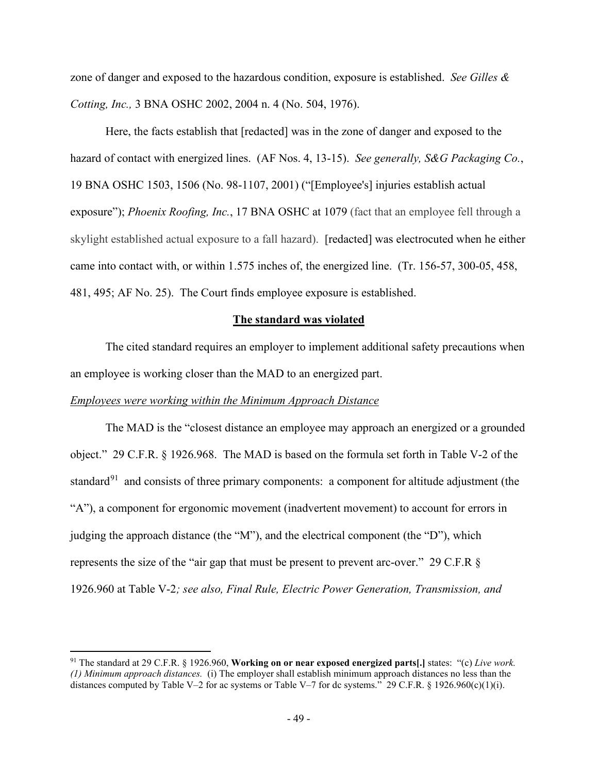zone of danger and exposed to the hazardous condition, exposure is established. *See Gilles & Cotting, Inc.,* 3 BNA OSHC 2002, 2004 n. 4 (No. 504, 1976).

Here, the facts establish that [redacted] was in the zone of danger and exposed to the hazard of contact with energized lines. (AF Nos. 4, 13-15). *See generally, S&G Packaging Co.*, 19 BNA OSHC 1503, 1506 (No. 98-1107, 2001) ("[Employee's] injuries establish actual exposure"); *Phoenix Roofing, Inc.*, 17 BNA OSHC at 1079 (fact that an employee fell through a skylight established actual exposure to a fall hazard). [redacted] was electrocuted when he either came into contact with, or within 1.575 inches of, the energized line. (Tr. 156-57, 300-05, 458, 481, 495; AF No. 25). The Court finds employee exposure is established.

#### **The standard was violated**

 The cited standard requires an employer to implement additional safety precautions when an employee is working closer than the MAD to an energized part.

#### *Employees were working within the Minimum Approach Distance*

The MAD is the "closest distance an employee may approach an energized or a grounded object." 29 C.F.R. § 1926.968. The MAD is based on the formula set forth in Table V-2 of the standard<sup>[91](#page-64-0)</sup> and consists of three primary components: a component for altitude adjustment (the "A"), a component for ergonomic movement (inadvertent movement) to account for errors in judging the approach distance (the "M"), and the electrical component (the "D"), which represents the size of the "air gap that must be present to prevent arc-over." 29 C.F.R § 1926.960 at Table V-2*; see also, Final Rule, Electric Power Generation, Transmission, and* 

<span id="page-64-0"></span><sup>91</sup> The standard at 29 C.F.R. § 1926.960, **Working on or near exposed energized parts[.]** states: "(c) *Live work. (1) Minimum approach distances.* (i) The employer shall establish minimum approach distances no less than the distances computed by Table V–2 for ac systems or Table V–7 for dc systems.<sup>3</sup> 29 C.F.R. § 1926.960(c)(1)(i).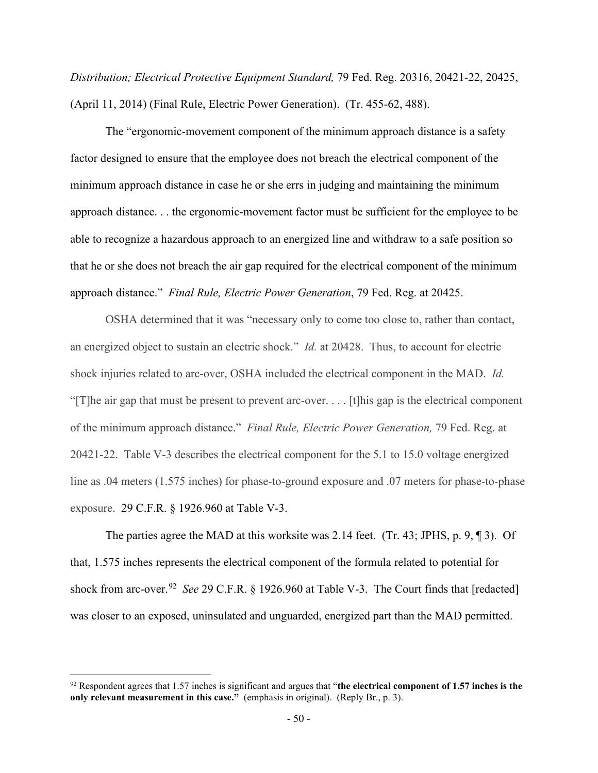*Distribution; Electrical Protective Equipment Standard,* 79 Fed. Reg. 20316, 20421-22, 20425, (April 11, 2014) (Final Rule, Electric Power Generation). (Tr. 455-62, 488).

The "ergonomic-movement component of the minimum approach distance is a safety factor designed to ensure that the employee does not breach the electrical component of the minimum approach distance in case he or she errs in judging and maintaining the minimum approach distance. . . the ergonomic-movement factor must be sufficient for the employee to be able to recognize a hazardous approach to an energized line and withdraw to a safe position so that he or she does not breach the air gap required for the electrical component of the minimum approach distance." *Final Rule, Electric Power Generation*, 79 Fed. Reg. at 20425.

OSHA determined that it was "necessary only to come too close to, rather than contact, an energized object to sustain an electric shock." *Id.* at 20428. Thus, to account for electric shock injuries related to arc-over, OSHA included the electrical component in the MAD. *Id.*  "[T]he air gap that must be present to prevent arc-over. . . . [t]his gap is the electrical component of the minimum approach distance." *Final Rule, Electric Power Generation,* 79 Fed. Reg. at 20421-22. Table V-3 describes the electrical component for the 5.1 to 15.0 voltage energized line as .04 meters (1.575 inches) for phase-to-ground exposure and .07 meters for phase-to-phase exposure. 29 C.F.R. § 1926.960 at Table V-3.

The parties agree the MAD at this worksite was 2.14 feet. (Tr. 43; JPHS, p. 9, ¶ 3). Of that, 1.575 inches represents the electrical component of the formula related to potential for shock from arc-over.[92](#page-65-0) *See* 29 C.F.R. § 1926.960 at Table V-3. The Court finds that [redacted] was closer to an exposed, uninsulated and unguarded, energized part than the MAD permitted.

<span id="page-65-0"></span><sup>92</sup> Respondent agrees that 1.57 inches is significant and argues that "**the electrical component of 1.57 inches is the only relevant measurement in this case."** (emphasis in original). (Reply Br., p. 3).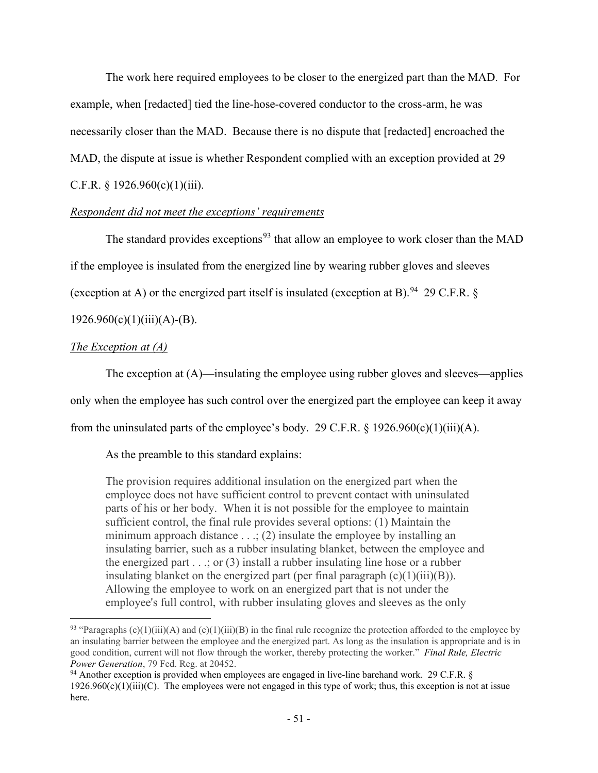The work here required employees to be closer to the energized part than the MAD. For example, when [redacted] tied the line-hose-covered conductor to the cross-arm, he was necessarily closer than the MAD. Because there is no dispute that [redacted] encroached the MAD, the dispute at issue is whether Respondent complied with an exception provided at 29 C.F.R.  $§$  1926.960(c)(1)(iii).

## *Respondent did not meet the exceptions' requirements*

The standard provides exceptions<sup>[93](#page-66-0)</sup> that allow an employee to work closer than the MAD if the employee is insulated from the energized line by wearing rubber gloves and sleeves (exception at A) or the energized part itself is insulated (exception at B). <sup>[94](#page-66-1)</sup> 29 C.F.R. §

## $1926.960(c)(1)(iii)(A)-(B).$

## *The Exception at (A)*

 The exception at (A)—insulating the employee using rubber gloves and sleeves—applies only when the employee has such control over the energized part the employee can keep it away from the uninsulated parts of the employee's body. 29 C.F.R. § 1926.960(c)(1)(iii)(A).

# As the preamble to this standard explains:

The provision requires additional insulation on the energized part when the employee does not have sufficient control to prevent contact with uninsulated parts of his or her body. When it is not possible for the employee to maintain sufficient control, the final rule provides several options: (1) Maintain the minimum approach distance  $\dots$ ; (2) insulate the employee by installing an insulating barrier, such as a rubber insulating blanket, between the employee and the energized part  $\ldots$ ; or (3) install a rubber insulating line hose or a rubber insulating blanket on the energized part (per final paragraph  $(c)(1)(iii)(B)$ ). Allowing the employee to work on an energized part that is not under the employee's full control, with rubber insulating gloves and sleeves as the only

<span id="page-66-0"></span><sup>&</sup>lt;sup>93</sup> "Paragraphs  $(c)(1)(iii)(A)$  and  $(c)(1)(iii)(B)$  in the final rule recognize the protection afforded to the employee by an insulating barrier between the employee and the energized part. As long as the insulation is appropriate and is in good condition, current will not flow through the worker, thereby protecting the worker." *Final Rule, Electric Power Generation*, 79 Fed. Reg. at 20452.

<span id="page-66-1"></span><sup>94</sup> Another exception is provided when employees are engaged in live-line barehand work. 29 C.F.R. § 1926.960 $(c)(1)(iii)(C)$ . The employees were not engaged in this type of work; thus, this exception is not at issue here.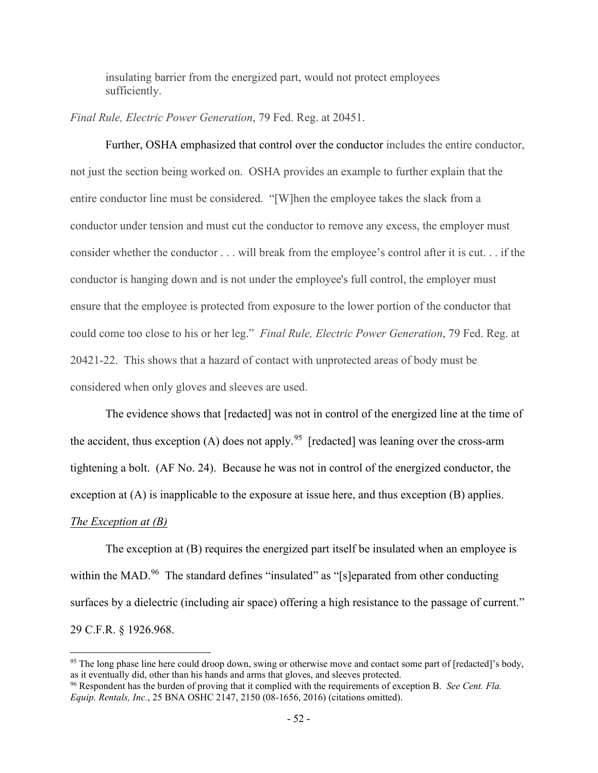insulating barrier from the energized part, would not protect employees sufficiently.

*Final Rule, Electric Power Generation*, 79 Fed. Reg. at 20451.

Further, OSHA emphasized that control over the conductor includes the entire conductor, not just the section being worked on. OSHA provides an example to further explain that the entire conductor line must be considered. "[W]hen the employee takes the slack from a conductor under tension and must cut the conductor to remove any excess, the employer must consider whether the conductor . . . will break from the employee's control after it is cut. . . if the conductor is hanging down and is not under the employee's full control, the employer must ensure that the employee is protected from exposure to the lower portion of the conductor that could come too close to his or her leg." *Final Rule, Electric Power Generation*, 79 Fed. Reg. at 20421-22. This shows that a hazard of contact with unprotected areas of body must be considered when only gloves and sleeves are used.

The evidence shows that [redacted] was not in control of the energized line at the time of the accident, thus exception (A) does not apply.<sup>95</sup> [redacted] was leaning over the cross-arm tightening a bolt. (AF No. 24). Because he was not in control of the energized conductor, the exception at (A) is inapplicable to the exposure at issue here, and thus exception (B) applies.

## *The Exception at (B)*

The exception at (B) requires the energized part itself be insulated when an employee is within the MAD.<sup>96</sup> The standard defines "insulated" as "[s]eparated from other conducting surfaces by a dielectric (including air space) offering a high resistance to the passage of current." 29 C.F.R. § 1926.968.

<span id="page-67-0"></span><sup>&</sup>lt;sup>95</sup> The long phase line here could droop down, swing or otherwise move and contact some part of [redacted]'s body, as it eventually did, other than his hands and arms that gloves, and sleeves protected.

<span id="page-67-1"></span><sup>96</sup> Respondent has the burden of proving that it complied with the requirements of exception B. *See Cent. Fla. Equip. Rentals, Inc.*, 25 BNA OSHC 2147, 2150 (08-1656, 2016) (citations omitted).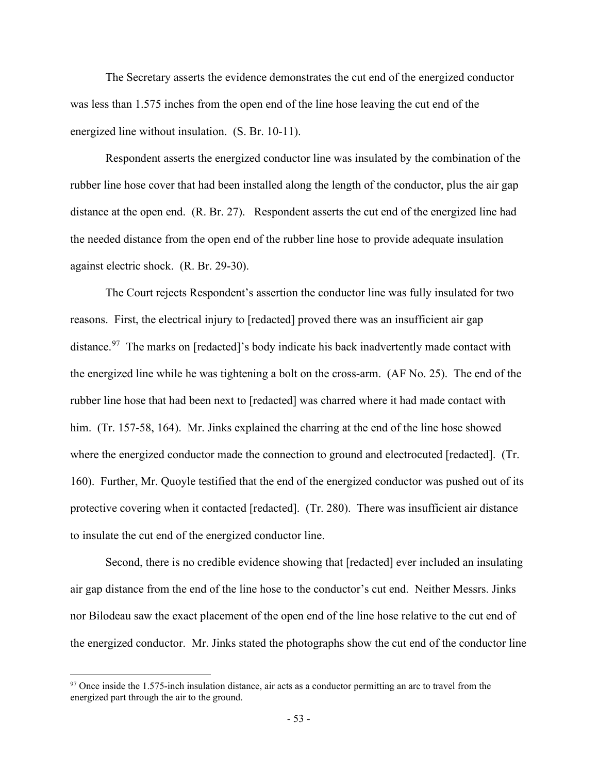The Secretary asserts the evidence demonstrates the cut end of the energized conductor was less than 1.575 inches from the open end of the line hose leaving the cut end of the energized line without insulation. (S. Br. 10-11).

Respondent asserts the energized conductor line was insulated by the combination of the rubber line hose cover that had been installed along the length of the conductor, plus the air gap distance at the open end. (R. Br. 27). Respondent asserts the cut end of the energized line had the needed distance from the open end of the rubber line hose to provide adequate insulation against electric shock. (R. Br. 29-30).

The Court rejects Respondent's assertion the conductor line was fully insulated for two reasons. First, the electrical injury to [redacted] proved there was an insufficient air gap distance.<sup>[97](#page-68-0)</sup> The marks on [redacted]'s body indicate his back inadvertently made contact with the energized line while he was tightening a bolt on the cross-arm. (AF No. 25). The end of the rubber line hose that had been next to [redacted] was charred where it had made contact with him. (Tr. 157-58, 164). Mr. Jinks explained the charring at the end of the line hose showed where the energized conductor made the connection to ground and electrocuted [redacted]. (Tr. 160). Further, Mr. Quoyle testified that the end of the energized conductor was pushed out of its protective covering when it contacted [redacted]. (Tr. 280). There was insufficient air distance to insulate the cut end of the energized conductor line.

 Second, there is no credible evidence showing that [redacted] ever included an insulating air gap distance from the end of the line hose to the conductor's cut end. Neither Messrs. Jinks nor Bilodeau saw the exact placement of the open end of the line hose relative to the cut end of the energized conductor. Mr. Jinks stated the photographs show the cut end of the conductor line

<span id="page-68-0"></span> $97$  Once inside the 1.575-inch insulation distance, air acts as a conductor permitting an arc to travel from the energized part through the air to the ground.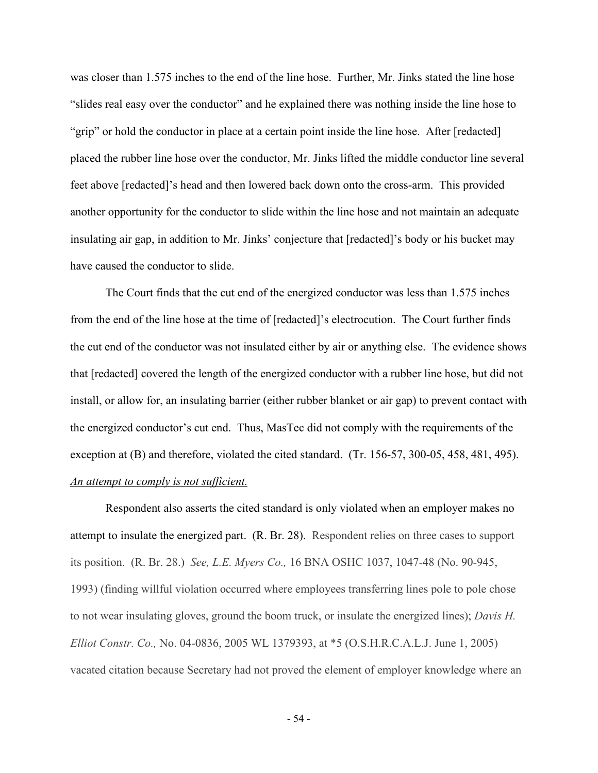was closer than 1.575 inches to the end of the line hose. Further, Mr. Jinks stated the line hose "slides real easy over the conductor" and he explained there was nothing inside the line hose to "grip" or hold the conductor in place at a certain point inside the line hose. After [redacted] placed the rubber line hose over the conductor, Mr. Jinks lifted the middle conductor line several feet above [redacted]'s head and then lowered back down onto the cross-arm. This provided another opportunity for the conductor to slide within the line hose and not maintain an adequate insulating air gap, in addition to Mr. Jinks' conjecture that [redacted]'s body or his bucket may have caused the conductor to slide.

 The Court finds that the cut end of the energized conductor was less than 1.575 inches from the end of the line hose at the time of [redacted]'s electrocution. The Court further finds the cut end of the conductor was not insulated either by air or anything else. The evidence shows that [redacted] covered the length of the energized conductor with a rubber line hose, but did not install, or allow for, an insulating barrier (either rubber blanket or air gap) to prevent contact with the energized conductor's cut end. Thus, MasTec did not comply with the requirements of the exception at (B) and therefore, violated the cited standard. (Tr. 156-57, 300-05, 458, 481, 495). *An attempt to comply is not sufficient.* 

Respondent also asserts the cited standard is only violated when an employer makes no attempt to insulate the energized part. (R. Br. 28). Respondent relies on three cases to support its position. (R. Br. 28.) *See, L.E. Myers Co.,* 16 BNA OSHC 1037, 1047-48 (No. 90-945, 1993) (finding willful violation occurred where employees transferring lines pole to pole chose to not wear insulating gloves, ground the boom truck, or insulate the energized lines); *Davis H. Elliot Constr. Co.,* No. 04-0836, 2005 WL 1379393, at \*5 (O.S.H.R.C.A.L.J. June 1, 2005) vacated citation because Secretary had not proved the element of employer knowledge where an

- 54 -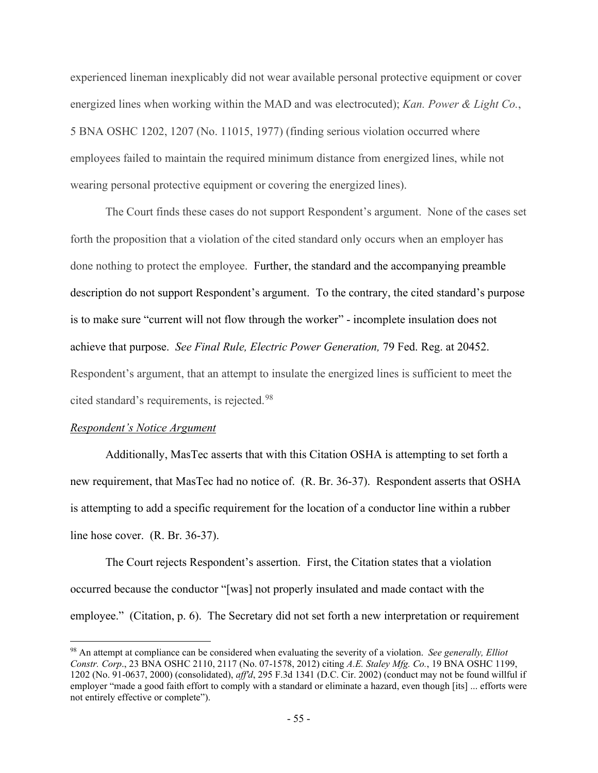experienced lineman inexplicably did not wear available personal protective equipment or cover energized lines when working within the MAD and was electrocuted); *Kan. Power & Light Co.*, 5 BNA OSHC 1202, 1207 (No. 11015, 1977) (finding serious violation occurred where employees failed to maintain the required minimum distance from energized lines, while not wearing personal protective equipment or covering the energized lines).

The Court finds these cases do not support Respondent's argument. None of the cases set forth the proposition that a violation of the cited standard only occurs when an employer has done nothing to protect the employee. Further, the standard and the accompanying preamble description do not support Respondent's argument. To the contrary, the cited standard's purpose is to make sure "current will not flow through the worker" - incomplete insulation does not achieve that purpose. *See Final Rule, Electric Power Generation,* 79 Fed. Reg. at 20452. Respondent's argument, that an attempt to insulate the energized lines is sufficient to meet the cited standard's requirements, is rejected.<sup>[98](#page-70-0)</sup>

#### *Respondent's Notice Argument*

 Additionally, MasTec asserts that with this Citation OSHA is attempting to set forth a new requirement, that MasTec had no notice of. (R. Br. 36-37). Respondent asserts that OSHA is attempting to add a specific requirement for the location of a conductor line within a rubber line hose cover. (R. Br. 36-37).

 The Court rejects Respondent's assertion. First, the Citation states that a violation occurred because the conductor "[was] not properly insulated and made contact with the employee." (Citation, p. 6). The Secretary did not set forth a new interpretation or requirement

<span id="page-70-0"></span><sup>98</sup> An attempt at compliance can be considered when evaluating the severity of a violation. *See generally, Elliot Constr. Corp*., 23 BNA OSHC 2110, 2117 (No. 07-1578, 2012) citing *A.E. Staley Mfg. Co.*, 19 BNA OSHC 1199, 1202 (No. 91-0637, 2000) (consolidated), *aff'd*, 295 F.3d 1341 (D.C. Cir. 2002) (conduct may not be found willful if employer "made a good faith effort to comply with a standard or eliminate a hazard, even though [its] ... efforts were not entirely effective or complete").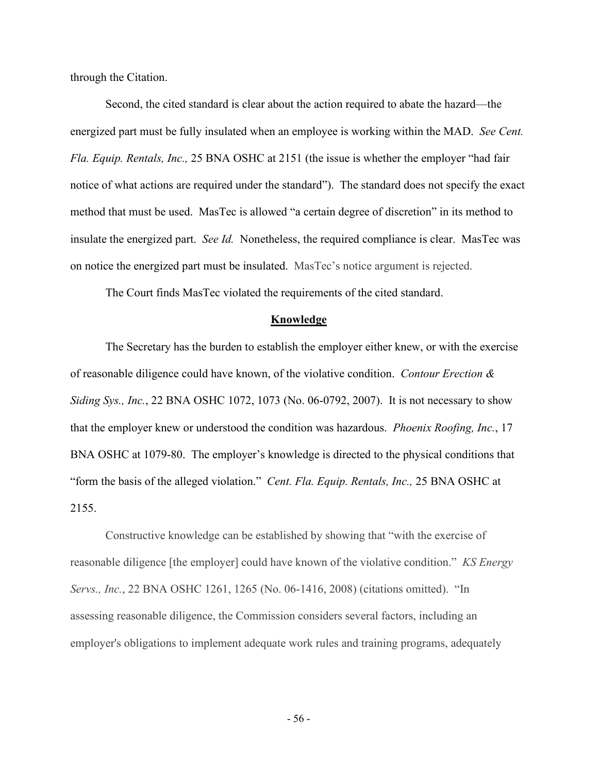through the Citation.

 Second, the cited standard is clear about the action required to abate the hazard—the energized part must be fully insulated when an employee is working within the MAD. *See Cent. Fla. Equip. Rentals, Inc.,* 25 BNA OSHC at 2151 (the issue is whether the employer "had fair notice of what actions are required under the standard"). The standard does not specify the exact method that must be used. MasTec is allowed "a certain degree of discretion" in its method to insulate the energized part. *See Id.* Nonetheless, the required compliance is clear. MasTec was on notice the energized part must be insulated. MasTec's notice argument is rejected.

The Court finds MasTec violated the requirements of the cited standard.

#### **Knowledge**

The Secretary has the burden to establish the employer either knew, or with the exercise of reasonable diligence could have known, of the violative condition. *Contour Erection & Siding Sys., Inc.*, 22 BNA OSHC 1072, 1073 (No. 06-0792, 2007). It is not necessary to show that the employer knew or understood the condition was hazardous. *Phoenix Roofing, Inc.*, 17 BNA OSHC at 1079-80. The employer's knowledge is directed to the physical conditions that "form the basis of the alleged violation." *Cent. Fla. Equip. Rentals, Inc.,* 25 BNA OSHC at 2155.

Constructive knowledge can be established by showing that "with the exercise of reasonable diligence [the employer] could have known of the violative condition." *KS Energy Servs., Inc.*, 22 BNA OSHC 1261, 1265 (No. 06-1416, 2008) (citations omitted). "In assessing reasonable diligence, the Commission considers several factors, including an employer's obligations to implement adequate work rules and training programs, adequately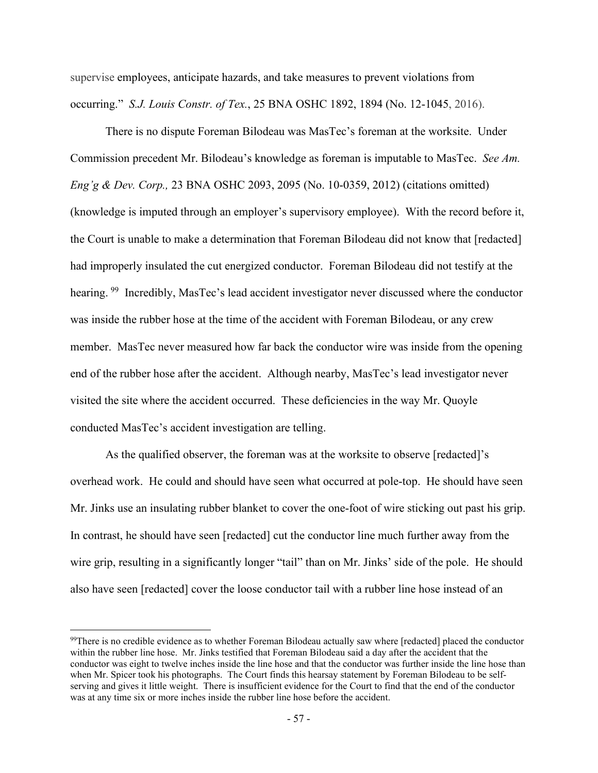supervise employees, anticipate hazards, and take measures to prevent violations from occurring." *S.J. Louis Constr. of Tex.*, 25 BNA OSHC 1892, 1894 (No. 12-1045, 2016).

There is no dispute Foreman Bilodeau was MasTec's foreman at the worksite. Under Commission precedent Mr. Bilodeau's knowledge as foreman is imputable to MasTec. *See Am. Eng'g & Dev. Corp.,* 23 BNA OSHC 2093, 2095 (No. 10-0359, 2012) (citations omitted) (knowledge is imputed through an employer's supervisory employee). With the record before it, the Court is unable to make a determination that Foreman Bilodeau did not know that [redacted] had improperly insulated the cut energized conductor. Foreman Bilodeau did not testify at the hearing. <sup>99</sup> Incredibly, MasTec's lead accident investigator never discussed where the conductor was inside the rubber hose at the time of the accident with Foreman Bilodeau, or any crew member. MasTec never measured how far back the conductor wire was inside from the opening end of the rubber hose after the accident. Although nearby, MasTec's lead investigator never visited the site where the accident occurred. These deficiencies in the way Mr. Quoyle conducted MasTec's accident investigation are telling.

As the qualified observer, the foreman was at the worksite to observe [redacted]'s overhead work. He could and should have seen what occurred at pole-top. He should have seen Mr. Jinks use an insulating rubber blanket to cover the one-foot of wire sticking out past his grip. In contrast, he should have seen [redacted] cut the conductor line much further away from the wire grip, resulting in a significantly longer "tail" than on Mr. Jinks' side of the pole. He should also have seen [redacted] cover the loose conductor tail with a rubber line hose instead of an

<span id="page-72-0"></span><sup>&</sup>lt;sup>99</sup>There is no credible evidence as to whether Foreman Bilodeau actually saw where [redacted] placed the conductor within the rubber line hose. Mr. Jinks testified that Foreman Bilodeau said a day after the accident that the conductor was eight to twelve inches inside the line hose and that the conductor was further inside the line hose than when Mr. Spicer took his photographs. The Court finds this hearsay statement by Foreman Bilodeau to be selfserving and gives it little weight. There is insufficient evidence for the Court to find that the end of the conductor was at any time six or more inches inside the rubber line hose before the accident.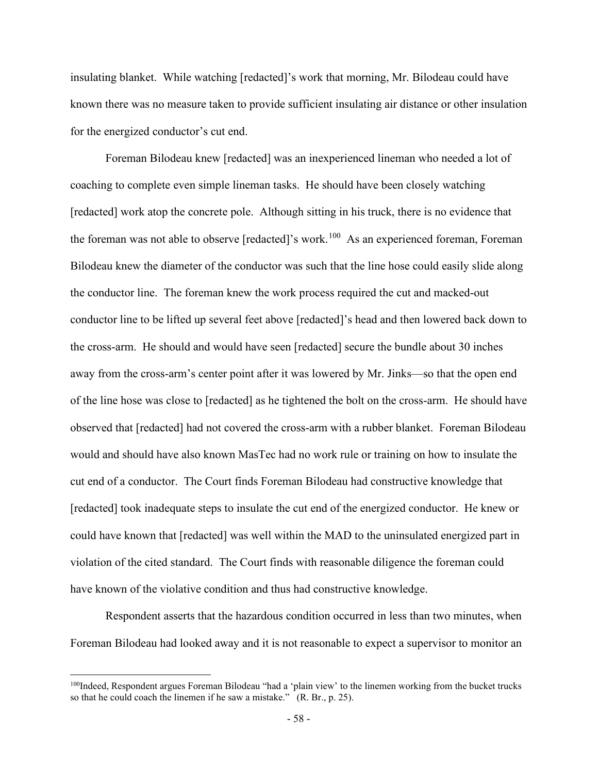insulating blanket. While watching [redacted]'s work that morning, Mr. Bilodeau could have known there was no measure taken to provide sufficient insulating air distance or other insulation for the energized conductor's cut end.

Foreman Bilodeau knew [redacted] was an inexperienced lineman who needed a lot of coaching to complete even simple lineman tasks. He should have been closely watching [redacted] work atop the concrete pole. Although sitting in his truck, there is no evidence that the foreman was not able to observe [redacted]'s work.<sup>100</sup> As an experienced foreman, Foreman Bilodeau knew the diameter of the conductor was such that the line hose could easily slide along the conductor line. The foreman knew the work process required the cut and macked-out conductor line to be lifted up several feet above [redacted]'s head and then lowered back down to the cross-arm. He should and would have seen [redacted] secure the bundle about 30 inches away from the cross-arm's center point after it was lowered by Mr. Jinks—so that the open end of the line hose was close to [redacted] as he tightened the bolt on the cross-arm. He should have observed that [redacted] had not covered the cross-arm with a rubber blanket. Foreman Bilodeau would and should have also known MasTec had no work rule or training on how to insulate the cut end of a conductor. The Court finds Foreman Bilodeau had constructive knowledge that [redacted] took inadequate steps to insulate the cut end of the energized conductor. He knew or could have known that [redacted] was well within the MAD to the uninsulated energized part in violation of the cited standard. The Court finds with reasonable diligence the foreman could have known of the violative condition and thus had constructive knowledge.

Respondent asserts that the hazardous condition occurred in less than two minutes, when Foreman Bilodeau had looked away and it is not reasonable to expect a supervisor to monitor an

<span id="page-73-0"></span><sup>&</sup>lt;sup>100</sup>Indeed, Respondent argues Foreman Bilodeau "had a 'plain view' to the linemen working from the bucket trucks so that he could coach the linemen if he saw a mistake." (R. Br., p. 25).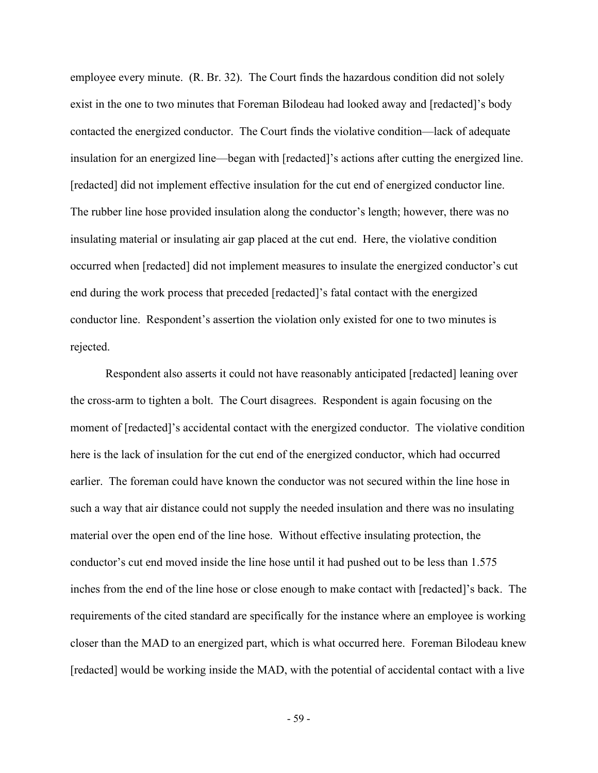employee every minute. (R. Br. 32). The Court finds the hazardous condition did not solely exist in the one to two minutes that Foreman Bilodeau had looked away and [redacted]'s body contacted the energized conductor. The Court finds the violative condition—lack of adequate insulation for an energized line—began with [redacted]'s actions after cutting the energized line. [redacted] did not implement effective insulation for the cut end of energized conductor line. The rubber line hose provided insulation along the conductor's length; however, there was no insulating material or insulating air gap placed at the cut end. Here, the violative condition occurred when [redacted] did not implement measures to insulate the energized conductor's cut end during the work process that preceded [redacted]'s fatal contact with the energized conductor line. Respondent's assertion the violation only existed for one to two minutes is rejected.

Respondent also asserts it could not have reasonably anticipated [redacted] leaning over the cross-arm to tighten a bolt. The Court disagrees. Respondent is again focusing on the moment of [redacted]'s accidental contact with the energized conductor. The violative condition here is the lack of insulation for the cut end of the energized conductor, which had occurred earlier. The foreman could have known the conductor was not secured within the line hose in such a way that air distance could not supply the needed insulation and there was no insulating material over the open end of the line hose. Without effective insulating protection, the conductor's cut end moved inside the line hose until it had pushed out to be less than 1.575 inches from the end of the line hose or close enough to make contact with [redacted]'s back. The requirements of the cited standard are specifically for the instance where an employee is working closer than the MAD to an energized part, which is what occurred here. Foreman Bilodeau knew [redacted] would be working inside the MAD, with the potential of accidental contact with a live

- 59 -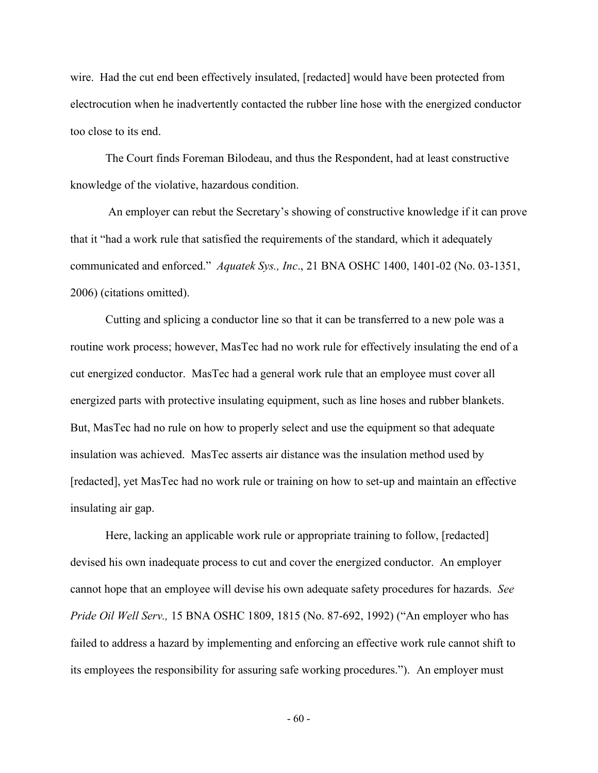wire. Had the cut end been effectively insulated, [redacted] would have been protected from electrocution when he inadvertently contacted the rubber line hose with the energized conductor too close to its end.

The Court finds Foreman Bilodeau, and thus the Respondent, had at least constructive knowledge of the violative, hazardous condition.

 An employer can rebut the Secretary's showing of constructive knowledge if it can prove that it "had a work rule that satisfied the requirements of the standard, which it adequately communicated and enforced." *Aquatek Sys., Inc*., 21 BNA OSHC 1400, 1401-02 (No. 03-1351, 2006) (citations omitted).

Cutting and splicing a conductor line so that it can be transferred to a new pole was a routine work process; however, MasTec had no work rule for effectively insulating the end of a cut energized conductor. MasTec had a general work rule that an employee must cover all energized parts with protective insulating equipment, such as line hoses and rubber blankets. But, MasTec had no rule on how to properly select and use the equipment so that adequate insulation was achieved. MasTec asserts air distance was the insulation method used by [redacted], yet MasTec had no work rule or training on how to set-up and maintain an effective insulating air gap.

Here, lacking an applicable work rule or appropriate training to follow, [redacted] devised his own inadequate process to cut and cover the energized conductor. An employer cannot hope that an employee will devise his own adequate safety procedures for hazards. *See Pride Oil Well Serv.,* 15 BNA OSHC 1809, 1815 (No. 87-692, 1992) ("An employer who has failed to address a hazard by implementing and enforcing an effective work rule cannot shift to its employees the responsibility for assuring safe working procedures."). An employer must

- 60 -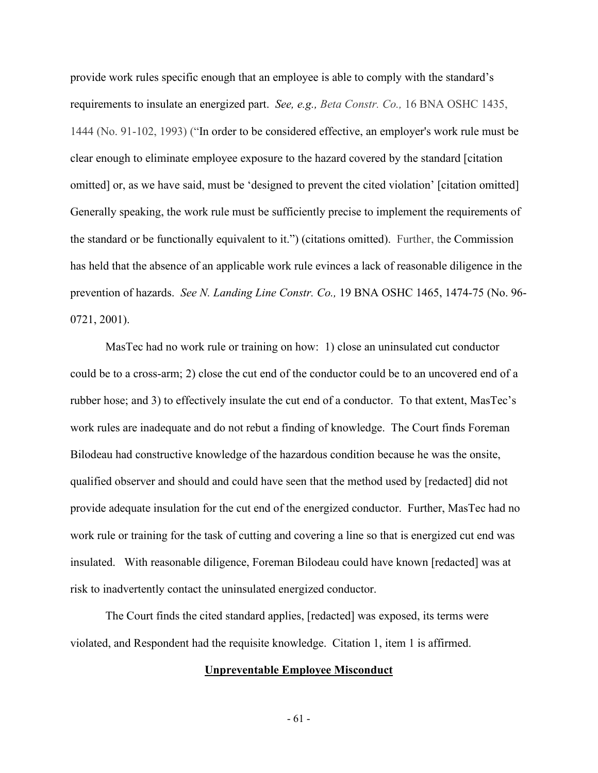provide work rules specific enough that an employee is able to comply with the standard's requirements to insulate an energized part. *See, e.g., Beta Constr. Co.,* 16 BNA OSHC 1435, 1444 (No. 91-102, 1993) ("In order to be considered effective, an employer's work rule must be clear enough to eliminate employee exposure to the hazard covered by the standard [citation omitted] or, as we have said, must be 'designed to prevent the cited violation' [citation omitted] Generally speaking, the work rule must be sufficiently precise to implement the requirements of the standard or be functionally equivalent to it.") (citations omitted). Further, the Commission has held that the absence of an applicable work rule evinces a lack of reasonable diligence in the prevention of hazards. *See N. Landing Line Constr. Co.,* 19 BNA OSHC 1465, 1474-75 (No. 96- 0721, 2001).

MasTec had no work rule or training on how: 1) close an uninsulated cut conductor could be to a cross-arm; 2) close the cut end of the conductor could be to an uncovered end of a rubber hose; and 3) to effectively insulate the cut end of a conductor. To that extent, MasTec's work rules are inadequate and do not rebut a finding of knowledge. The Court finds Foreman Bilodeau had constructive knowledge of the hazardous condition because he was the onsite, qualified observer and should and could have seen that the method used by [redacted] did not provide adequate insulation for the cut end of the energized conductor. Further, MasTec had no work rule or training for the task of cutting and covering a line so that is energized cut end was insulated. With reasonable diligence, Foreman Bilodeau could have known [redacted] was at risk to inadvertently contact the uninsulated energized conductor.

 The Court finds the cited standard applies, [redacted] was exposed, its terms were violated, and Respondent had the requisite knowledge. Citation 1, item 1 is affirmed.

#### **Unpreventable Employee Misconduct**

- 61 -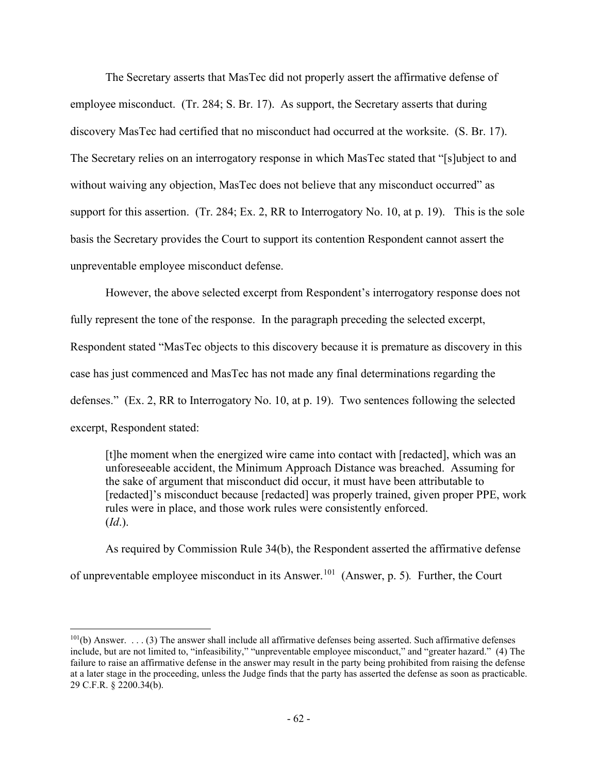The Secretary asserts that MasTec did not properly assert the affirmative defense of employee misconduct. (Tr. 284; S. Br. 17). As support, the Secretary asserts that during discovery MasTec had certified that no misconduct had occurred at the worksite. (S. Br. 17). The Secretary relies on an interrogatory response in which MasTec stated that "[s]ubject to and without waiving any objection, MasTec does not believe that any misconduct occurred" as support for this assertion. (Tr. 284; Ex. 2, RR to Interrogatory No. 10, at p. 19). This is the sole basis the Secretary provides the Court to support its contention Respondent cannot assert the unpreventable employee misconduct defense.

However, the above selected excerpt from Respondent's interrogatory response does not fully represent the tone of the response. In the paragraph preceding the selected excerpt, Respondent stated "MasTec objects to this discovery because it is premature as discovery in this case has just commenced and MasTec has not made any final determinations regarding the defenses." (Ex. 2, RR to Interrogatory No. 10, at p. 19). Two sentences following the selected excerpt, Respondent stated:

[t]he moment when the energized wire came into contact with [redacted], which was an unforeseeable accident, the Minimum Approach Distance was breached. Assuming for the sake of argument that misconduct did occur, it must have been attributable to [redacted]'s misconduct because [redacted] was properly trained, given proper PPE, work rules were in place, and those work rules were consistently enforced. (*Id*.).

As required by Commission Rule 34(b), the Respondent asserted the affirmative defense of unpreventable employee misconduct in its Answer.[101](#page-77-0) (Answer, p. 5)*.* Further, the Court

<span id="page-77-0"></span> $101(b)$  Answer. . . . (3) The answer shall include all affirmative defenses being asserted. Such affirmative defenses include, but are not limited to, "infeasibility," "unpreventable employee misconduct," and "greater hazard." (4) The failure to raise an affirmative defense in the answer may result in the party being prohibited from raising the defense at a later stage in the proceeding, unless the Judge finds that the party has asserted the defense as soon as practicable. 29 C.F.R. § 2200.34(b).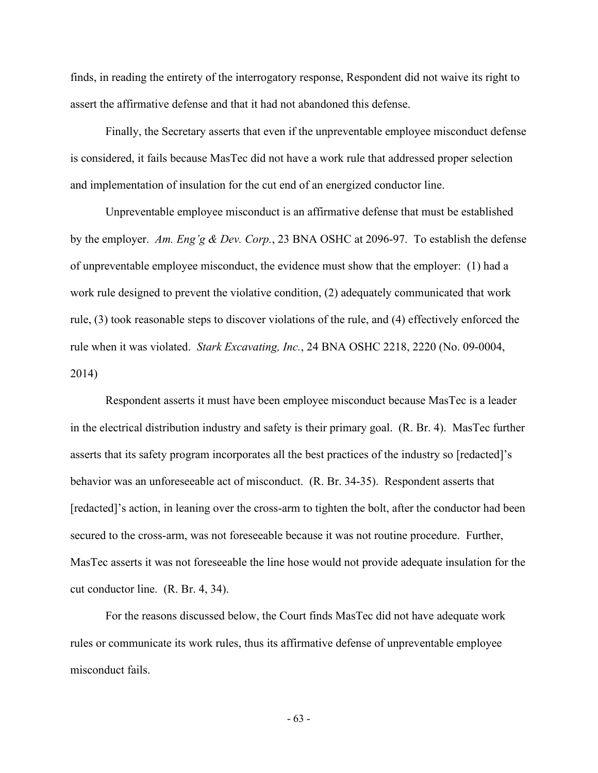finds, in reading the entirety of the interrogatory response, Respondent did not waive its right to assert the affirmative defense and that it had not abandoned this defense.

Finally, the Secretary asserts that even if the unpreventable employee misconduct defense is considered, it fails because MasTec did not have a work rule that addressed proper selection and implementation of insulation for the cut end of an energized conductor line.

Unpreventable employee misconduct is an affirmative defense that must be established by the employer. *Am. Eng'g & Dev. Corp.*, 23 BNA OSHC at 2096-97. To establish the defense of unpreventable employee misconduct, the evidence must show that the employer: (1) had a work rule designed to prevent the violative condition, (2) adequately communicated that work rule, (3) took reasonable steps to discover violations of the rule, and (4) effectively enforced the rule when it was violated. *Stark Excavating, Inc.*, 24 BNA OSHC 2218, 2220 (No. 09-0004, 2014)

 Respondent asserts it must have been employee misconduct because MasTec is a leader in the electrical distribution industry and safety is their primary goal. (R. Br. 4). MasTec further asserts that its safety program incorporates all the best practices of the industry so [redacted]'s behavior was an unforeseeable act of misconduct. (R. Br. 34-35). Respondent asserts that [redacted]'s action, in leaning over the cross-arm to tighten the bolt, after the conductor had been secured to the cross-arm, was not foreseeable because it was not routine procedure. Further, MasTec asserts it was not foreseeable the line hose would not provide adequate insulation for the cut conductor line. (R. Br. 4, 34).

 For the reasons discussed below, the Court finds MasTec did not have adequate work rules or communicate its work rules, thus its affirmative defense of unpreventable employee misconduct fails.

- 63 -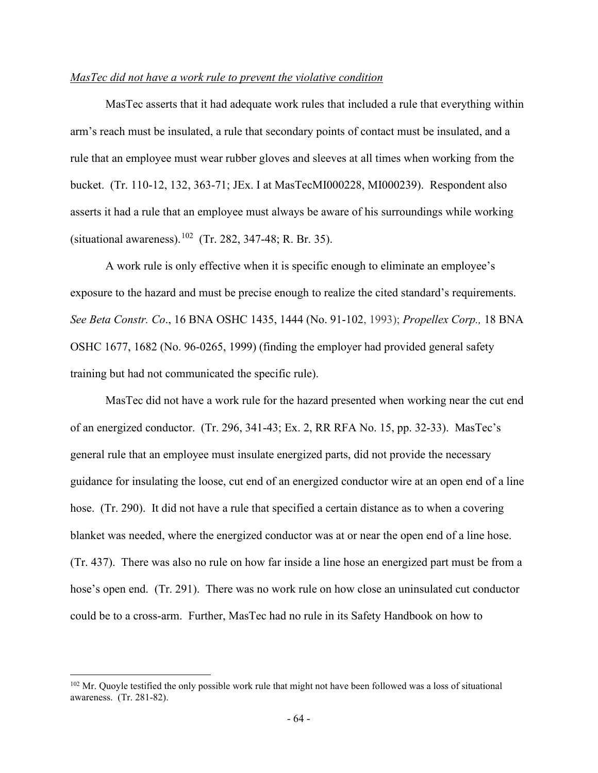## *MasTec did not have a work rule to prevent the violative condition*

MasTec asserts that it had adequate work rules that included a rule that everything within arm's reach must be insulated, a rule that secondary points of contact must be insulated, and a rule that an employee must wear rubber gloves and sleeves at all times when working from the bucket. (Tr. 110-12, 132, 363-71; JEx. I at MasTecMI000228, MI000239). Respondent also asserts it had a rule that an employee must always be aware of his surroundings while working (situational awareness).<sup>[102](#page-79-0)</sup> (Tr. 282, 347-48; R. Br. 35).

A work rule is only effective when it is specific enough to eliminate an employee's exposure to the hazard and must be precise enough to realize the cited standard's requirements. *See Beta Constr. Co*., 16 BNA OSHC 1435, 1444 (No. 91-102, 1993); *Propellex Corp.,* 18 BNA OSHC 1677, 1682 (No. 96-0265, 1999) (finding the employer had provided general safety training but had not communicated the specific rule).

 MasTec did not have a work rule for the hazard presented when working near the cut end of an energized conductor. (Tr. 296, 341-43; Ex. 2, RR RFA No. 15, pp. 32-33). MasTec's general rule that an employee must insulate energized parts, did not provide the necessary guidance for insulating the loose, cut end of an energized conductor wire at an open end of a line hose. (Tr. 290). It did not have a rule that specified a certain distance as to when a covering blanket was needed, where the energized conductor was at or near the open end of a line hose. (Tr. 437). There was also no rule on how far inside a line hose an energized part must be from a hose's open end. (Tr. 291). There was no work rule on how close an uninsulated cut conductor could be to a cross-arm. Further, MasTec had no rule in its Safety Handbook on how to

<span id="page-79-0"></span><sup>&</sup>lt;sup>102</sup> Mr. Quoyle testified the only possible work rule that might not have been followed was a loss of situational awareness. (Tr. 281-82).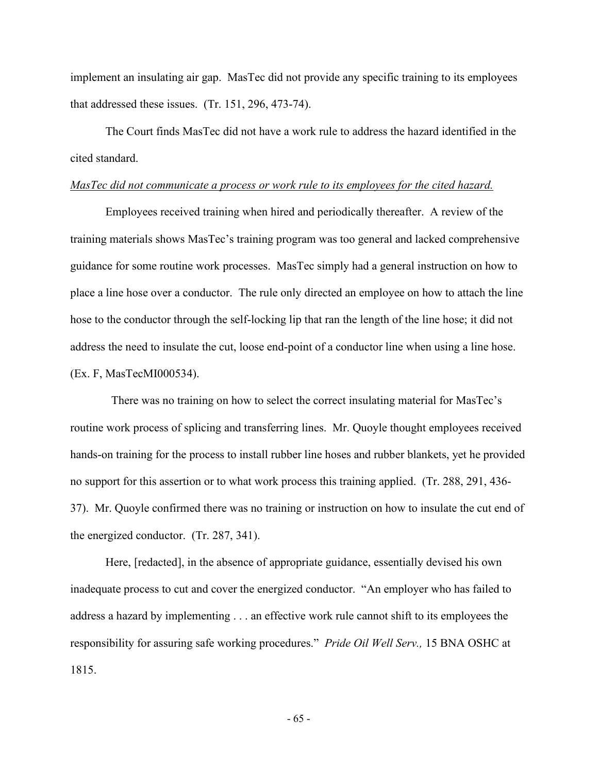implement an insulating air gap. MasTec did not provide any specific training to its employees that addressed these issues. (Tr. 151, 296, 473-74).

The Court finds MasTec did not have a work rule to address the hazard identified in the cited standard.

## *MasTec did not communicate a process or work rule to its employees for the cited hazard.*

Employees received training when hired and periodically thereafter. A review of the training materials shows MasTec's training program was too general and lacked comprehensive guidance for some routine work processes. MasTec simply had a general instruction on how to place a line hose over a conductor. The rule only directed an employee on how to attach the line hose to the conductor through the self-locking lip that ran the length of the line hose; it did not address the need to insulate the cut, loose end-point of a conductor line when using a line hose. (Ex. F, MasTecMI000534).

 There was no training on how to select the correct insulating material for MasTec's routine work process of splicing and transferring lines. Mr. Quoyle thought employees received hands-on training for the process to install rubber line hoses and rubber blankets, yet he provided no support for this assertion or to what work process this training applied. (Tr. 288, 291, 436- 37). Mr. Quoyle confirmed there was no training or instruction on how to insulate the cut end of the energized conductor. (Tr. 287, 341).

Here, [redacted], in the absence of appropriate guidance, essentially devised his own inadequate process to cut and cover the energized conductor. "An employer who has failed to address a hazard by implementing . . . an effective work rule cannot shift to its employees the responsibility for assuring safe working procedures." *Pride Oil Well Serv.,* 15 BNA OSHC at 1815.

- 65 -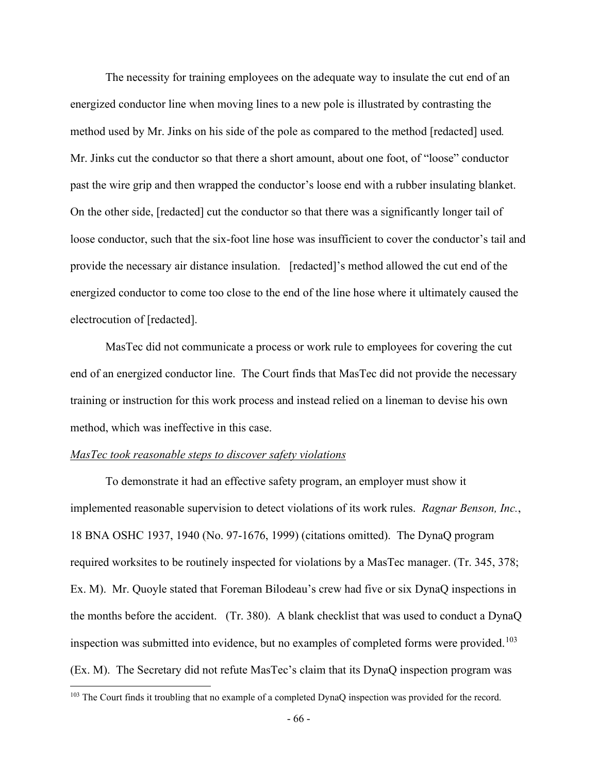The necessity for training employees on the adequate way to insulate the cut end of an energized conductor line when moving lines to a new pole is illustrated by contrasting the method used by Mr. Jinks on his side of the pole as compared to the method [redacted] used*.*  Mr. Jinks cut the conductor so that there a short amount, about one foot, of "loose" conductor past the wire grip and then wrapped the conductor's loose end with a rubber insulating blanket. On the other side, [redacted] cut the conductor so that there was a significantly longer tail of loose conductor, such that the six-foot line hose was insufficient to cover the conductor's tail and provide the necessary air distance insulation. [redacted]'s method allowed the cut end of the energized conductor to come too close to the end of the line hose where it ultimately caused the electrocution of [redacted].

MasTec did not communicate a process or work rule to employees for covering the cut end of an energized conductor line. The Court finds that MasTec did not provide the necessary training or instruction for this work process and instead relied on a lineman to devise his own method, which was ineffective in this case.

# *MasTec took reasonable steps to discover safety violations*

To demonstrate it had an effective safety program, an employer must show it implemented reasonable supervision to detect violations of its work rules. *Ragnar Benson, Inc.*, 18 BNA OSHC 1937, 1940 (No. 97-1676, 1999) (citations omitted). The DynaQ program required worksites to be routinely inspected for violations by a MasTec manager. (Tr. 345, 378; Ex. M). Mr. Quoyle stated that Foreman Bilodeau's crew had five or six DynaQ inspections in the months before the accident. (Tr. 380). A blank checklist that was used to conduct a DynaQ inspection was submitted into evidence, but no examples of completed forms were provided.<sup>[103](#page-81-0)</sup> (Ex. M). The Secretary did not refute MasTec's claim that its DynaQ inspection program was

<span id="page-81-0"></span><sup>&</sup>lt;sup>103</sup> The Court finds it troubling that no example of a completed DynaQ inspection was provided for the record.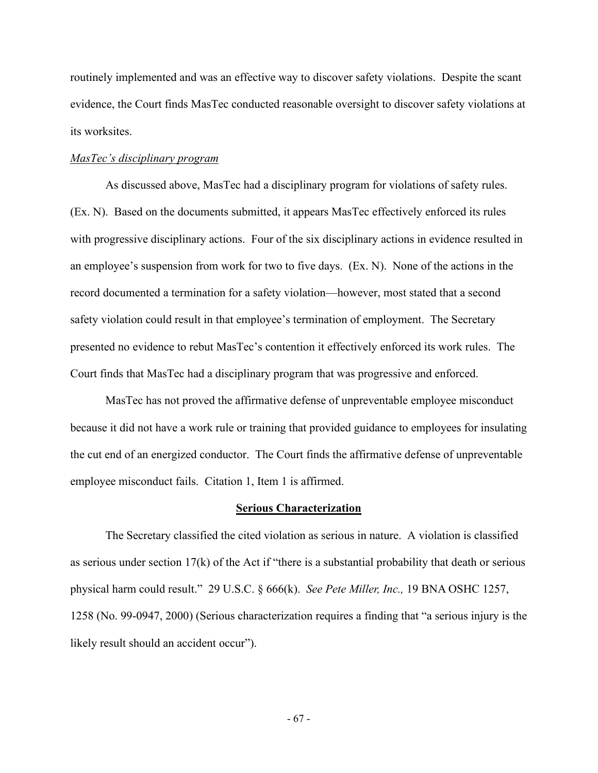routinely implemented and was an effective way to discover safety violations. Despite the scant evidence, the Court finds MasTec conducted reasonable oversight to discover safety violations at its worksites.

#### *MasTec's disciplinary program*

 As discussed above, MasTec had a disciplinary program for violations of safety rules. (Ex. N). Based on the documents submitted, it appears MasTec effectively enforced its rules with progressive disciplinary actions. Four of the six disciplinary actions in evidence resulted in an employee's suspension from work for two to five days. (Ex. N). None of the actions in the record documented a termination for a safety violation—however, most stated that a second safety violation could result in that employee's termination of employment. The Secretary presented no evidence to rebut MasTec's contention it effectively enforced its work rules. The Court finds that MasTec had a disciplinary program that was progressive and enforced.

MasTec has not proved the affirmative defense of unpreventable employee misconduct because it did not have a work rule or training that provided guidance to employees for insulating the cut end of an energized conductor. The Court finds the affirmative defense of unpreventable employee misconduct fails. Citation 1, Item 1 is affirmed.

## **Serious Characterization**

The Secretary classified the cited violation as serious in nature. A violation is classified as serious under section 17(k) of the Act if "there is a substantial probability that death or serious physical harm could result." 29 U.S.C. § 666(k). *See Pete Miller, Inc.,* 19 BNA OSHC 1257, 1258 (No. 99-0947, 2000) (Serious characterization requires a finding that "a serious injury is the likely result should an accident occur").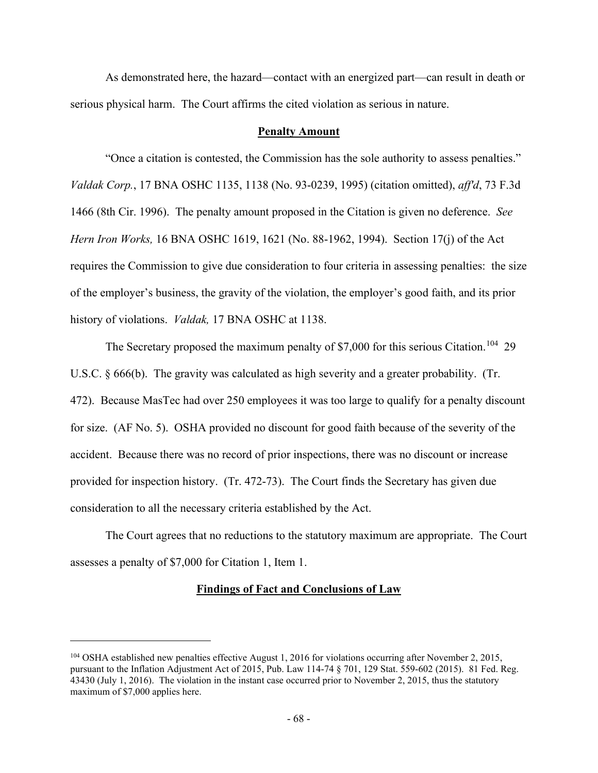As demonstrated here, the hazard—contact with an energized part—can result in death or serious physical harm. The Court affirms the cited violation as serious in nature.

## **Penalty Amount**

"Once a citation is contested, the Commission has the sole authority to assess penalties." *Valdak Corp.*, 17 BNA OSHC 1135, 1138 (No. 93-0239, 1995) (citation omitted), *aff'd*, 73 F.3d 1466 (8th Cir. 1996). The penalty amount proposed in the Citation is given no deference. *See Hern Iron Works,* 16 BNA OSHC 1619, 1621 (No. 88-1962, 1994). Section 17(j) of the Act requires the Commission to give due consideration to four criteria in assessing penalties: the size of the employer's business, the gravity of the violation, the employer's good faith, and its prior history of violations. *Valdak,* 17 BNA OSHC at 1138.

The Secretary proposed the maximum penalty of \$7,000 for this serious Citation.<sup>[104](#page-83-0)</sup> 29 U.S.C. § 666(b). The gravity was calculated as high severity and a greater probability. (Tr. 472). Because MasTec had over 250 employees it was too large to qualify for a penalty discount for size. (AF No. 5). OSHA provided no discount for good faith because of the severity of the accident. Because there was no record of prior inspections, there was no discount or increase provided for inspection history. (Tr. 472-73). The Court finds the Secretary has given due consideration to all the necessary criteria established by the Act.

The Court agrees that no reductions to the statutory maximum are appropriate. The Court assesses a penalty of \$7,000 for Citation 1, Item 1.

## **Findings of Fact and Conclusions of Law**

<span id="page-83-0"></span><sup>104</sup> OSHA established new penalties effective August 1, 2016 for violations occurring after November 2, 2015, pursuant to the Inflation Adjustment Act of 2015, Pub. Law 114-74 § 701, 129 Stat. 559-602 (2015). 81 Fed. Reg. 43430 (July 1, 2016). The violation in the instant case occurred prior to November 2, 2015, thus the statutory maximum of \$7,000 applies here.